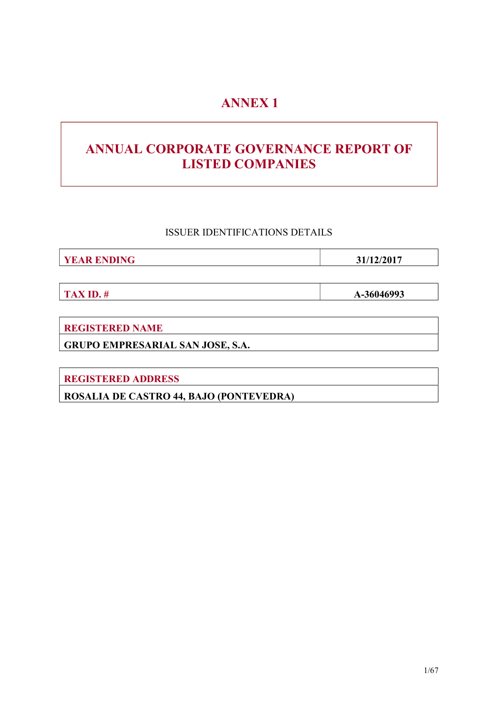# ANNEX 1

# ANNUAL CORPORATE GOVERNANCE REPORT OF LISTED COMPANIES

ISSUER IDENTIFICATIONS DETAILS

**YEAR ENDING 31/12/2017** 

TAX ID.  $\#$  A-36046993

REGISTERED NAME

GRUPO EMPRESARIAL SAN JOSE, S.A.

REGISTERED ADDRESS

ROSALIA DE CASTRO 44, BAJO (PONTEVEDRA)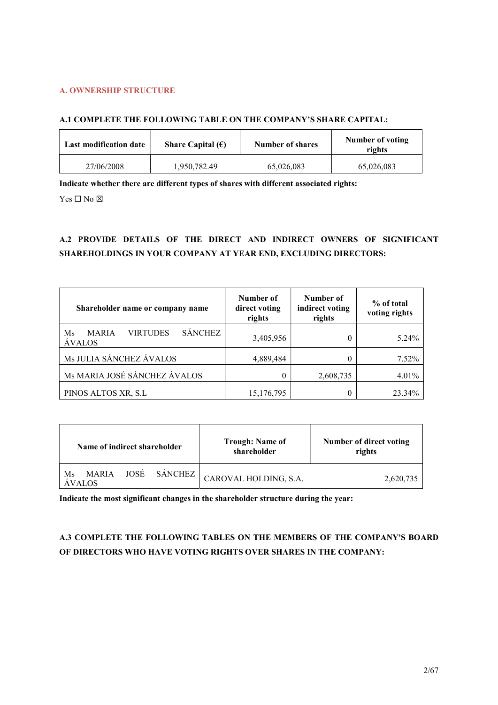# A. OWNERSHIP STRUCTURE

# A.1 COMPLETE THE FOLLOWING TABLE ON THE COMPANY'S SHARE CAPITAL:

| <b>Last modification date</b> | Share Capital $(\epsilon)$ | <b>Number of shares</b> | Number of voting<br>rights |
|-------------------------------|----------------------------|-------------------------|----------------------------|
| 27/06/2008                    | 1,950,782.49               | 65,026,083              | 65,026,083                 |

Indicate whether there are different types of shares with different associated rights:

 $Yes \Box No \boxtimes$ 

# A.2 PROVIDE DETAILS OF THE DIRECT AND INDIRECT OWNERS OF SIGNIFICANT SHAREHOLDINGS IN YOUR COMPANY AT YEAR END, EXCLUDING DIRECTORS:

| Shareholder name or company name                                         | Number of<br>direct voting<br>rights | Number of<br>indirect voting<br>rights | % of total<br>voting rights |
|--------------------------------------------------------------------------|--------------------------------------|----------------------------------------|-----------------------------|
| <b>SÁNCHEZ</b><br><b>VIRTUDES</b><br><b>MARIA</b><br>Ms<br><b>ÁVALOS</b> | 3,405,956                            |                                        | 5.24%                       |
| Ms JULIA SÁNCHEZ ÁVALOS                                                  | 4,889,484                            |                                        | $7.52\%$                    |
| Ms MARIA JOSÉ SÁNCHEZ ÁVALOS                                             | 0                                    | 2,608,735                              | 4.01%                       |
| PINOS ALTOS XR, S.L                                                      | 15,176,795                           |                                        | 23.34%                      |

| Name of indirect shareholder |  | <b>Trough: Name of</b><br>shareholder | Number of direct voting<br>rights            |           |
|------------------------------|--|---------------------------------------|----------------------------------------------|-----------|
| Ms<br><b>AVALOS</b>          |  |                                       | MARIA JOSÉ SÁNCHEZ $ $ CAROVAL HOLDING, S.A. | 2,620,735 |

Indicate the most significant changes in the shareholder structure during the year:

# A.3 COMPLETE THE FOLLOWING TABLES ON THE MEMBERS OF THE COMPANY'S BOARD OF DIRECTORS WHO HAVE VOTING RIGHTS OVER SHARES IN THE COMPANY: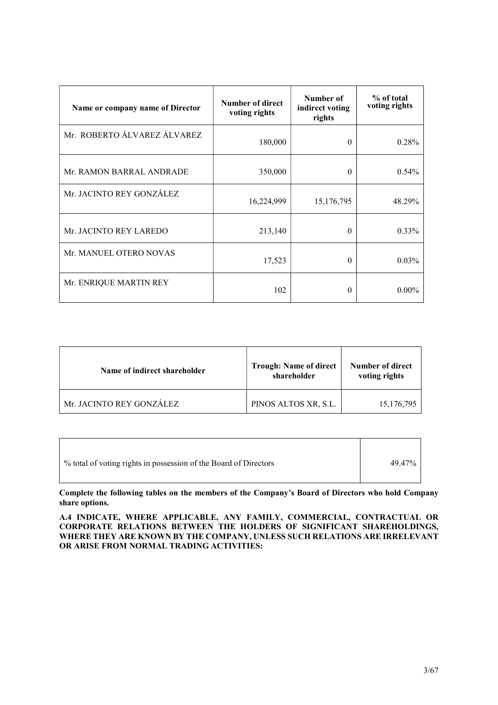| Name or company name of Director | Number of direct<br>voting rights | Number of<br>indirect voting<br>rights | % of total<br>voting rights |
|----------------------------------|-----------------------------------|----------------------------------------|-----------------------------|
| Mr. ROBERTO ÁLVAREZ ÁLVAREZ      | 180,000                           | $\Omega$                               | 0.28%                       |
| Mr. RAMON BARRAL ANDRADE         | 350,000                           | $\Omega$                               | $0.54\%$                    |
| Mr. JACINTO REY GONZÁLEZ         | 16,224,999                        | 15,176,795                             | 48.29%                      |
| Mr. JACINTO REY LAREDO           | 213,140                           | $\Omega$                               | $0.33\%$                    |
| Mr. MANUEL OTERO NOVAS           | 17,523                            | $\Omega$                               | $0.03\%$                    |
| Mr. ENRIQUE MARTIN REY           | 102                               | $\Omega$                               | $0.00\%$                    |

| Name of indirect shareholder | <b>Trough: Name of direct</b><br>shareholder | Number of direct<br>voting rights |
|------------------------------|----------------------------------------------|-----------------------------------|
| Mr. JACINTO REY GONZÁLEZ     | PINOS ALTOS XR, S.L.                         | 15,176,795                        |

Complete the following tables on the members of the Company's Board of Directors who hold Company share options.

A.4 INDICATE, WHERE APPLICABLE, ANY FAMILY, COMMERCIAL, CONTRACTUAL OR CORPORATE RELATIONS BETWEEN THE HOLDERS OF SIGNIFICANT SHAREHOLDINGS, WHERE THEY ARE KNOWN BY THE COMPANY, UNLESS SUCH RELATIONS ARE IRRELEVANT OR ARISE FROM NORMAL TRADING ACTIVITIES: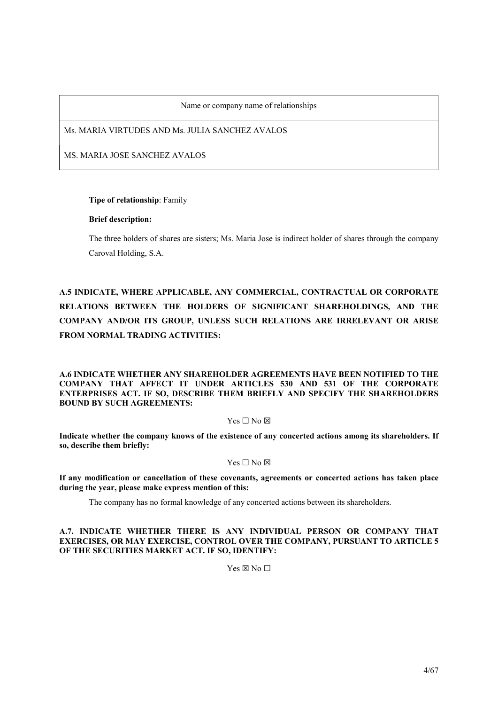Name or company name of relationships

Ms. MARIA VIRTUDES AND Ms. JULIA SANCHEZ AVALOS

MS. MARIA JOSE SANCHEZ AVALOS

# Tipe of relationship: Family

# Brief description:

The three holders of shares are sisters; Ms. Maria Jose is indirect holder of shares through the company Caroval Holding, S.A.

A.5 INDICATE, WHERE APPLICABLE, ANY COMMERCIAL, CONTRACTUAL OR CORPORATE RELATIONS BETWEEN THE HOLDERS OF SIGNIFICANT SHAREHOLDINGS, AND THE COMPANY AND/OR ITS GROUP, UNLESS SUCH RELATIONS ARE IRRELEVANT OR ARISE FROM NORMAL TRADING ACTIVITIES:

A.6 INDICATE WHETHER ANY SHAREHOLDER AGREEMENTS HAVE BEEN NOTIFIED TO THE COMPANY THAT AFFECT IT UNDER ARTICLES 530 AND 531 OF THE CORPORATE ENTERPRISES ACT. IF SO, DESCRIBE THEM BRIEFLY AND SPECIFY THE SHAREHOLDERS BOUND BY SUCH AGREEMENTS:

# Yes □ No ⊠

Indicate whether the company knows of the existence of any concerted actions among its shareholders. If so, describe them briefly:

# Yes □ No ⊠

If any modification or cancellation of these covenants, agreements or concerted actions has taken place during the year, please make express mention of this:

The company has no formal knowledge of any concerted actions between its shareholders.

# A.7. INDICATE WHETHER THERE IS ANY INDIVIDUAL PERSON OR COMPANY THAT EXERCISES, OR MAY EXERCISE, CONTROL OVER THE COMPANY, PURSUANT TO ARTICLE 5 OF THE SECURITIES MARKET ACT. IF SO, IDENTIFY:

 $Yes \boxtimes No \square$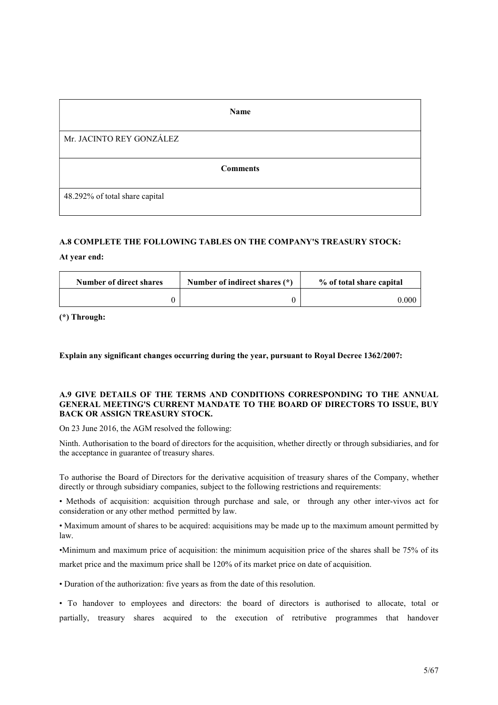| <b>Name</b>                    |
|--------------------------------|
| Mr. JACINTO REY GONZÁLEZ       |
| <b>Comments</b>                |
| 48.292% of total share capital |

# A.8 COMPLETE THE FOLLOWING TABLES ON THE COMPANY'S TREASURY STOCK:

# At year end:

| Number of direct shares | Number of indirect shares (*) | % of total share capital |
|-------------------------|-------------------------------|--------------------------|
|                         |                               | $0.000\,$                |

(\*) Through:

Explain any significant changes occurring during the year, pursuant to Royal Decree 1362/2007:

#### A.9 GIVE DETAILS OF THE TERMS AND CONDITIONS CORRESPONDING TO THE ANNUAL GENERAL MEETING'S CURRENT MANDATE TO THE BOARD OF DIRECTORS TO ISSUE, BUY BACK OR ASSIGN TREASURY STOCK.

On 23 June 2016, the AGM resolved the following:

Ninth. Authorisation to the board of directors for the acquisition, whether directly or through subsidiaries, and for the acceptance in guarantee of treasury shares.

To authorise the Board of Directors for the derivative acquisition of treasury shares of the Company, whether directly or through subsidiary companies, subject to the following restrictions and requirements:

• Methods of acquisition: acquisition through purchase and sale, or through any other inter-vivos act for consideration or any other method permitted by law.

• Maximum amount of shares to be acquired: acquisitions may be made up to the maximum amount permitted by law.

•Minimum and maximum price of acquisition: the minimum acquisition price of the shares shall be 75% of its market price and the maximum price shall be 120% of its market price on date of acquisition.

• Duration of the authorization: five years as from the date of this resolution.

• To handover to employees and directors: the board of directors is authorised to allocate, total or partially, treasury shares acquired to the execution of retributive programmes that handover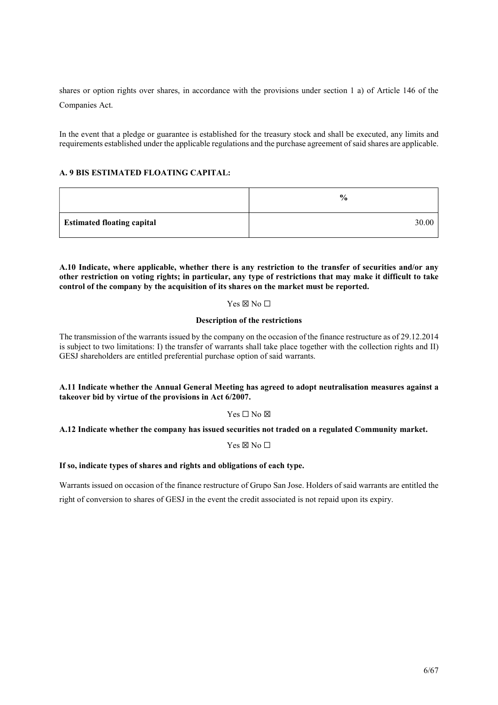shares or option rights over shares, in accordance with the provisions under section 1 a) of Article 146 of the Companies Act.

In the event that a pledge or guarantee is established for the treasury stock and shall be executed, any limits and requirements established under the applicable regulations and the purchase agreement of said shares are applicable.

# A. 9 BIS ESTIMATED FLOATING CAPITAL:

|                                   | $\frac{0}{0}$ |
|-----------------------------------|---------------|
| <b>Estimated floating capital</b> | 30.00         |

A.10 Indicate, where applicable, whether there is any restriction to the transfer of securities and/or any other restriction on voting rights; in particular, any type of restrictions that may make it difficult to take control of the company by the acquisition of its shares on the market must be reported.

# Yes ⊠ No □

# Description of the restrictions

The transmission of the warrants issued by the company on the occasion of the finance restructure as of 29.12.2014 is subject to two limitations: I) the transfer of warrants shall take place together with the collection rights and II) GESJ shareholders are entitled preferential purchase option of said warrants.

# A.11 Indicate whether the Annual General Meeting has agreed to adopt neutralisation measures against a takeover bid by virtue of the provisions in Act 6/2007.

# $Yes \Box No \boxtimes$

# A.12 Indicate whether the company has issued securities not traded on a regulated Community market.

 $Yes \boxtimes No \square$ 

#### If so, indicate types of shares and rights and obligations of each type.

Warrants issued on occasion of the finance restructure of Grupo San Jose. Holders of said warrants are entitled the right of conversion to shares of GESJ in the event the credit associated is not repaid upon its expiry.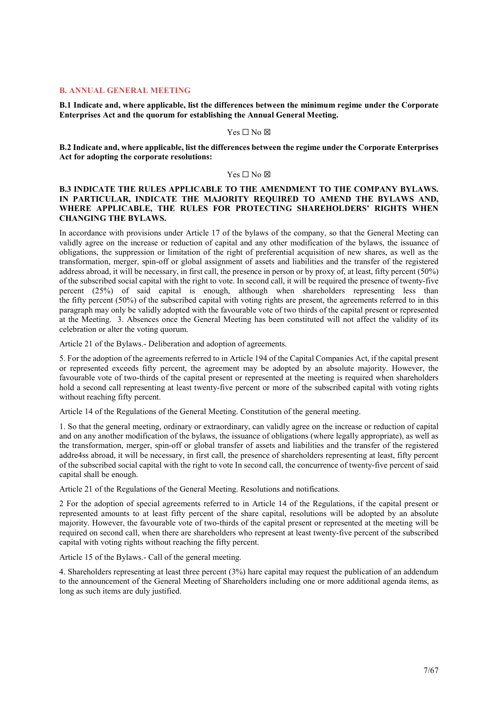#### B. ANNUAL GENERAL MEETING

B.1 Indicate and, where applicable, list the differences between the minimum regime under the Corporate Enterprises Act and the quorum for establishing the Annual General Meeting.

#### Yes □ No ⊠

B.2 Indicate and, where applicable, list the differences between the regime under the Corporate Enterprises Act for adopting the corporate resolutions:

#### Yes □ No ⊠

# B.3 INDICATE THE RULES APPLICABLE TO THE AMENDMENT TO THE COMPANY BYLAWS. IN PARTICULAR, INDICATE THE MAJORITY REQUIRED TO AMEND THE BYLAWS AND, WHERE APPLICABLE, THE RULES FOR PROTECTING SHAREHOLDERS' RIGHTS WHEN CHANGING THE BYLAWS.

In accordance with provisions under Article 17 of the bylaws of the company, so that the General Meeting can validly agree on the increase or reduction of capital and any other modification of the bylaws, the issuance of obligations, the suppression or limitation of the right of preferential acquisition of new shares, as well as the transformation, merger, spin-off or global assignment of assets and liabilities and the transfer of the registered address abroad, it will be necessary, in first call, the presence in person or by proxy of, at least, fifty percent (50%) of the subscribed social capital with the right to vote. In second call, it will be required the presence of twenty-five percent (25%) of said capital is enough, although when shareholders representing less than the fifty percent (50%) of the subscribed capital with voting rights are present, the agreements referred to in this paragraph may only be validly adopted with the favourable vote of two thirds of the capital present or represented at the Meeting. 3. Absences once the General Meeting has been constituted will not affect the validity of its celebration or alter the voting quorum.

Article 21 of the Bylaws.- Deliberation and adoption of agreements.

5. For the adoption of the agreements referred to in Article 194 of the Capital Companies Act, if the capital present or represented exceeds fifty percent, the agreement may be adopted by an absolute majority. However, the favourable vote of two-thirds of the capital present or represented at the meeting is required when shareholders hold a second call representing at least twenty-five percent or more of the subscribed capital with voting rights without reaching fifty percent.

Article 14 of the Regulations of the General Meeting. Constitution of the general meeting.

1. So that the general meeting, ordinary or extraordinary, can validly agree on the increase or reduction of capital and on any another modification of the bylaws, the issuance of obligations (where legally appropriate), as well as the transformation, merger, spin-off or global transfer of assets and liabilities and the transfer of the registered addre4ss abroad, it will be necessary, in first call, the presence of shareholders representing at least, fifty percent of the subscribed social capital with the right to vote In second call, the concurrence of twenty-five percent of said capital shall be enough.

Article 21 of the Regulations of the General Meeting. Resolutions and notifications.

2 For the adoption of special agreements referred to in Article 14 of the Regulations, if the capital present or represented amounts to at least fifty percent of the share capital, resolutions will be adopted by an absolute majority. However, the favourable vote of two-thirds of the capital present or represented at the meeting will be required on second call, when there are shareholders who represent at least twenty-five percent of the subscribed capital with voting rights without reaching the fifty percent.

Article 15 of the Bylaws.- Call of the general meeting.

4. Shareholders representing at least three percent (3%) hare capital may request the publication of an addendum to the announcement of the General Meeting of Shareholders including one or more additional agenda items, as long as such items are duly justified.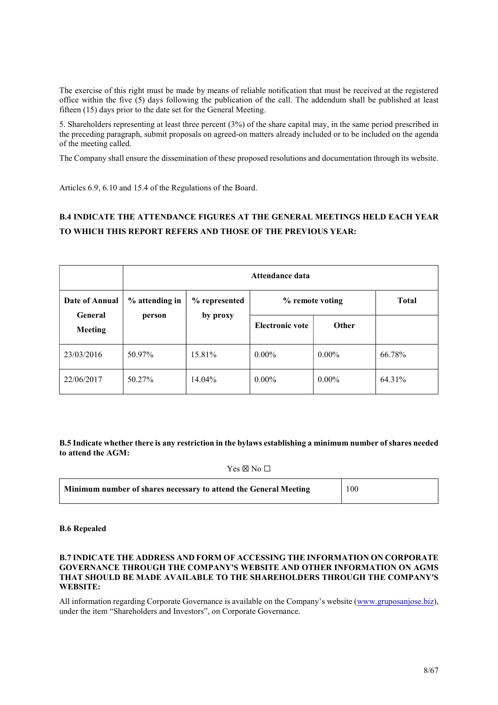The exercise of this right must be made by means of reliable notification that must be received at the registered office within the five (5) days following the publication of the call. The addendum shall be published at least fifteen (15) days prior to the date set for the General Meeting.

5. Shareholders representing at least three percent (3%) of the share capital may, in the same period prescribed in the preceding paragraph, submit proposals on agreed-on matters already included or to be included on the agenda of the meeting called.

The Company shall ensure the dissemination of these proposed resolutions and documentation through its website.

Articles 6.9, 6.10 and 15.4 of the Regulations of the Board.

# B.4 INDICATE THE ATTENDANCE FIGURES AT THE GENERAL MEETINGS HELD EACH YEAR TO WHICH THIS REPORT REFERS AND THOSE OF THE PREVIOUS YEAR:

|                                  | Attendance data |               |                 |          |              |
|----------------------------------|-----------------|---------------|-----------------|----------|--------------|
| Date of Annual                   | % attending in  | % represented | % remote voting |          | <b>Total</b> |
| <b>General</b><br><b>Meeting</b> | person          | by proxy      | Electronic vote | Other    |              |
| 23/03/2016                       | 50.97%          | 15.81%        | $0.00\%$        | $0.00\%$ | 66.78%       |
| 22/06/2017                       | 50.27%          | 14.04%        | $0.00\%$        | $0.00\%$ | 64.31%       |

B.5 Indicate whether there is any restriction in the bylaws establishing a minimum number of shares needed to attend the AGM:

 $Yes \boxtimes No \square$ 

| Minimum number of shares necessary to attend the General Meeting | 100 |
|------------------------------------------------------------------|-----|
|                                                                  |     |

#### B.6 Repealed

# B.7 INDICATE THE ADDRESS AND FORM OF ACCESSING THE INFORMATION ON CORPORATE GOVERNANCE THROUGH THE COMPANY'S WEBSITE AND OTHER INFORMATION ON AGMS THAT SHOULD BE MADE AVAILABLE TO THE SHAREHOLDERS THROUGH THE COMPANY'S WEBSITE:

All information regarding Corporate Governance is available on the Company's website (www.gruposanjose.biz), under the item "Shareholders and Investors", on Corporate Governance.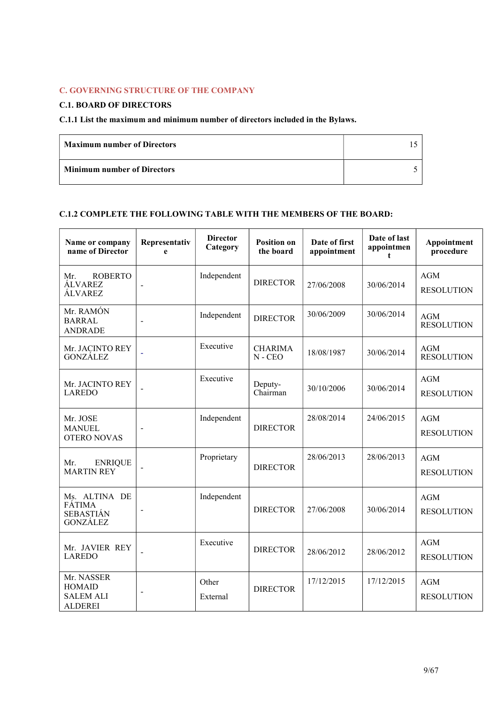# C. GOVERNING STRUCTURE OF THE COMPANY

# C.1. BOARD OF DIRECTORS

# C.1.1 List the maximum and minimum number of directors included in the Bylaws.

| <b>Maximum number of Directors</b> |  |
|------------------------------------|--|
| <b>Minimum number of Directors</b> |  |

# C.1.2 COMPLETE THE FOLLOWING TABLE WITH THE MEMBERS OF THE BOARD:

| Name or company<br>name of Director                                   | Representativ<br>e | <b>Director</b><br>Category | <b>Position on</b><br>the board | Date of first<br>appointment | Date of last<br>appointmen<br>t | Appointment<br>procedure        |
|-----------------------------------------------------------------------|--------------------|-----------------------------|---------------------------------|------------------------------|---------------------------------|---------------------------------|
| <b>ROBERTO</b><br>Mr.<br>ÁLVAREZ<br>ÁLVAREZ                           |                    | Independent                 | <b>DIRECTOR</b>                 | 27/06/2008                   | 30/06/2014                      | <b>AGM</b><br><b>RESOLUTION</b> |
| Mr. RAMÓN<br><b>BARRAL</b><br><b>ANDRADE</b>                          |                    | Independent                 | <b>DIRECTOR</b>                 | 30/06/2009                   | 30/06/2014                      | <b>AGM</b><br><b>RESOLUTION</b> |
| Mr. JACINTO REY<br><b>GONZÁLEZ</b>                                    |                    | Executive                   | <b>CHARIMA</b><br>$N - CEO$     | 18/08/1987                   | 30/06/2014                      | <b>AGM</b><br><b>RESOLUTION</b> |
| Mr. JACINTO REY<br><b>LAREDO</b>                                      |                    | Executive                   | Deputy-<br>Chairman             | 30/10/2006                   | 30/06/2014                      | AGM<br><b>RESOLUTION</b>        |
| Mr. JOSE<br><b>MANUEL</b><br><b>OTERO NOVAS</b>                       |                    | Independent                 | <b>DIRECTOR</b>                 | 28/08/2014                   | 24/06/2015                      | <b>AGM</b><br><b>RESOLUTION</b> |
| Mr.<br><b>ENRIQUE</b><br><b>MARTIN REY</b>                            |                    | Proprietary                 | <b>DIRECTOR</b>                 | 28/06/2013                   | 28/06/2013                      | <b>AGM</b><br><b>RESOLUTION</b> |
| Ms. ALTINA DE<br><b>FÁTIMA</b><br><b>SEBASTIÁN</b><br><b>GONZÁLEZ</b> |                    | Independent                 | <b>DIRECTOR</b>                 | 27/06/2008                   | 30/06/2014                      | <b>AGM</b><br><b>RESOLUTION</b> |
| Mr. JAVIER REY<br><b>LAREDO</b>                                       |                    | Executive                   | <b>DIRECTOR</b>                 | 28/06/2012                   | 28/06/2012                      | <b>AGM</b><br><b>RESOLUTION</b> |
| Mr. NASSER<br><b>HOMAID</b><br><b>SALEM ALI</b><br><b>ALDEREI</b>     |                    | Other<br>External           | <b>DIRECTOR</b>                 | 17/12/2015                   | 17/12/2015                      | <b>AGM</b><br><b>RESOLUTION</b> |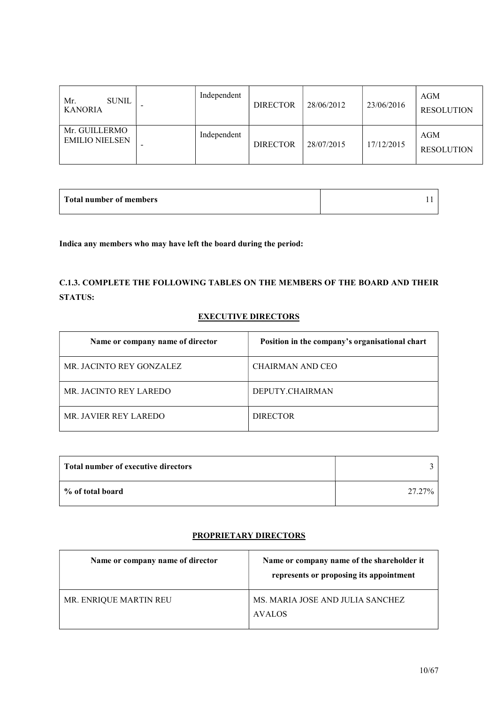| SUNIL<br>Mr.<br><b>KANORIA</b>         | - | Independent | <b>DIRECTOR</b> | 28/06/2012 | 23/06/2016 | AGM<br><b>RESOLUTION</b> |
|----------------------------------------|---|-------------|-----------------|------------|------------|--------------------------|
| Mr. GUILLERMO<br><b>EMILIO NIELSEN</b> |   | Independent | <b>DIRECTOR</b> | 28/07/2015 | 17/12/2015 | AGM<br><b>RESOLUTION</b> |

| Total number of members |  |
|-------------------------|--|
|                         |  |

Indica any members who may have left the board during the period:

C.1.3. COMPLETE THE FOLLOWING TABLES ON THE MEMBERS OF THE BOARD AND THEIR STATUS:

# EXECUTIVE DIRECTORS

| Name or company name of director | Position in the company's organisational chart |
|----------------------------------|------------------------------------------------|
| MR. JACINTO REY GONZALEZ         | CHAIRMAN AND CEO                               |
| MR. JACINTO REY LAREDO           | DEPUTY.CHAIRMAN                                |
| MR. JAVIER REY LAREDO            | <b>DIRECTOR</b>                                |

| Total number of executive directors |        |
|-------------------------------------|--------|
| % of total board                    | 27.27% |

# PROPRIETARY DIRECTORS

| Name or company name of director | Name or company name of the shareholder it<br>represents or proposing its appointment |
|----------------------------------|---------------------------------------------------------------------------------------|
| MR. ENRIQUE MARTIN REU           | MS. MARIA JOSE AND JULIA SANCHEZ<br><b>AVALOS</b>                                     |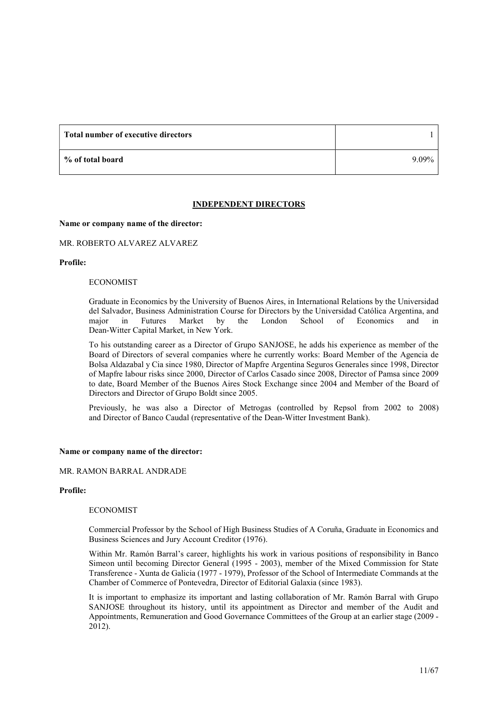| Total number of executive directors |          |
|-------------------------------------|----------|
| % of total board                    | $9.09\%$ |

#### INDEPENDENT DIRECTORS

#### Name or company name of the director:

# MR. ROBERTO ALVAREZ ALVAREZ

#### Profile:

#### ECONOMIST

Graduate in Economics by the University of Buenos Aires, in International Relations by the Universidad del Salvador, Business Administration Course for Directors by the Universidad Católica Argentina, and major in Futures Market by the London School of Economics and in Dean-Witter Capital Market, in New York.

To his outstanding career as a Director of Grupo SANJOSE, he adds his experience as member of the Board of Directors of several companies where he currently works: Board Member of the Agencia de Bolsa Aldazabal y Cia since 1980, Director of Mapfre Argentina Seguros Generales since 1998, Director of Mapfre labour risks since 2000, Director of Carlos Casado since 2008, Director of Pamsa since 2009 to date, Board Member of the Buenos Aires Stock Exchange since 2004 and Member of the Board of Directors and Director of Grupo Boldt since 2005.

Previously, he was also a Director of Metrogas (controlled by Repsol from 2002 to 2008) and Director of Banco Caudal (representative of the Dean-Witter Investment Bank).

#### Name or company name of the director:

#### MR. RAMON BARRAL ANDRADE

#### Profile:

#### ECONOMIST

Commercial Professor by the School of High Business Studies of A Coruña, Graduate in Economics and Business Sciences and Jury Account Creditor (1976).

Within Mr. Ramón Barral's career, highlights his work in various positions of responsibility in Banco Simeon until becoming Director General (1995 - 2003), member of the Mixed Commission for State Transference - Xunta de Galicia (1977 - 1979), Professor of the School of Intermediate Commands at the Chamber of Commerce of Pontevedra, Director of Editorial Galaxia (since 1983).

It is important to emphasize its important and lasting collaboration of Mr. Ramón Barral with Grupo SANJOSE throughout its history, until its appointment as Director and member of the Audit and Appointments, Remuneration and Good Governance Committees of the Group at an earlier stage (2009 - 2012).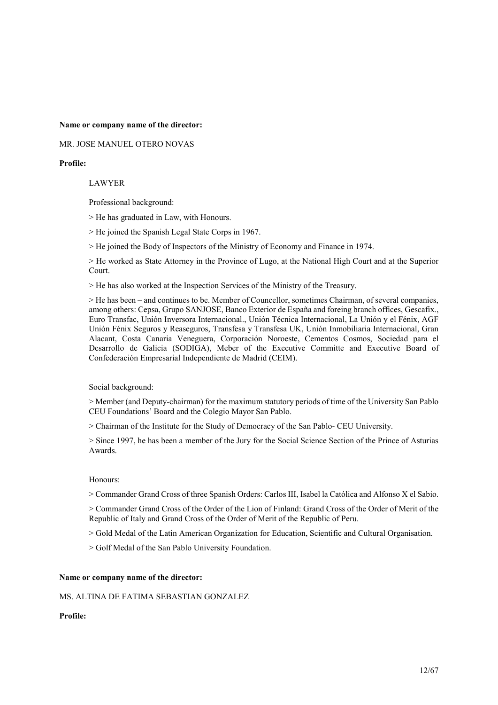Name or company name of the director:

MR. JOSE MANUEL OTERO NOVAS

#### Profile:

#### LAWYER

Professional background:

> He has graduated in Law, with Honours.

> He joined the Spanish Legal State Corps in 1967.

> He joined the Body of Inspectors of the Ministry of Economy and Finance in 1974.

> He worked as State Attorney in the Province of Lugo, at the National High Court and at the Superior Court.

> He has also worked at the Inspection Services of the Ministry of the Treasury.

> He has been – and continues to be. Member of Councellor, sometimes Chairman, of several companies, among others: Cepsa, Grupo SANJOSE, Banco Exterior de España and foreing branch offices, Gescafix., Euro Transfac, Unión Inversora Internacional., Unión Técnica Internacional, La Unión y el Fénix, AGF Unión Fénix Seguros y Reaseguros, Transfesa y Transfesa UK, Unión Inmobiliaria Internacional, Gran Alacant, Costa Canaria Veneguera, Corporación Noroeste, Cementos Cosmos, Sociedad para el Desarrollo de Galicia (SODIGA), Meber of the Executive Committe and Executive Board of Confederación Empresarial Independiente de Madrid (CEIM).

Social background:

> Member (and Deputy-chairman) for the maximum statutory periods of time of the University San Pablo CEU Foundations' Board and the Colegio Mayor San Pablo.

> Chairman of the Institute for the Study of Democracy of the San Pablo- CEU University.

> Since 1997, he has been a member of the Jury for the Social Science Section of the Prince of Asturias Awards.

#### Honours:

> Commander Grand Cross of three Spanish Orders: Carlos III, Isabel la Católica and Alfonso X el Sabio.

> Commander Grand Cross of the Order of the Lion of Finland: Grand Cross of the Order of Merit of the Republic of Italy and Grand Cross of the Order of Merit of the Republic of Peru.

> Gold Medal of the Latin American Organization for Education, Scientific and Cultural Organisation.

> Golf Medal of the San Pablo University Foundation.

#### Name or company name of the director:

#### MS. ALTINA DE FATIMA SEBASTIAN GONZALEZ

# Profile: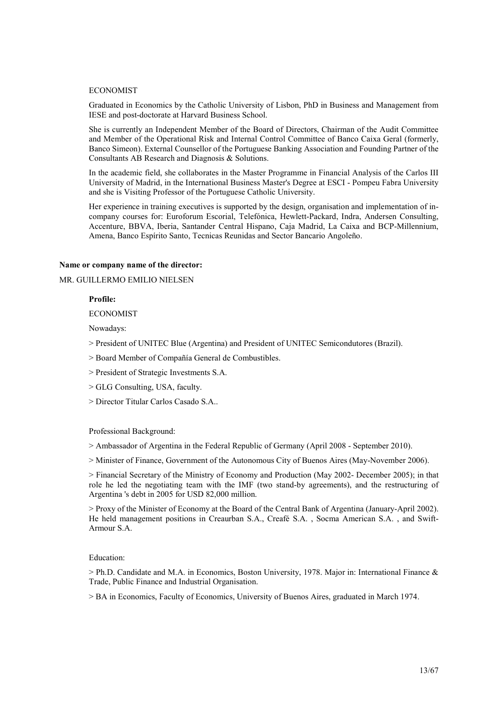#### ECONOMIST

Graduated in Economics by the Catholic University of Lisbon, PhD in Business and Management from IESE and post-doctorate at Harvard Business School.

She is currently an Independent Member of the Board of Directors, Chairman of the Audit Committee and Member of the Operational Risk and Internal Control Committee of Banco Caixa Geral (formerly, Banco Simeon). External Counsellor of the Portuguese Banking Association and Founding Partner of the Consultants AB Research and Diagnosis & Solutions.

In the academic field, she collaborates in the Master Programme in Financial Analysis of the Carlos III University of Madrid, in the International Business Master's Degree at ESCI - Pompeu Fabra University and she is Visiting Professor of the Portuguese Catholic University.

Her experience in training executives is supported by the design, organisation and implementation of incompany courses for: Euroforum Escorial, Telefónica, Hewlett-Packard, Indra, Andersen Consulting, Accenture, BBVA, Iberia, Santander Central Hispano, Caja Madrid, La Caixa and BCP-Millennium, Amena, Banco Espírito Santo, Tecnicas Reunidas and Sector Bancario Angoleño.

#### Name or company name of the director:

MR. GUILLERMO EMILIO NIELSEN

# Profile:

ECONOMIST

Nowadays:

- > President of UNITEC Blue (Argentina) and President of UNITEC Semicondutores (Brazil).
- > Board Member of Compañía General de Combustibles.
- > President of Strategic Investments S.A.
- > GLG Consulting, USA, faculty.
- > Director Titular Carlos Casado S.A..

#### Professional Background:

> Ambassador of Argentina in the Federal Republic of Germany (April 2008 - September 2010).

> Minister of Finance, Government of the Autonomous City of Buenos Aires (May-November 2006).

> Financial Secretary of the Ministry of Economy and Production (May 2002- December 2005); in that role he led the negotiating team with the IMF (two stand-by agreements), and the restructuring of Argentina 's debt in 2005 for USD 82,000 million.

> Proxy of the Minister of Economy at the Board of the Central Bank of Argentina (January-April 2002). He held management positions in Creaurban S.A., Creafé S.A. , Socma American S.A. , and Swift-Armour S.A.

#### Education:

 $>$  Ph.D. Candidate and M.A. in Economics, Boston University, 1978. Major in: International Finance & Trade, Public Finance and Industrial Organisation.

> BA in Economics, Faculty of Economics, University of Buenos Aires, graduated in March 1974.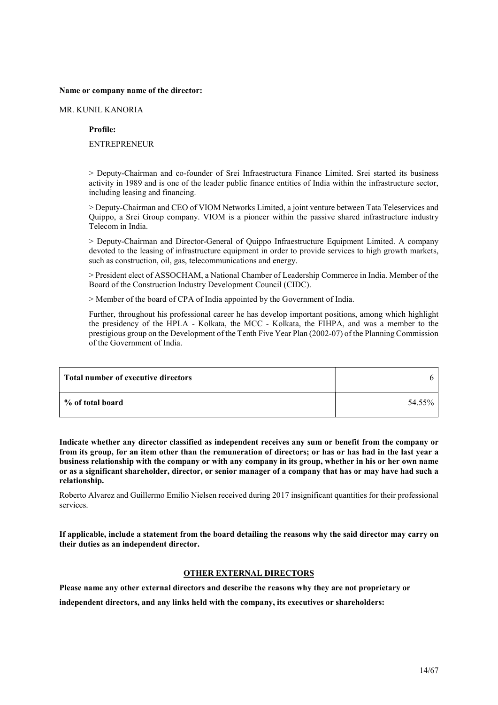#### Name or company name of the director:

MR. KUNIL KANORIA

Profile:

**ENTREPRENEUR** 

> Deputy-Chairman and co-founder of Srei Infraestructura Finance Limited. Srei started its business activity in 1989 and is one of the leader public finance entities of India within the infrastructure sector, including leasing and financing.

> Deputy-Chairman and CEO of VIOM Networks Limited, a joint venture between Tata Teleservices and Quippo, a Srei Group company. VIOM is a pioneer within the passive shared infrastructure industry Telecom in India.

> Deputy-Chairman and Director-General of Quippo Infraestructure Equipment Limited. A company devoted to the leasing of infrastructure equipment in order to provide services to high growth markets, such as construction, oil, gas, telecommunications and energy.

> President elect of ASSOCHAM, a National Chamber of Leadership Commerce in India. Member of the Board of the Construction Industry Development Council (CIDC).

> Member of the board of CPA of India appointed by the Government of India.

Further, throughout his professional career he has develop important positions, among which highlight the presidency of the HPLA - Kolkata, the MCC - Kolkata, the FIHPA, and was a member to the prestigious group on the Development of the Tenth Five Year Plan (2002-07) of the Planning Commission of the Government of India.

| Total number of executive directors |        |
|-------------------------------------|--------|
| % of total board                    | 54.55% |

Indicate whether any director classified as independent receives any sum or benefit from the company or from its group, for an item other than the remuneration of directors; or has or has had in the last year a business relationship with the company or with any company in its group, whether in his or her own name or as a significant shareholder, director, or senior manager of a company that has or may have had such a relationship.

Roberto Alvarez and Guillermo Emilio Nielsen received during 2017 insignificant quantities for their professional services.

If applicable, include a statement from the board detailing the reasons why the said director may carry on their duties as an independent director.

# OTHER EXTERNAL DIRECTORS

Please name any other external directors and describe the reasons why they are not proprietary or independent directors, and any links held with the company, its executives or shareholders: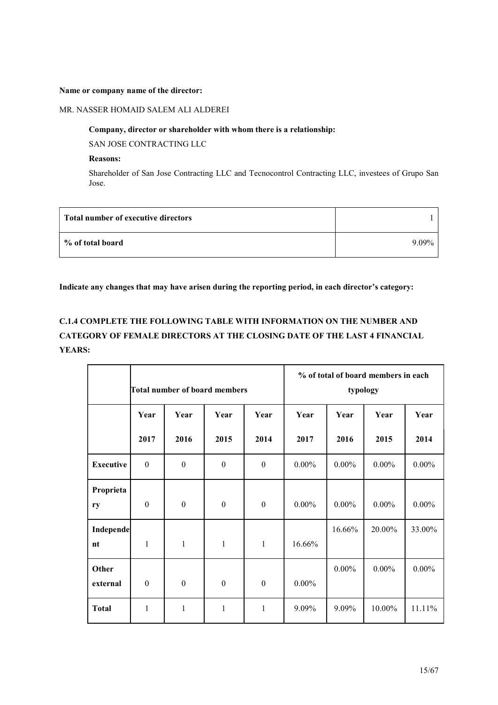#### Name or company name of the director:

#### MR. NASSER HOMAID SALEM ALI ALDEREI

#### Company, director or shareholder with whom there is a relationship:

SAN JOSE CONTRACTING LLC

### Reasons:

Shareholder of San Jose Contracting LLC and Tecnocontrol Contracting LLC, investees of Grupo San Jose.

| Total number of executive directors |          |
|-------------------------------------|----------|
| % of total board                    | $9.09\%$ |

# Indicate any changes that may have arisen during the reporting period, in each director's category:

# C.1.4 COMPLETE THE FOLLOWING TABLE WITH INFORMATION ON THE NUMBER AND CATEGORY OF FEMALE DIRECTORS AT THE CLOSING DATE OF THE LAST 4 FINANCIAL YEARS:

|                        | Total number of board members |                  |                  |                  |          | typology | % of total of board members in each |          |
|------------------------|-------------------------------|------------------|------------------|------------------|----------|----------|-------------------------------------|----------|
|                        | Year                          | Year             | Year             | Year             | Year     | Year     | Year                                | Year     |
|                        | 2017                          | 2016             | 2015             | 2014             | 2017     | 2016     | 2015                                | 2014     |
| <b>Executive</b>       | $\boldsymbol{0}$              | $\boldsymbol{0}$ | $\boldsymbol{0}$ | $\theta$         | $0.00\%$ | $0.00\%$ | $0.00\%$                            | $0.00\%$ |
| Proprieta<br>ry        | $\boldsymbol{0}$              | $\boldsymbol{0}$ | $\boldsymbol{0}$ | $\boldsymbol{0}$ | $0.00\%$ | $0.00\%$ | $0.00\%$                            | $0.00\%$ |
| <b>Independe</b><br>nt | $\mathbf{1}$                  | $\mathbf{1}$     | 1                | $\mathbf{1}$     | 16.66%   | 16.66%   | 20.00%                              | 33.00%   |
| Other<br>external      | $\boldsymbol{0}$              | $\boldsymbol{0}$ | $\boldsymbol{0}$ | $\theta$         | $0.00\%$ | $0.00\%$ | $0.00\%$                            | $0.00\%$ |
| <b>Total</b>           | $\mathbf{1}$                  | 1                | $\mathbf{1}$     | 1                | 9.09%    | 9.09%    | 10.00%                              | 11.11%   |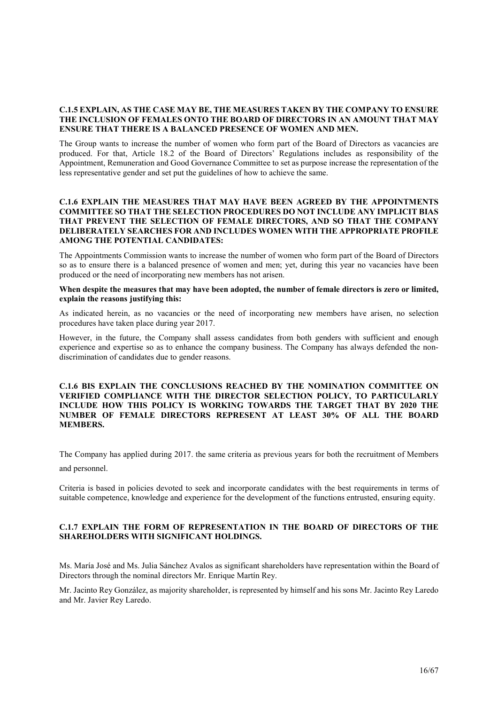### C.1.5 EXPLAIN, AS THE CASE MAY BE, THE MEASURES TAKEN BY THE COMPANY TO ENSURE THE INCLUSION OF FEMALES ONTO THE BOARD OF DIRECTORS IN AN AMOUNT THAT MAY ENSURE THAT THERE IS A BALANCED PRESENCE OF WOMEN AND MEN.

The Group wants to increase the number of women who form part of the Board of Directors as vacancies are produced. For that, Article 18.2 of the Board of Directors' Regulations includes as responsibility of the Appointment, Remuneration and Good Governance Committee to set as purpose increase the representation of the less representative gender and set put the guidelines of how to achieve the same.

# C.1.6 EXPLAIN THE MEASURES THAT MAY HAVE BEEN AGREED BY THE APPOINTMENTS COMMITTEE SO THAT THE SELECTION PROCEDURES DO NOT INCLUDE ANY IMPLICIT BIAS THAT PREVENT THE SELECTION OF FEMALE DIRECTORS, AND SO THAT THE COMPANY DELIBERATELY SEARCHES FOR AND INCLUDES WOMEN WITH THE APPROPRIATE PROFILE AMONG THE POTENTIAL CANDIDATES:

The Appointments Commission wants to increase the number of women who form part of the Board of Directors so as to ensure there is a balanced presence of women and men; yet, during this year no vacancies have been produced or the need of incorporating new members has not arisen.

#### When despite the measures that may have been adopted, the number of female directors is zero or limited, explain the reasons justifying this:

As indicated herein, as no vacancies or the need of incorporating new members have arisen, no selection procedures have taken place during year 2017.

However, in the future, the Company shall assess candidates from both genders with sufficient and enough experience and expertise so as to enhance the company business. The Company has always defended the nondiscrimination of candidates due to gender reasons.

#### C.1.6 BIS EXPLAIN THE CONCLUSIONS REACHED BY THE NOMINATION COMMITTEE ON VERIFIED COMPLIANCE WITH THE DIRECTOR SELECTION POLICY, TO PARTICULARLY INCLUDE HOW THIS POLICY IS WORKING TOWARDS THE TARGET THAT BY 2020 THE NUMBER OF FEMALE DIRECTORS REPRESENT AT LEAST 30% OF ALL THE BOARD MEMBERS.

The Company has applied during 2017. the same criteria as previous years for both the recruitment of Members and personnel.

Criteria is based in policies devoted to seek and incorporate candidates with the best requirements in terms of suitable competence, knowledge and experience for the development of the functions entrusted, ensuring equity.

# C.1.7 EXPLAIN THE FORM OF REPRESENTATION IN THE BOARD OF DIRECTORS OF THE SHAREHOLDERS WITH SIGNIFICANT HOLDINGS.

Ms. María José and Ms. Julia Sánchez Avalos as significant shareholders have representation within the Board of Directors through the nominal directors Mr. Enrique Martín Rey.

Mr. Jacinto Rey González, as majority shareholder, is represented by himself and his sons Mr. Jacinto Rey Laredo and Mr. Javier Rey Laredo.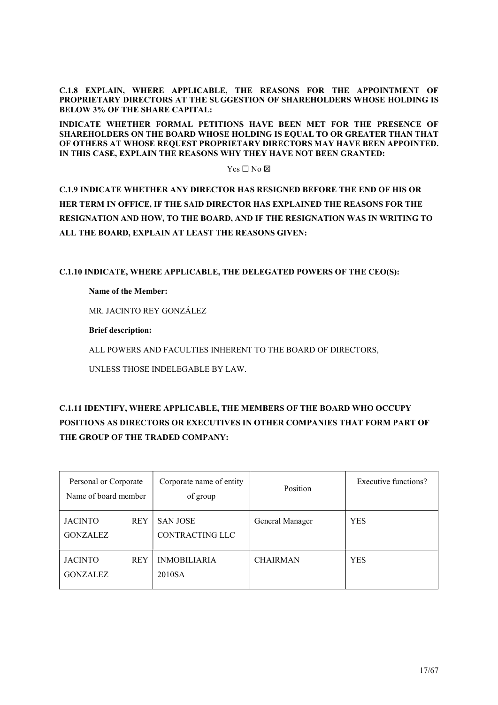C.1.8 EXPLAIN, WHERE APPLICABLE, THE REASONS FOR THE APPOINTMENT OF PROPRIETARY DIRECTORS AT THE SUGGESTION OF SHAREHOLDERS WHOSE HOLDING IS BELOW 3% OF THE SHARE CAPITAL:

INDICATE WHETHER FORMAL PETITIONS HAVE BEEN MET FOR THE PRESENCE OF SHAREHOLDERS ON THE BOARD WHOSE HOLDING IS EQUAL TO OR GREATER THAN THAT OF OTHERS AT WHOSE REQUEST PROPRIETARY DIRECTORS MAY HAVE BEEN APPOINTED. IN THIS CASE, EXPLAIN THE REASONS WHY THEY HAVE NOT BEEN GRANTED:

 $Yes \Box No \boxtimes$ 

C.1.9 INDICATE WHETHER ANY DIRECTOR HAS RESIGNED BEFORE THE END OF HIS OR HER TERM IN OFFICE, IF THE SAID DIRECTOR HAS EXPLAINED THE REASONS FOR THE RESIGNATION AND HOW, TO THE BOARD, AND IF THE RESIGNATION WAS IN WRITING TO ALL THE BOARD, EXPLAIN AT LEAST THE REASONS GIVEN:

C.1.10 INDICATE, WHERE APPLICABLE, THE DELEGATED POWERS OF THE CEO(S):

# Name of the Member:

MR. JACINTO REY GONZÁLEZ

Brief description:

ALL POWERS AND FACULTIES INHERENT TO THE BOARD OF DIRECTORS,

UNLESS THOSE INDELEGABLE BY LAW.

# C.1.11 IDENTIFY, WHERE APPLICABLE, THE MEMBERS OF THE BOARD WHO OCCUPY POSITIONS AS DIRECTORS OR EXECUTIVES IN OTHER COMPANIES THAT FORM PART OF THE GROUP OF THE TRADED COMPANY:

| Personal or Corporate<br>Name of board member |            | Corporate name of entity<br>of group | Position        | Executive functions? |
|-----------------------------------------------|------------|--------------------------------------|-----------------|----------------------|
| <b>JACINTO</b><br><b>GONZALEZ</b>             | <b>REY</b> | <b>SAN JOSE</b><br>CONTRACTING LLC   | General Manager | <b>YES</b>           |
| <b>JACINTO</b><br><b>GONZALEZ</b>             | <b>REY</b> | <b>INMOBILIARIA</b><br>2010SA        | <b>CHAIRMAN</b> | <b>YES</b>           |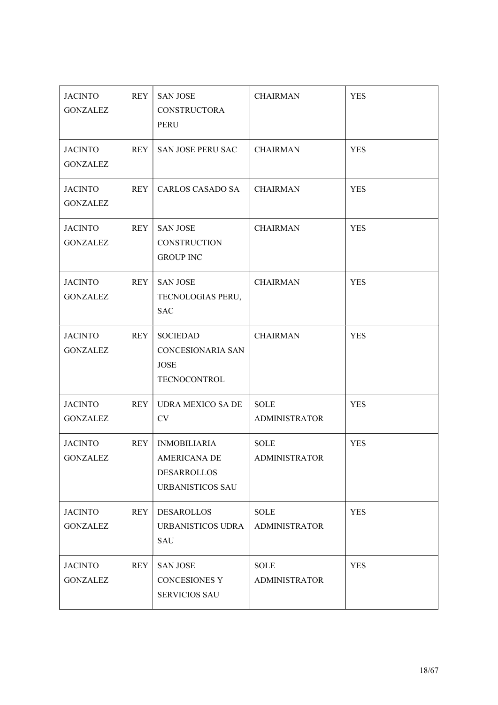| <b>JACINTO</b><br><b>GONZALEZ</b> | <b>REY</b> | <b>SAN JOSE</b><br>CONSTRUCTORA<br>PERU                                       | <b>CHAIRMAN</b>                     | <b>YES</b> |
|-----------------------------------|------------|-------------------------------------------------------------------------------|-------------------------------------|------------|
| JACINTO<br><b>GONZALEZ</b>        | REY        | SAN JOSE PERU SAC                                                             | <b>CHAIRMAN</b>                     | <b>YES</b> |
| JACINTO<br><b>GONZALEZ</b>        | <b>REY</b> | <b>CARLOS CASADO SA</b>                                                       | <b>CHAIRMAN</b>                     | <b>YES</b> |
| <b>JACINTO</b><br><b>GONZALEZ</b> | REY        | <b>SAN JOSE</b><br><b>CONSTRUCTION</b><br><b>GROUP INC</b>                    | <b>CHAIRMAN</b>                     | <b>YES</b> |
| <b>JACINTO</b><br><b>GONZALEZ</b> | <b>REY</b> | <b>SAN JOSE</b><br>TECNOLOGIAS PERU,<br><b>SAC</b>                            | <b>CHAIRMAN</b>                     | <b>YES</b> |
| <b>JACINTO</b><br><b>GONZALEZ</b> | <b>REY</b> | <b>SOCIEDAD</b><br>CONCESIONARIA SAN<br>JOSE<br><b>TECNOCONTROL</b>           | <b>CHAIRMAN</b>                     | <b>YES</b> |
| JACINTO<br><b>GONZALEZ</b>        | REY        | <b>UDRA MEXICO SA DE</b><br>CV                                                | <b>SOLE</b><br><b>ADMINISTRATOR</b> | <b>YES</b> |
| <b>JACINTO</b><br><b>GONZALEZ</b> | <b>REY</b> | <b>INMOBILIARIA</b><br>AMERICANA DE<br>DESARROLLOS<br><b>URBANISTICOS SAU</b> | <b>SOLE</b><br><b>ADMINISTRATOR</b> | <b>YES</b> |
| <b>JACINTO</b><br><b>GONZALEZ</b> | <b>REY</b> | DESAROLLOS<br>URBANISTICOS UDRA<br>SAU                                        | <b>SOLE</b><br><b>ADMINISTRATOR</b> | <b>YES</b> |
| <b>JACINTO</b><br><b>GONZALEZ</b> | <b>REY</b> | <b>SAN JOSE</b><br><b>CONCESIONES Y</b><br><b>SERVICIOS SAU</b>               | <b>SOLE</b><br><b>ADMINISTRATOR</b> | <b>YES</b> |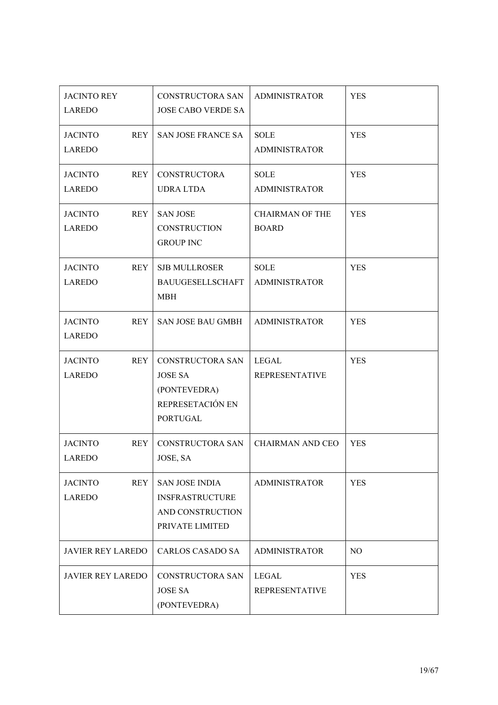| <b>JACINTO REY</b><br><b>LAREDO</b>           | CONSTRUCTORA SAN<br><b>JOSE CABO VERDE SA</b>                                             | <b>ADMINISTRATOR</b>                   | <b>YES</b>     |
|-----------------------------------------------|-------------------------------------------------------------------------------------------|----------------------------------------|----------------|
| <b>REY</b><br><b>JACINTO</b><br><b>LAREDO</b> | SAN JOSE FRANCE SA                                                                        | <b>SOLE</b><br><b>ADMINISTRATOR</b>    | <b>YES</b>     |
| <b>REY</b><br><b>JACINTO</b><br><b>LAREDO</b> | <b>CONSTRUCTORA</b><br><b>UDRA LTDA</b>                                                   | <b>SOLE</b><br><b>ADMINISTRATOR</b>    | <b>YES</b>     |
| <b>REY</b><br><b>JACINTO</b><br><b>LAREDO</b> | <b>SAN JOSE</b><br><b>CONSTRUCTION</b><br><b>GROUP INC</b>                                | <b>CHAIRMAN OF THE</b><br><b>BOARD</b> | <b>YES</b>     |
| <b>JACINTO</b><br><b>REY</b><br><b>LAREDO</b> | <b>SJB MULLROSER</b><br><b>BAUUGESELLSCHAFT</b><br><b>MBH</b>                             | <b>SOLE</b><br><b>ADMINISTRATOR</b>    | <b>YES</b>     |
| <b>JACINTO</b><br><b>REY</b><br><b>LAREDO</b> | SAN JOSE BAU GMBH                                                                         | <b>ADMINISTRATOR</b>                   | <b>YES</b>     |
| <b>JACINTO</b><br><b>REY</b><br>LAREDO        | CONSTRUCTORA SAN<br><b>JOSE SA</b><br>(PONTEVEDRA)<br>REPRESETACIÓN EN<br><b>PORTUGAL</b> | LEGAL<br><b>REPRESENTATIVE</b>         | <b>YES</b>     |
| <b>JACINTO</b><br><b>REY</b><br><b>LAREDO</b> | CONSTRUCTORA SAN<br>JOSE, SA                                                              | <b>CHAIRMAN AND CEO</b>                | <b>YES</b>     |
| <b>REY</b><br><b>JACINTO</b><br><b>LAREDO</b> | <b>SAN JOSE INDIA</b><br><b>INSFRASTRUCTURE</b><br>AND CONSTRUCTION<br>PRIVATE LIMITED    | <b>ADMINISTRATOR</b>                   | <b>YES</b>     |
| <b>JAVIER REY LAREDO</b>                      | <b>CARLOS CASADO SA</b>                                                                   | <b>ADMINISTRATOR</b>                   | N <sub>O</sub> |
| <b>JAVIER REY LAREDO</b>                      | CONSTRUCTORA SAN<br><b>JOSE SA</b><br>(PONTEVEDRA)                                        | <b>LEGAL</b><br><b>REPRESENTATIVE</b>  | <b>YES</b>     |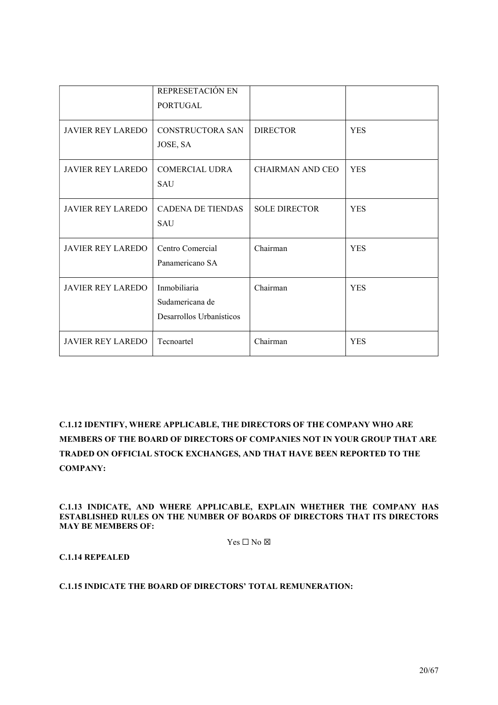|                          | REPRESETACIÓN EN<br><b>PORTUGAL</b>                         |                         |            |
|--------------------------|-------------------------------------------------------------|-------------------------|------------|
| <b>JAVIER REY LAREDO</b> | CONSTRUCTORA SAN<br>JOSE, SA                                | <b>DIRECTOR</b>         | <b>YES</b> |
| <b>JAVIER REY LAREDO</b> | <b>COMERCIAL UDRA</b><br><b>SAU</b>                         | <b>CHAIRMAN AND CEO</b> | <b>YES</b> |
| <b>JAVIER REY LAREDO</b> | <b>CADENA DE TIENDAS</b><br><b>SAU</b>                      | <b>SOLE DIRECTOR</b>    | <b>YES</b> |
| <b>JAVIER REY LAREDO</b> | Centro Comercial<br>Panamericano SA                         | Chairman                | <b>YES</b> |
| <b>JAVIER REY LAREDO</b> | Inmobiliaria<br>Sudamericana de<br>Desarrollos Urbanísticos | Chairman                | <b>YES</b> |
| <b>JAVIER REY LAREDO</b> | Tecnoartel                                                  | Chairman                | <b>YES</b> |

C.1.12 IDENTIFY, WHERE APPLICABLE, THE DIRECTORS OF THE COMPANY WHO ARE MEMBERS OF THE BOARD OF DIRECTORS OF COMPANIES NOT IN YOUR GROUP THAT ARE TRADED ON OFFICIAL STOCK EXCHANGES, AND THAT HAVE BEEN REPORTED TO THE COMPANY:

C.1.13 INDICATE, AND WHERE APPLICABLE, EXPLAIN WHETHER THE COMPANY HAS ESTABLISHED RULES ON THE NUMBER OF BOARDS OF DIRECTORS THAT ITS DIRECTORS MAY BE MEMBERS OF:

 $Yes \Box No \boxtimes$ 

C.1.14 REPEALED

C.1.15 INDICATE THE BOARD OF DIRECTORS' TOTAL REMUNERATION: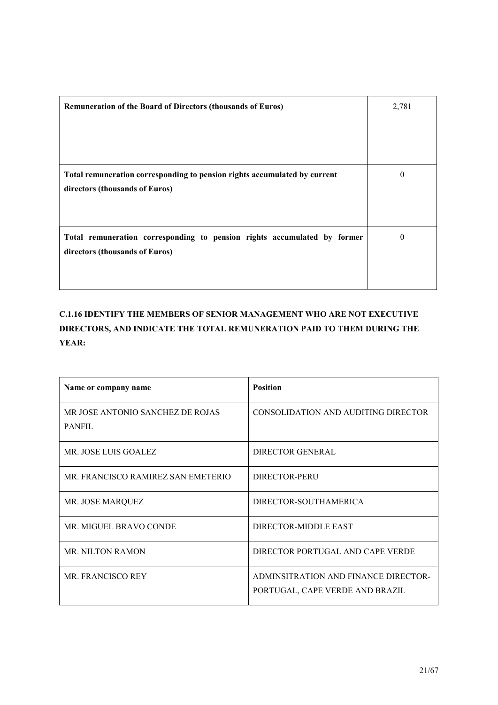| Remuneration of the Board of Directors (thousands of Euros)               | 2,781    |
|---------------------------------------------------------------------------|----------|
|                                                                           |          |
|                                                                           |          |
| Total remuneration corresponding to pension rights accumulated by current | $\theta$ |
| directors (thousands of Euros)                                            |          |
|                                                                           |          |
| Total remuneration corresponding to pension rights accumulated by former  | $\theta$ |
| directors (thousands of Euros)                                            |          |
|                                                                           |          |

C.1.16 IDENTIFY THE MEMBERS OF SENIOR MANAGEMENT WHO ARE NOT EXECUTIVE DIRECTORS, AND INDICATE THE TOTAL REMUNERATION PAID TO THEM DURING THE YEAR:

| Name or company name                              | <b>Position</b>                                                         |
|---------------------------------------------------|-------------------------------------------------------------------------|
| MR JOSE ANTONIO SANCHEZ DE ROJAS<br><b>PANFIL</b> | CONSOLIDATION AND AUDITING DIRECTOR                                     |
| MR. JOSE LUIS GOALEZ                              | DIRECTOR GENERAL                                                        |
| MR. FRANCISCO RAMIREZ SAN EMETERIO                | DIRECTOR-PERU                                                           |
| MR. JOSE MARQUEZ                                  | DIRECTOR-SOUTHAMERICA                                                   |
| MR. MIGUEL BRAVO CONDE                            | DIRECTOR-MIDDLE EAST                                                    |
| <b>MR. NILTON RAMON</b>                           | DIRECTOR PORTUGAL AND CAPE VERDE                                        |
| <b>MR. FRANCISCO REY</b>                          | ADMINSITRATION AND FINANCE DIRECTOR-<br>PORTUGAL, CAPE VERDE AND BRAZIL |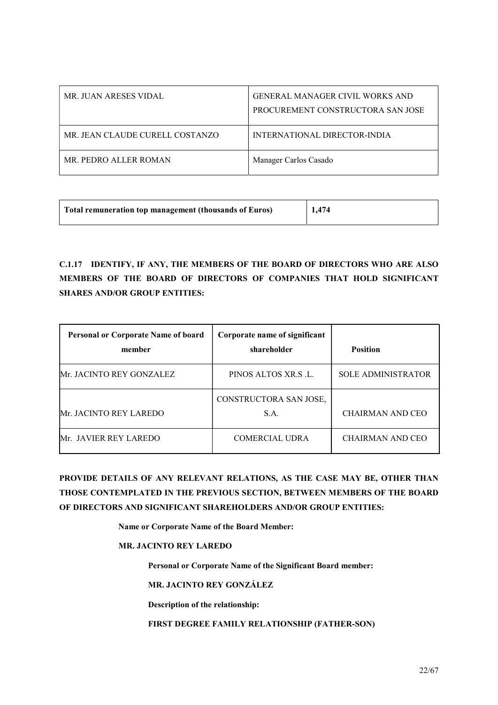| MR. JUAN ARESES VIDAL           | <b>GENERAL MANAGER CIVIL WORKS AND</b><br>PROCUREMENT CONSTRUCTORA SAN JOSE |
|---------------------------------|-----------------------------------------------------------------------------|
| MR. JEAN CLAUDE CURELL COSTANZO | INTERNATIONAL DIRECTOR-INDIA                                                |
| MR. PEDRO ALLER ROMAN           | Manager Carlos Casado                                                       |

| Total remuneration top management (thousands of Euros) | 1,474 |
|--------------------------------------------------------|-------|
|                                                        |       |

C.1.17 IDENTIFY, IF ANY, THE MEMBERS OF THE BOARD OF DIRECTORS WHO ARE ALSO MEMBERS OF THE BOARD OF DIRECTORS OF COMPANIES THAT HOLD SIGNIFICANT SHARES AND/OR GROUP ENTITIES:

| <b>Personal or Corporate Name of board</b><br>member | Corporate name of significant<br>shareholder | <b>Position</b>           |
|------------------------------------------------------|----------------------------------------------|---------------------------|
| <b>Mr. JACINTO REY GONZALEZ</b>                      | PINOS ALTOS XR.S.L.                          | <b>SOLE ADMINISTRATOR</b> |
| Mr. JACINTO REY LAREDO                               | CONSTRUCTORA SAN JOSE,<br>S.A.               | CHAIRMAN AND CEO          |
| Mr. JAVIER REY LAREDO                                | <b>COMERCIAL UDRA</b>                        | <b>CHAIRMAN AND CEO</b>   |

PROVIDE DETAILS OF ANY RELEVANT RELATIONS, AS THE CASE MAY BE, OTHER THAN THOSE CONTEMPLATED IN THE PREVIOUS SECTION, BETWEEN MEMBERS OF THE BOARD OF DIRECTORS AND SIGNIFICANT SHAREHOLDERS AND/OR GROUP ENTITIES:

Name or Corporate Name of the Board Member:

MR. JACINTO REY LAREDO

Personal or Corporate Name of the Significant Board member:

MR. JACINTO REY GONZÁLEZ

Description of the relationship:

FIRST DEGREE FAMILY RELATIONSHIP (FATHER-SON)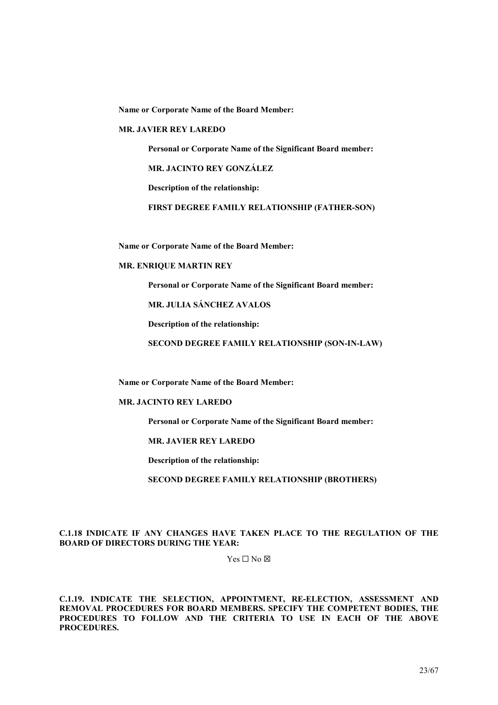Name or Corporate Name of the Board Member:

#### MR. JAVIER REY LAREDO

Personal or Corporate Name of the Significant Board member:

MR. JACINTO REY GONZÁLEZ

Description of the relationship:

FIRST DEGREE FAMILY RELATIONSHIP (FATHER-SON)

Name or Corporate Name of the Board Member:

# MR. ENRIQUE MARTIN REY

Personal or Corporate Name of the Significant Board member:

MR. JULIA SÁNCHEZ AVALOS

Description of the relationship:

SECOND DEGREE FAMILY RELATIONSHIP (SON-IN-LAW)

Name or Corporate Name of the Board Member:

#### MR. JACINTO REY LAREDO

Personal or Corporate Name of the Significant Board member:

MR. JAVIER REY LAREDO

Description of the relationship:

SECOND DEGREE FAMILY RELATIONSHIP (BROTHERS)

#### C.1.18 INDICATE IF ANY CHANGES HAVE TAKEN PLACE TO THE REGULATION OF THE BOARD OF DIRECTORS DURING THE YEAR:

 $Yes \Box No \boxtimes$ 

C.1.19. INDICATE THE SELECTION, APPOINTMENT, RE-ELECTION, ASSESSMENT AND REMOVAL PROCEDURES FOR BOARD MEMBERS. SPECIFY THE COMPETENT BODIES, THE PROCEDURES TO FOLLOW AND THE CRITERIA TO USE IN EACH OF THE ABOVE PROCEDURES.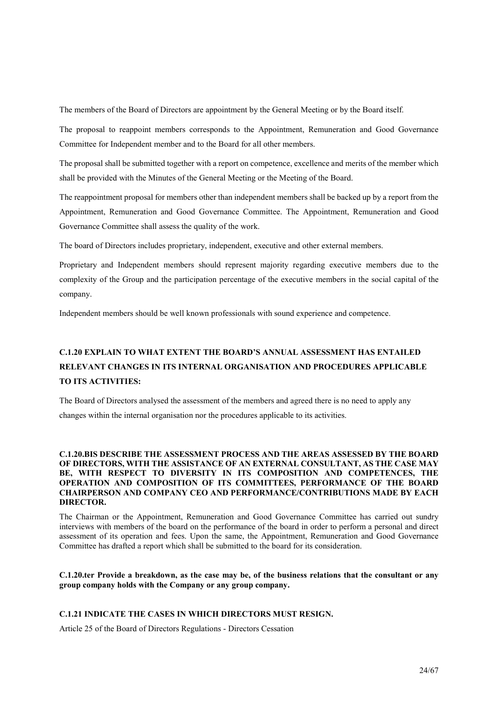The members of the Board of Directors are appointment by the General Meeting or by the Board itself.

The proposal to reappoint members corresponds to the Appointment, Remuneration and Good Governance Committee for Independent member and to the Board for all other members.

The proposal shall be submitted together with a report on competence, excellence and merits of the member which shall be provided with the Minutes of the General Meeting or the Meeting of the Board.

The reappointment proposal for members other than independent members shall be backed up by a report from the Appointment, Remuneration and Good Governance Committee. The Appointment, Remuneration and Good Governance Committee shall assess the quality of the work.

The board of Directors includes proprietary, independent, executive and other external members.

Proprietary and Independent members should represent majority regarding executive members due to the complexity of the Group and the participation percentage of the executive members in the social capital of the company.

Independent members should be well known professionals with sound experience and competence.

# C.1.20 EXPLAIN TO WHAT EXTENT THE BOARD'S ANNUAL ASSESSMENT HAS ENTAILED RELEVANT CHANGES IN ITS INTERNAL ORGANISATION AND PROCEDURES APPLICABLE TO ITS ACTIVITIES:

The Board of Directors analysed the assessment of the members and agreed there is no need to apply any changes within the internal organisation nor the procedures applicable to its activities.

# C.1.20.BIS DESCRIBE THE ASSESSMENT PROCESS AND THE AREAS ASSESSED BY THE BOARD OF DIRECTORS, WITH THE ASSISTANCE OF AN EXTERNAL CONSULTANT, AS THE CASE MAY BE, WITH RESPECT TO DIVERSITY IN ITS COMPOSITION AND COMPETENCES, THE OPERATION AND COMPOSITION OF ITS COMMITTEES, PERFORMANCE OF THE BOARD CHAIRPERSON AND COMPANY CEO AND PERFORMANCE/CONTRIBUTIONS MADE BY EACH DIRECTOR.

The Chairman or the Appointment, Remuneration and Good Governance Committee has carried out sundry interviews with members of the board on the performance of the board in order to perform a personal and direct assessment of its operation and fees. Upon the same, the Appointment, Remuneration and Good Governance Committee has drafted a report which shall be submitted to the board for its consideration.

#### C.1.20.ter Provide a breakdown, as the case may be, of the business relations that the consultant or any group company holds with the Company or any group company.

# C.1.21 INDICATE THE CASES IN WHICH DIRECTORS MUST RESIGN.

Article 25 of the Board of Directors Regulations - Directors Cessation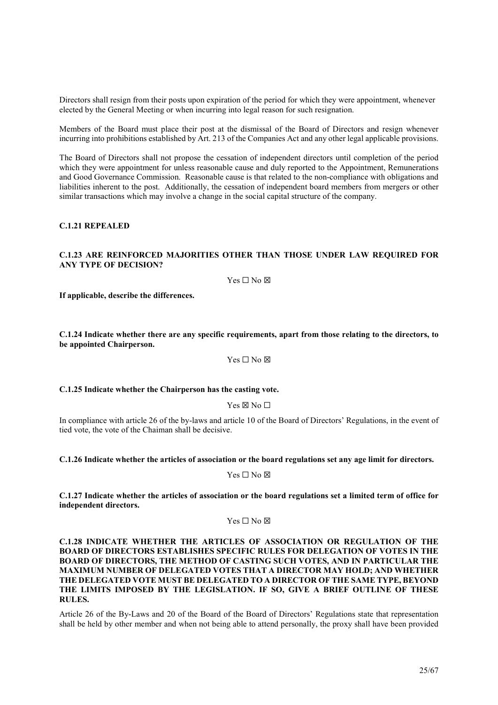Directors shall resign from their posts upon expiration of the period for which they were appointment, whenever elected by the General Meeting or when incurring into legal reason for such resignation.

Members of the Board must place their post at the dismissal of the Board of Directors and resign whenever incurring into prohibitions established by Art. 213 of the Companies Act and any other legal applicable provisions.

The Board of Directors shall not propose the cessation of independent directors until completion of the period which they were appointment for unless reasonable cause and duly reported to the Appointment, Remunerations and Good Governance Commission. Reasonable cause is that related to the non-compliance with obligations and liabilities inherent to the post. Additionally, the cessation of independent board members from mergers or other similar transactions which may involve a change in the social capital structure of the company.

#### C.1.21 REPEALED

#### C.1.23 ARE REINFORCED MAJORITIES OTHER THAN THOSE UNDER LAW REQUIRED FOR ANY TYPE OF DECISION?

 $Yes \Box No \boxtimes$ 

If applicable, describe the differences.

C.1.24 Indicate whether there are any specific requirements, apart from those relating to the directors, to be appointed Chairperson.

Yes □ No ⊠

#### C.1.25 Indicate whether the Chairperson has the casting vote.

Yes ⊠ No □

In compliance with article 26 of the by-laws and article 10 of the Board of Directors' Regulations, in the event of tied vote, the vote of the Chaiman shall be decisive.

C.1.26 Indicate whether the articles of association or the board regulations set any age limit for directors.

Yes □ No ⊠

C.1.27 Indicate whether the articles of association or the board regulations set a limited term of office for independent directors.

Yes □ No ⊠

C.1.28 INDICATE WHETHER THE ARTICLES OF ASSOCIATION OR REGULATION OF THE BOARD OF DIRECTORS ESTABLISHES SPECIFIC RULES FOR DELEGATION OF VOTES IN THE BOARD OF DIRECTORS, THE METHOD OF CASTING SUCH VOTES, AND IN PARTICULAR THE MAXIMUM NUMBER OF DELEGATED VOTES THAT A DIRECTOR MAY HOLD; AND WHETHER THE DELEGATED VOTE MUST BE DELEGATED TO A DIRECTOR OF THE SAME TYPE, BEYOND THE LIMITS IMPOSED BY THE LEGISLATION. IF SO, GIVE A BRIEF OUTLINE OF THESE RULES.

Article 26 of the By-Laws and 20 of the Board of the Board of Directors' Regulations state that representation shall be held by other member and when not being able to attend personally, the proxy shall have been provided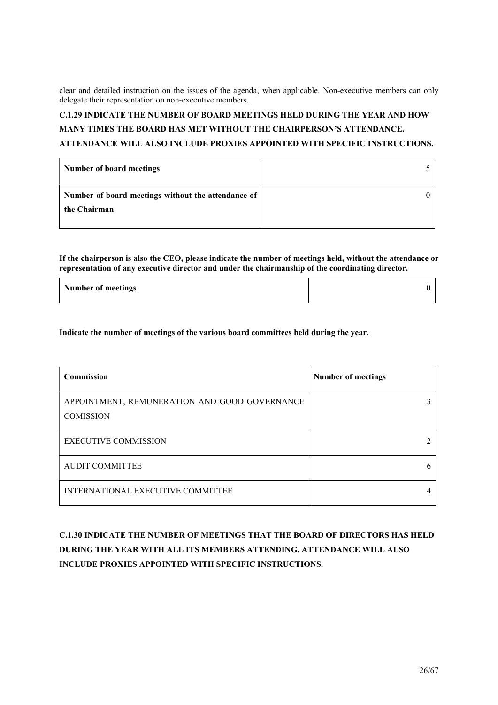clear and detailed instruction on the issues of the agenda, when applicable. Non-executive members can only delegate their representation on non-executive members.

# C.1.29 INDICATE THE NUMBER OF BOARD MEETINGS HELD DURING THE YEAR AND HOW MANY TIMES THE BOARD HAS MET WITHOUT THE CHAIRPERSON'S ATTENDANCE.

# ATTENDANCE WILL ALSO INCLUDE PROXIES APPOINTED WITH SPECIFIC INSTRUCTIONS.

| Number of board meetings                                           |  |
|--------------------------------------------------------------------|--|
| Number of board meetings without the attendance of<br>the Chairman |  |

If the chairperson is also the CEO, please indicate the number of meetings held, without the attendance or representation of any executive director and under the chairmanship of the coordinating director.

| <b>Number of meetings</b> |  |
|---------------------------|--|
|                           |  |

Indicate the number of meetings of the various board committees held during the year.

| Commission                                                        | <b>Number of meetings</b> |
|-------------------------------------------------------------------|---------------------------|
| APPOINTMENT, REMUNERATION AND GOOD GOVERNANCE<br><b>COMISSION</b> |                           |
| <b>EXECUTIVE COMMISSION</b>                                       |                           |
| <b>AUDIT COMMITTEE</b>                                            |                           |
| INTERNATIONAL EXECUTIVE COMMITTEE                                 |                           |

# C.1.30 INDICATE THE NUMBER OF MEETINGS THAT THE BOARD OF DIRECTORS HAS HELD DURING THE YEAR WITH ALL ITS MEMBERS ATTENDING. ATTENDANCE WILL ALSO INCLUDE PROXIES APPOINTED WITH SPECIFIC INSTRUCTIONS.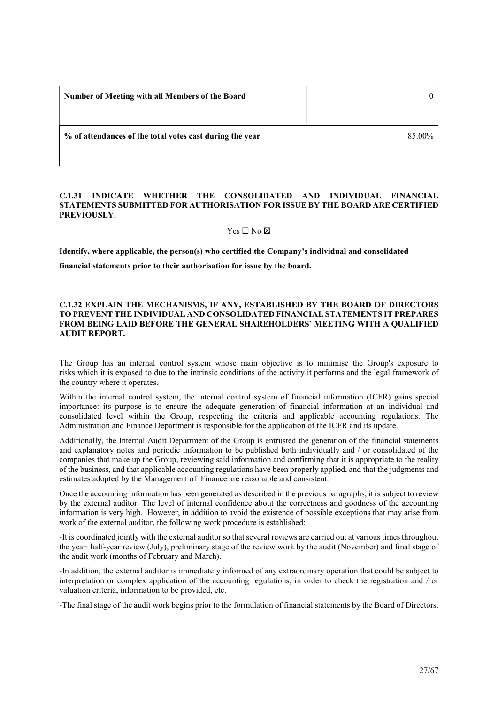| Number of Meeting with all Members of the Board          |        |
|----------------------------------------------------------|--------|
| % of attendances of the total votes cast during the year | 85.00% |

# C.1.31 INDICATE WHETHER THE CONSOLIDATED AND INDIVIDUAL FINANCIAL STATEMENTS SUBMITTED FOR AUTHORISATION FOR ISSUE BY THE BOARD ARE CERTIFIED PREVIOUSLY.

Yes ☐ No ☒

Identify, where applicable, the person(s) who certified the Company's individual and consolidated

financial statements prior to their authorisation for issue by the board.

# C.1.32 EXPLAIN THE MECHANISMS, IF ANY, ESTABLISHED BY THE BOARD OF DIRECTORS TO PREVENT THE INDIVIDUAL AND CONSOLIDATED FINANCIAL STATEMENTS IT PREPARES FROM BEING LAID BEFORE THE GENERAL SHAREHOLDERS' MEETING WITH A QUALIFIED AUDIT REPORT.

The Group has an internal control system whose main objective is to minimise the Group's exposure to risks which it is exposed to due to the intrinsic conditions of the activity it performs and the legal framework of the country where it operates.

Within the internal control system, the internal control system of financial information (ICFR) gains special importance: its purpose is to ensure the adequate generation of financial information at an individual and consolidated level within the Group, respecting the criteria and applicable accounting regulations. The Administration and Finance Department is responsible for the application of the ICFR and its update.

Additionally, the Internal Audit Department of the Group is entrusted the generation of the financial statements and explanatory notes and periodic information to be published both individually and / or consolidated of the companies that make up the Group, reviewing said information and confirming that it is appropriate to the reality of the business, and that applicable accounting regulations have been properly applied, and that the judgments and estimates adopted by the Management of Finance are reasonable and consistent.

Once the accounting information has been generated as described in the previous paragraphs, it is subject to review by the external auditor. The level of internal confidence about the correctness and goodness of the accounting information is very high. However, in addition to avoid the existence of possible exceptions that may arise from work of the external auditor, the following work procedure is established:

-It is coordinated jointly with the external auditor so that several reviews are carried out at various times throughout the year: half-year review (July), preliminary stage of the review work by the audit (November) and final stage of the audit work (months of February and March).

-In addition, the external auditor is immediately informed of any extraordinary operation that could be subject to interpretation or complex application of the accounting regulations, in order to check the registration and / or valuation criteria, information to be provided, etc.

-The final stage of the audit work begins prior to the formulation of financial statements by the Board of Directors.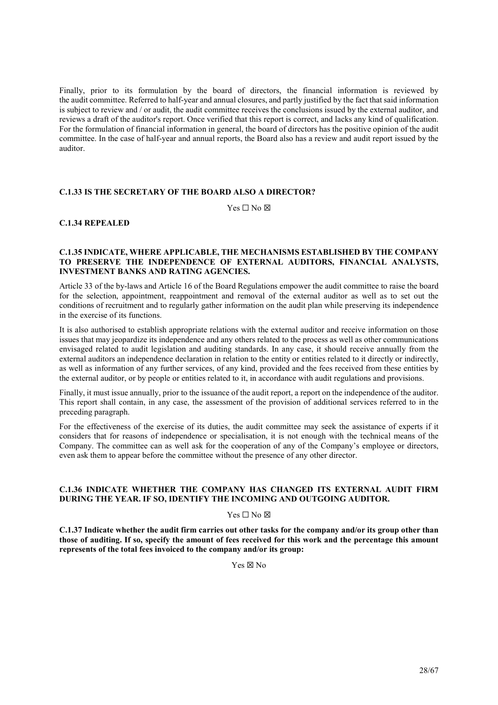Finally, prior to its formulation by the board of directors, the financial information is reviewed by the audit committee. Referred to half-year and annual closures, and partly justified by the fact that said information is subject to review and / or audit, the audit committee receives the conclusions issued by the external auditor, and reviews a draft of the auditor's report. Once verified that this report is correct, and lacks any kind of qualification. For the formulation of financial information in general, the board of directors has the positive opinion of the audit committee. In the case of half-year and annual reports, the Board also has a review and audit report issued by the auditor.

# C.1.33 IS THE SECRETARY OF THE BOARD ALSO A DIRECTOR?

 $Yes \Box No \boxtimes$ 

# C.1.34 REPEALED

# C.1.35 INDICATE, WHERE APPLICABLE, THE MECHANISMS ESTABLISHED BY THE COMPANY TO PRESERVE THE INDEPENDENCE OF EXTERNAL AUDITORS, FINANCIAL ANALYSTS, INVESTMENT BANKS AND RATING AGENCIES.

Article 33 of the by-laws and Article 16 of the Board Regulations empower the audit committee to raise the board for the selection, appointment, reappointment and removal of the external auditor as well as to set out the conditions of recruitment and to regularly gather information on the audit plan while preserving its independence in the exercise of its functions.

It is also authorised to establish appropriate relations with the external auditor and receive information on those issues that may jeopardize its independence and any others related to the process as well as other communications envisaged related to audit legislation and auditing standards. In any case, it should receive annually from the external auditors an independence declaration in relation to the entity or entities related to it directly or indirectly, as well as information of any further services, of any kind, provided and the fees received from these entities by the external auditor, or by people or entities related to it, in accordance with audit regulations and provisions.

Finally, it must issue annually, prior to the issuance of the audit report, a report on the independence of the auditor. This report shall contain, in any case, the assessment of the provision of additional services referred to in the preceding paragraph.

For the effectiveness of the exercise of its duties, the audit committee may seek the assistance of experts if it considers that for reasons of independence or specialisation, it is not enough with the technical means of the Company. The committee can as well ask for the cooperation of any of the Company's employee or directors, even ask them to appear before the committee without the presence of any other director.

# C.1.36 INDICATE WHETHER THE COMPANY HAS CHANGED ITS EXTERNAL AUDIT FIRM DURING THE YEAR. IF SO, IDENTIFY THE INCOMING AND OUTGOING AUDITOR.

#### $Yes \Box No \boxtimes$

C.1.37 Indicate whether the audit firm carries out other tasks for the company and/or its group other than those of auditing. If so, specify the amount of fees received for this work and the percentage this amount represents of the total fees invoiced to the company and/or its group:

Yes ☒ No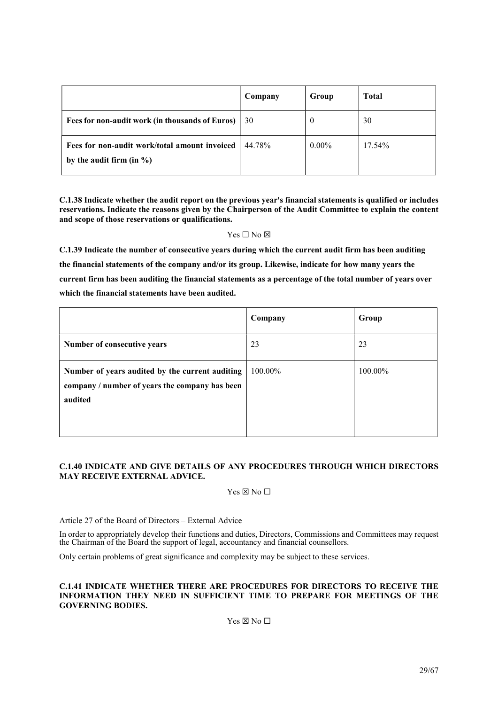|                                                                               | Company | Group    | <b>Total</b> |
|-------------------------------------------------------------------------------|---------|----------|--------------|
| Fees for non-audit work (in thousands of Euros)                               | 30      | v        | 30           |
| Fees for non-audit work/total amount invoiced<br>by the audit firm (in $\%$ ) | 44.78%  | $0.00\%$ | 17.54%       |

C.1.38 Indicate whether the audit report on the previous year's financial statements is qualified or includes reservations. Indicate the reasons given by the Chairperson of the Audit Committee to explain the content and scope of those reservations or qualifications.

# Yes □ No ⊠

C.1.39 Indicate the number of consecutive years during which the current audit firm has been auditing the financial statements of the company and/or its group. Likewise, indicate for how many years the current firm has been auditing the financial statements as a percentage of the total number of years over which the financial statements have been audited.

|                                                                                                              | Company | Group   |
|--------------------------------------------------------------------------------------------------------------|---------|---------|
| Number of consecutive years                                                                                  | 23      | 23      |
| Number of years audited by the current auditing<br>company / number of years the company has been<br>audited | 100.00% | 100.00% |

# C.1.40 INDICATE AND GIVE DETAILS OF ANY PROCEDURES THROUGH WHICH DIRECTORS MAY RECEIVE EXTERNAL ADVICE.

 $Yes \boxtimes No \Box$ 

Article 27 of the Board of Directors – External Advice

In order to appropriately develop their functions and duties, Directors, Commissions and Committees may request the Chairman of the Board the support of legal, accountancy and financial counsellors.

Only certain problems of great significance and complexity may be subject to these services.

# C.1.41 INDICATE WHETHER THERE ARE PROCEDURES FOR DIRECTORS TO RECEIVE THE INFORMATION THEY NEED IN SUFFICIENT TIME TO PREPARE FOR MEETINGS OF THE GOVERNING BODIES.

# $Yes \boxtimes No \Box$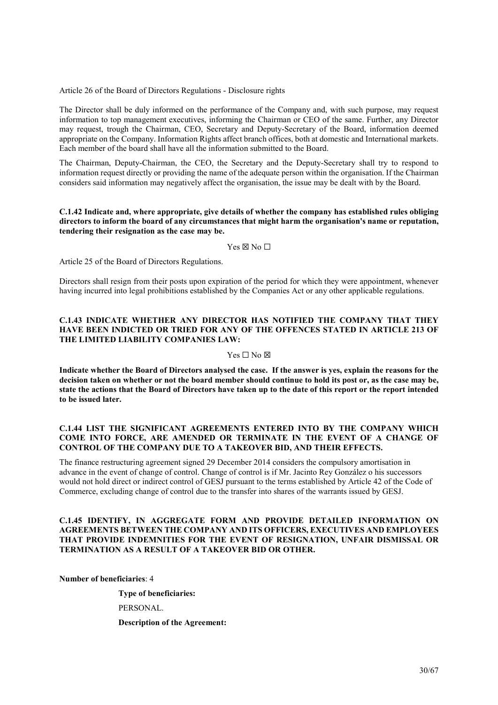Article 26 of the Board of Directors Regulations - Disclosure rights

The Director shall be duly informed on the performance of the Company and, with such purpose, may request information to top management executives, informing the Chairman or CEO of the same. Further, any Director may request, trough the Chairman, CEO, Secretary and Deputy-Secretary of the Board, information deemed appropriate on the Company. Information Rights affect branch offices, both at domestic and International markets. Each member of the board shall have all the information submitted to the Board.

The Chairman, Deputy-Chairman, the CEO, the Secretary and the Deputy-Secretary shall try to respond to information request directly or providing the name of the adequate person within the organisation. If the Chairman considers said information may negatively affect the organisation, the issue may be dealt with by the Board.

### C.1.42 Indicate and, where appropriate, give details of whether the company has established rules obliging directors to inform the board of any circumstances that might harm the organisation's name or reputation, tendering their resignation as the case may be.

#### $Yes \boxtimes No \square$

Article 25 of the Board of Directors Regulations.

Directors shall resign from their posts upon expiration of the period for which they were appointment, whenever having incurred into legal prohibitions established by the Companies Act or any other applicable regulations.

# C.1.43 INDICATE WHETHER ANY DIRECTOR HAS NOTIFIED THE COMPANY THAT THEY HAVE BEEN INDICTED OR TRIED FOR ANY OF THE OFFENCES STATED IN ARTICLE 213 OF THE LIMITED LIABILITY COMPANIES LAW:

#### $Yes \Box No \boxtimes$

Indicate whether the Board of Directors analysed the case. If the answer is yes, explain the reasons for the decision taken on whether or not the board member should continue to hold its post or, as the case may be, state the actions that the Board of Directors have taken up to the date of this report or the report intended to be issued later.

# C.1.44 LIST THE SIGNIFICANT AGREEMENTS ENTERED INTO BY THE COMPANY WHICH COME INTO FORCE, ARE AMENDED OR TERMINATE IN THE EVENT OF A CHANGE OF CONTROL OF THE COMPANY DUE TO A TAKEOVER BID, AND THEIR EFFECTS.

The finance restructuring agreement signed 29 December 2014 considers the compulsory amortisation in advance in the event of change of control. Change of control is if Mr. Jacinto Rey González o his successors would not hold direct or indirect control of GESJ pursuant to the terms established by Article 42 of the Code of Commerce, excluding change of control due to the transfer into shares of the warrants issued by GESJ.

# C.1.45 IDENTIFY, IN AGGREGATE FORM AND PROVIDE DETAILED INFORMATION ON AGREEMENTS BETWEEN THE COMPANY AND ITS OFFICERS, EXECUTIVES AND EMPLOYEES THAT PROVIDE INDEMNITIES FOR THE EVENT OF RESIGNATION, UNFAIR DISMISSAL OR TERMINATION AS A RESULT OF A TAKEOVER BID OR OTHER.

Number of beneficiaries: 4

 Type of beneficiaries: PERSONAL. Description of the Agreement: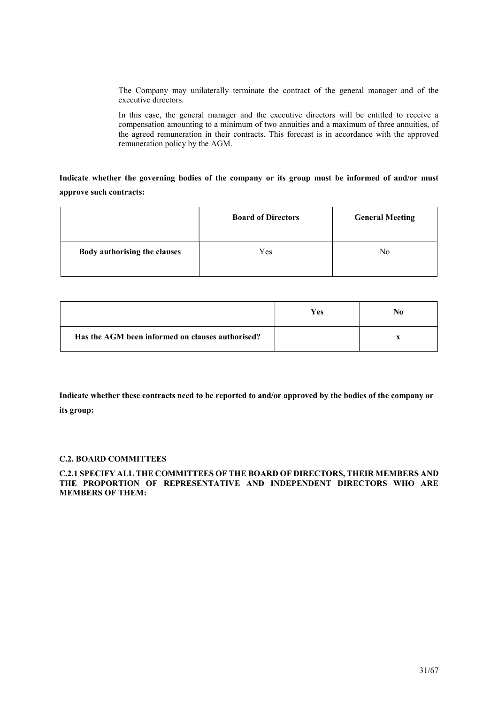The Company may unilaterally terminate the contract of the general manager and of the executive directors.

In this case, the general manager and the executive directors will be entitled to receive a compensation amounting to a minimum of two annuities and a maximum of three annuities, of the agreed remuneration in their contracts. This forecast is in accordance with the approved remuneration policy by the AGM.

Indicate whether the governing bodies of the company or its group must be informed of and/or must approve such contracts:

|                              | <b>Board of Directors</b> | <b>General Meeting</b> |
|------------------------------|---------------------------|------------------------|
| Body authorising the clauses | Yes                       | No                     |

|                                                  | <b>Yes</b> | No |
|--------------------------------------------------|------------|----|
| Has the AGM been informed on clauses authorised? |            |    |

Indicate whether these contracts need to be reported to and/or approved by the bodies of the company or its group:

# C.2. BOARD COMMITTEES

# C.2.1 SPECIFY ALL THE COMMITTEES OF THE BOARD OF DIRECTORS, THEIR MEMBERS AND THE PROPORTION OF REPRESENTATIVE AND INDEPENDENT DIRECTORS WHO ARE MEMBERS OF THEM: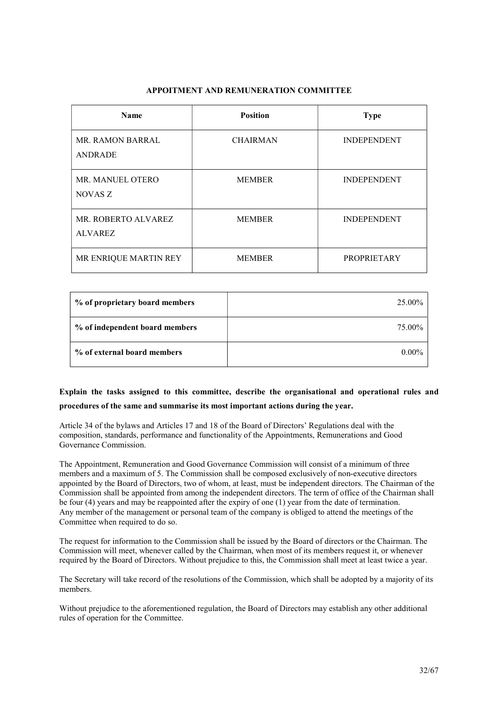# APPOITMENT AND REMUNERATION COMMITTEE

| <b>Name</b>                               | <b>Position</b> | <b>Type</b>        |
|-------------------------------------------|-----------------|--------------------|
| <b>MR. RAMON BARRAL</b><br><b>ANDRADE</b> | <b>CHAIRMAN</b> | <b>INDEPENDENT</b> |
| MR. MANUEL OTERO<br>NOVAS Z               | <b>MEMBER</b>   | <b>INDEPENDENT</b> |
| MR. ROBERTO ALVAREZ<br><b>ALVAREZ</b>     | <b>MEMBER</b>   | <b>INDEPENDENT</b> |
| MR ENRIQUE MARTIN REY                     | <b>MEMBER</b>   | <b>PROPRIETARY</b> |

| % of proprietary board members | 25.00%   |
|--------------------------------|----------|
| % of independent board members | 75.00%   |
| % of external board members    | $0.00\%$ |

# Explain the tasks assigned to this committee, describe the organisational and operational rules and procedures of the same and summarise its most important actions during the year.

Article 34 of the bylaws and Articles 17 and 18 of the Board of Directors' Regulations deal with the composition, standards, performance and functionality of the Appointments, Remunerations and Good Governance Commission.

The Appointment, Remuneration and Good Governance Commission will consist of a minimum of three members and a maximum of 5. The Commission shall be composed exclusively of non-executive directors appointed by the Board of Directors, two of whom, at least, must be independent directors. The Chairman of the Commission shall be appointed from among the independent directors. The term of office of the Chairman shall be four (4) years and may be reappointed after the expiry of one (1) year from the date of termination. Any member of the management or personal team of the company is obliged to attend the meetings of the Committee when required to do so.

The request for information to the Commission shall be issued by the Board of directors or the Chairman. The Commission will meet, whenever called by the Chairman, when most of its members request it, or whenever required by the Board of Directors. Without prejudice to this, the Commission shall meet at least twice a year.

The Secretary will take record of the resolutions of the Commission, which shall be adopted by a majority of its members.

Without prejudice to the aforementioned regulation, the Board of Directors may establish any other additional rules of operation for the Committee.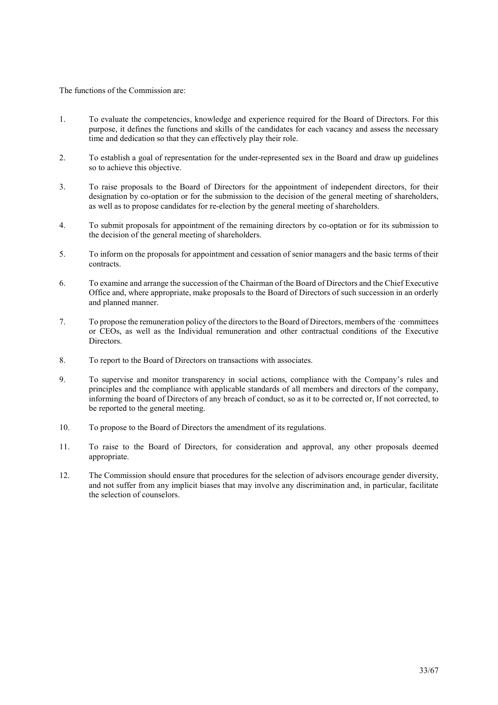The functions of the Commission are:

- 1. To evaluate the competencies, knowledge and experience required for the Board of Directors. For this purpose, it defines the functions and skills of the candidates for each vacancy and assess the necessary time and dedication so that they can effectively play their role.
- 2. To establish a goal of representation for the under-represented sex in the Board and draw up guidelines so to achieve this objective.
- 3. To raise proposals to the Board of Directors for the appointment of independent directors, for their designation by co-optation or for the submission to the decision of the general meeting of shareholders, as well as to propose candidates for re-election by the general meeting of shareholders.
- 4. To submit proposals for appointment of the remaining directors by co-optation or for its submission to the decision of the general meeting of shareholders.
- 5. To inform on the proposals for appointment and cessation of senior managers and the basic terms of their contracts.
- 6. To examine and arrange the succession of the Chairman of the Board of Directors and the Chief Executive Office and, where appropriate, make proposals to the Board of Directors of such succession in an orderly and planned manner.
- 7. To propose the remuneration policy of the directors to the Board of Directors, members of the ·committees or CEOs, as well as the Individual remuneration and other contractual conditions of the Executive Directors.
- 8. To report to the Board of Directors on transactions with associates.
- 9. To supervise and monitor transparency in social actions, compliance with the Company's rules and principles and the compliance with applicable standards of all members and directors of the company, informing the board of Directors of any breach of conduct, so as it to be corrected or, If not corrected, to be reported to the general meeting.
- 10. To propose to the Board of Directors the amendment of its regulations.
- 11. To raise to the Board of Directors, for consideration and approval, any other proposals deemed appropriate.
- 12. The Commission should ensure that procedures for the selection of advisors encourage gender diversity, and not suffer from any implicit biases that may involve any discrimination and, in particular, facilitate the selection of counselors.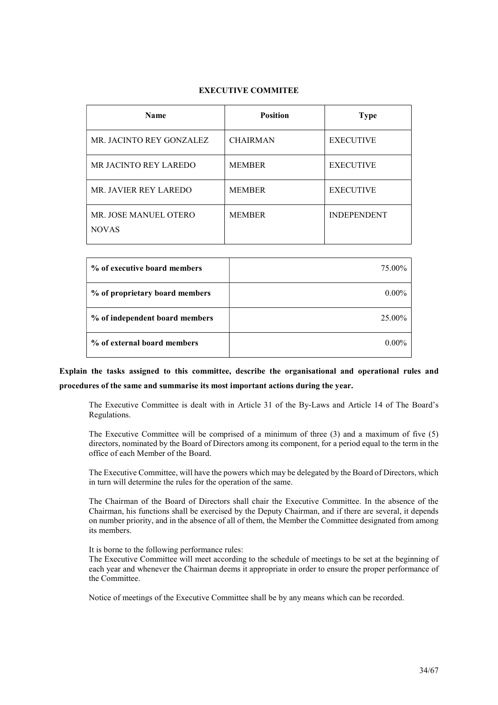# EXECUTIVE COMMITEE

| <b>Name</b>                           | <b>Position</b> | <b>Type</b>        |
|---------------------------------------|-----------------|--------------------|
| MR. JACINTO REY GONZALEZ              | <b>CHAIRMAN</b> | <b>EXECUTIVE</b>   |
| MR JACINTO REY LAREDO                 | <b>MEMBER</b>   | <b>EXECUTIVE</b>   |
| MR. JAVIER REY LAREDO                 | <b>MEMBER</b>   | <b>EXECUTIVE</b>   |
| MR. JOSE MANUEL OTERO<br><b>NOVAS</b> | <b>MEMBER</b>   | <b>INDEPENDENT</b> |

| % of executive board members   | 75.00%   |
|--------------------------------|----------|
| % of proprietary board members | $0.00\%$ |
| % of independent board members | 25.00%   |
| % of external board members    | $0.00\%$ |

Explain the tasks assigned to this committee, describe the organisational and operational rules and procedures of the same and summarise its most important actions during the year.

The Executive Committee is dealt with in Article 31 of the By-Laws and Article 14 of The Board's Regulations.

The Executive Committee will be comprised of a minimum of three (3) and a maximum of five (5) directors, nominated by the Board of Directors among its component, for a period equal to the term in the office of each Member of the Board.

The Executive Committee, will have the powers which may be delegated by the Board of Directors, which in turn will determine the rules for the operation of the same.

The Chairman of the Board of Directors shall chair the Executive Committee. In the absence of the Chairman, his functions shall be exercised by the Deputy Chairman, and if there are several, it depends on number priority, and in the absence of all of them, the Member the Committee designated from among its members.

It is borne to the following performance rules:

The Executive Committee will meet according to the schedule of meetings to be set at the beginning of each year and whenever the Chairman deems it appropriate in order to ensure the proper performance of the Committee.

Notice of meetings of the Executive Committee shall be by any means which can be recorded.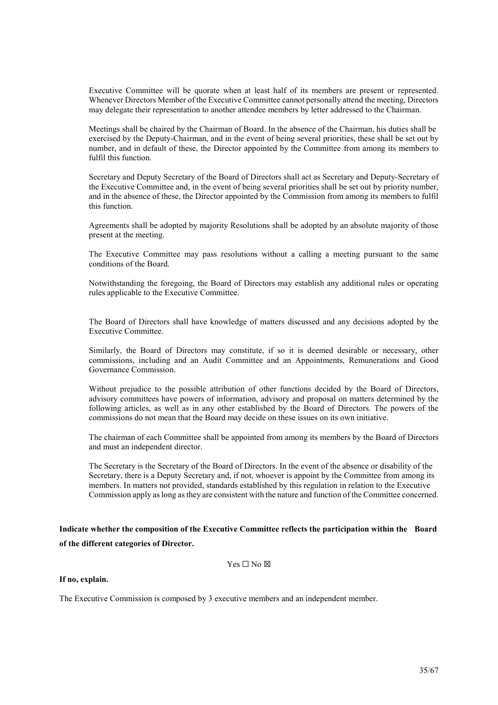Executive Committee will be quorate when at least half of its members are present or represented. Whenever Directors Member of the Executive Committee cannot personally attend the meeting, Directors may delegate their representation to another attendee members by letter addressed to the Chairman.

Meetings shall be chaired by the Chairman of Board. In the absence of the Chairman, his duties shall be exercised by the Deputy-Chairman, and in the event of being several priorities, these shall be set out by number, and in default of these, the Director appointed by the Committee from among its members to fulfil this function.

Secretary and Deputy Secretary of the Board of Directors shall act as Secretary and Deputy-Secretary of the Executive Committee and, in the event of being several priorities shall be set out by priority number, and in the absence of these, the Director appointed by the Commission from among its members to fulfil this function.

Agreements shall be adopted by majority Resolutions shall be adopted by an absolute majority of those present at the meeting.

The Executive Committee may pass resolutions without a calling a meeting pursuant to the same conditions of the Board.

Notwithstanding the foregoing, the Board of Directors may establish any additional rules or operating rules applicable to the Executive Committee.

The Board of Directors shall have knowledge of matters discussed and any decisions adopted by the Executive Committee.

Similarly, the Board of Directors may constitute, if so it is deemed desirable or necessary, other commissions, including and an Audit Committee and an Appointments, Remunerations and Good Governance Commission.

Without prejudice to the possible attribution of other functions decided by the Board of Directors, advisory committees have powers of information, advisory and proposal on matters determined by the following articles, as well as in any other established by the Board of Directors. The powers of the commissions do not mean that the Board may decide on these issues on its own initiative.

The chairman of each Committee shall be appointed from among its members by the Board of Directors and must an independent director.

The Secretary is the Secretary of the Board of Directors. In the event of the absence or disability of the Secretary, there is a Deputy Secretary and, if not, whoever is appoint by the Committee from among its members. In matters not provided, standards established by this regulation in relation to the Executive Commission apply as long as they are consistent with the nature and function of the Committee concerned.

Indicate whether the composition of the Executive Committee reflects the participation within the Board of the different categories of Director.

Yes ☐ No ☒

If no, explain.

The Executive Commission is composed by 3 executive members and an independent member.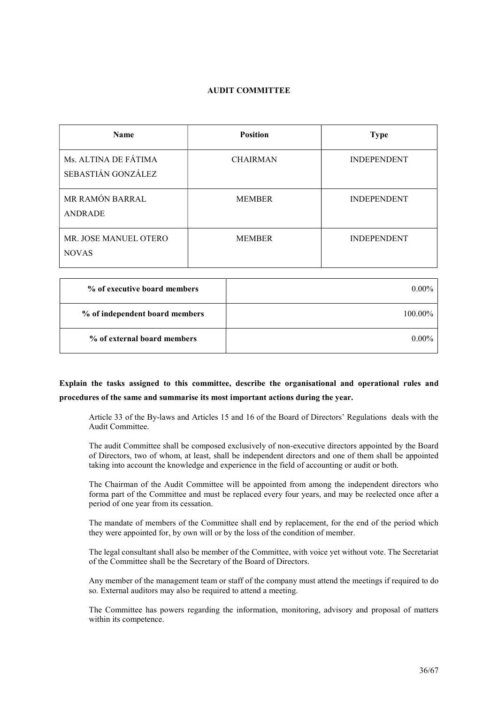# AUDIT COMMITTEE

| <b>Name</b>                                | <b>Position</b> | <b>Type</b>        |
|--------------------------------------------|-----------------|--------------------|
| Ms. ALTINA DE FÁTIMA<br>SEBASTIÁN GONZÁLEZ | <b>CHAIRMAN</b> | <b>INDEPENDENT</b> |
| MR RAMÓN BARRAL<br>ANDRADE                 | <b>MEMBER</b>   | <b>INDEPENDENT</b> |
| MR. JOSE MANUEL OTERO<br><b>NOVAS</b>      | <b>MEMBER</b>   | <b>INDEPENDENT</b> |

| % of executive board members   | $0.00\%$ |
|--------------------------------|----------|
| % of independent board members | 100.00%  |
| % of external board members    | $0.00\%$ |

# Explain the tasks assigned to this committee, describe the organisational and operational rules and procedures of the same and summarise its most important actions during the year.

Article 33 of the By-laws and Articles 15 and 16 of the Board of Directors' Regulations deals with the Audit Committee.

The audit Committee shall be composed exclusively of non-executive directors appointed by the Board of Directors, two of whom, at least, shall be independent directors and one of them shall be appointed taking into account the knowledge and experience in the field of accounting or audit or both.

The Chairman of the Audit Committee will be appointed from among the independent directors who forma part of the Committee and must be replaced every four years, and may be reelected once after a period of one year from its cessation.

The mandate of members of the Committee shall end by replacement, for the end of the period which they were appointed for, by own will or by the loss of the condition of member.

The legal consultant shall also be member of the Committee, with voice yet without vote. The Secretariat of the Committee shall be the Secretary of the Board of Directors.

Any member of the management team or staff of the company must attend the meetings if required to do so. External auditors may also be required to attend a meeting.

The Committee has powers regarding the information, monitoring, advisory and proposal of matters within its competence.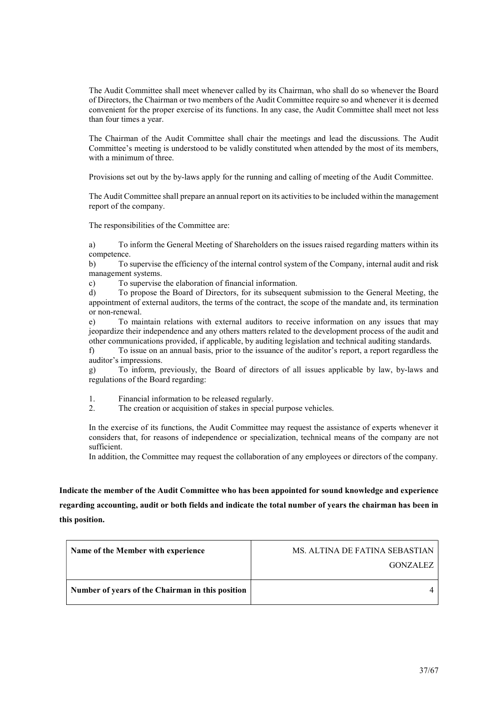The Audit Committee shall meet whenever called by its Chairman, who shall do so whenever the Board of Directors, the Chairman or two members of the Audit Committee require so and whenever it is deemed convenient for the proper exercise of its functions. In any case, the Audit Committee shall meet not less than four times a year.

The Chairman of the Audit Committee shall chair the meetings and lead the discussions. The Audit Committee's meeting is understood to be validly constituted when attended by the most of its members, with a minimum of three.

Provisions set out by the by-laws apply for the running and calling of meeting of the Audit Committee.

The Audit Committee shall prepare an annual report on its activities to be included within the management report of the company.

The responsibilities of the Committee are:

a) To inform the General Meeting of Shareholders on the issues raised regarding matters within its competence.

b) To supervise the efficiency of the internal control system of the Company, internal audit and risk management systems.

c) To supervise the elaboration of financial information.

d) To propose the Board of Directors, for its subsequent submission to the General Meeting, the appointment of external auditors, the terms of the contract, the scope of the mandate and, its termination or non-renewal.

e) To maintain relations with external auditors to receive information on any issues that may jeopardize their independence and any others matters related to the development process of the audit and other communications provided, if applicable, by auditing legislation and technical auditing standards.

f) To issue on an annual basis, prior to the issuance of the auditor's report, a report regardless the auditor's impressions.

g) To inform, previously, the Board of directors of all issues applicable by law, by-laws and regulations of the Board regarding:

1. Financial information to be released regularly.

2. The creation or acquisition of stakes in special purpose vehicles.

In the exercise of its functions, the Audit Committee may request the assistance of experts whenever it considers that, for reasons of independence or specialization, technical means of the company are not sufficient.

In addition, the Committee may request the collaboration of any employees or directors of the company.

Indicate the member of the Audit Committee who has been appointed for sound knowledge and experience regarding accounting, audit or both fields and indicate the total number of years the chairman has been in this position.

| Name of the Member with experience               | MS. ALTINA DE FATINA SEBASTIAN |
|--------------------------------------------------|--------------------------------|
|                                                  | GONZALEZ                       |
| Number of years of the Chairman in this position |                                |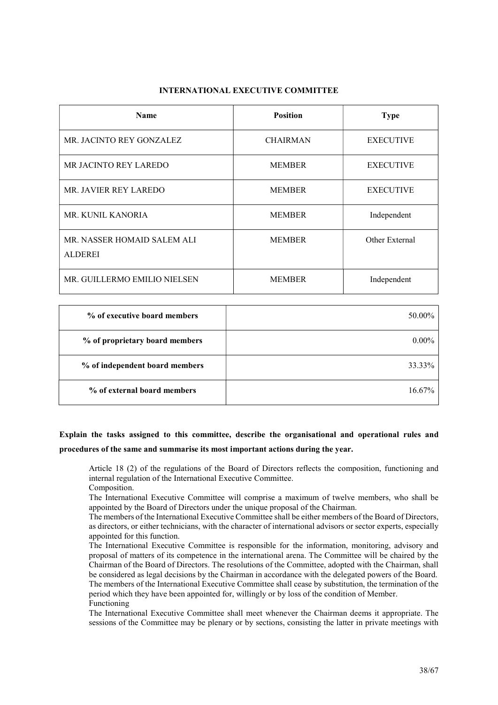# INTERNATIONAL EXECUTIVE COMMITTEE

| <b>Name</b>                                   | <b>Position</b> | <b>Type</b>      |
|-----------------------------------------------|-----------------|------------------|
| MR. JACINTO REY GONZALEZ                      | <b>CHAIRMAN</b> | <b>EXECUTIVE</b> |
| MR JACINTO REY LAREDO                         | <b>MEMBER</b>   | <b>EXECUTIVE</b> |
| MR. JAVIER REY LAREDO                         | <b>MEMBER</b>   | <b>EXECUTIVE</b> |
| <b>MR. KUNIL KANORIA</b>                      | <b>MEMBER</b>   | Independent      |
| MR. NASSER HOMAID SALEM ALI<br><b>ALDEREI</b> | <b>MEMBER</b>   | Other External   |
| MR. GUILLERMO EMILIO NIELSEN                  | <b>MEMBER</b>   | Independent      |

| % of executive board members   | 50.00%    |
|--------------------------------|-----------|
| % of proprietary board members | $0.00\%$  |
| % of independent board members | 33.33%    |
| % of external board members    | $16.67\%$ |

# Explain the tasks assigned to this committee, describe the organisational and operational rules and procedures of the same and summarise its most important actions during the year.

Article 18 (2) of the regulations of the Board of Directors reflects the composition, functioning and internal regulation of the International Executive Committee. Composition.

The International Executive Committee will comprise a maximum of twelve members, who shall be appointed by the Board of Directors under the unique proposal of the Chairman.

The members of the International Executive Committee shall be either members of the Board of Directors, as directors, or either technicians, with the character of international advisors or sector experts, especially appointed for this function.

The International Executive Committee is responsible for the information, monitoring, advisory and proposal of matters of its competence in the international arena. The Committee will be chaired by the Chairman of the Board of Directors. The resolutions of the Committee, adopted with the Chairman, shall be considered as legal decisions by the Chairman in accordance with the delegated powers of the Board. The members of the International Executive Committee shall cease by substitution, the termination of the period which they have been appointed for, willingly or by loss of the condition of Member. Functioning

The International Executive Committee shall meet whenever the Chairman deems it appropriate. The sessions of the Committee may be plenary or by sections, consisting the latter in private meetings with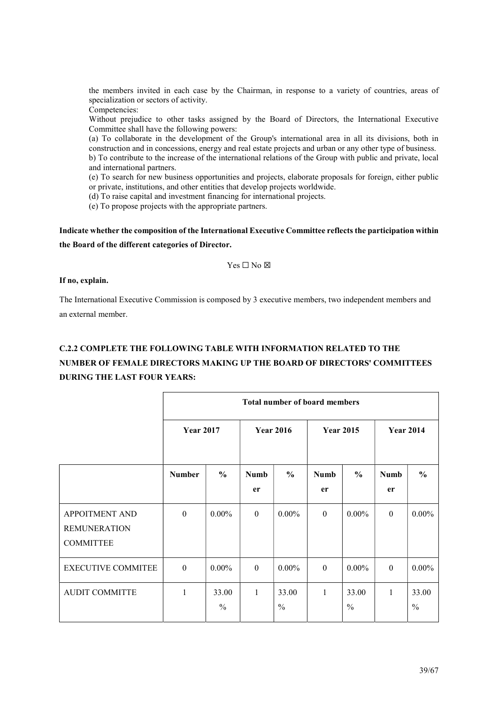the members invited in each case by the Chairman, in response to a variety of countries, areas of specialization or sectors of activity.

Competencies:

Without prejudice to other tasks assigned by the Board of Directors, the International Executive Committee shall have the following powers:

(a) To collaborate in the development of the Group's international area in all its divisions, both in construction and in concessions, energy and real estate projects and urban or any other type of business. b) To contribute to the increase of the international relations of the Group with public and private, local and international partners.

(e) To search for new business opportunities and projects, elaborate proposals for foreign, either public or private, institutions, and other entities that develop projects worldwide.

(d) To raise capital and investment financing for international projects.

(e) To propose projects with the appropriate partners.

Indicate whether the composition of the International Executive Committee reflects the participation within the Board of the different categories of Director.

 $Yes \Box No \boxtimes$ 

# If no, explain.

The International Executive Commission is composed by 3 executive members, two independent members and an external member.

# C.2.2 COMPLETE THE FOLLOWING TABLE WITH INFORMATION RELATED TO THE NUMBER OF FEMALE DIRECTORS MAKING UP THE BOARD OF DIRECTORS' COMMITTEES DURING THE LAST FOUR YEARS:

|                                                                  | <b>Total number of board members</b> |                        |                   |                        |                   |                        |                   |                        |
|------------------------------------------------------------------|--------------------------------------|------------------------|-------------------|------------------------|-------------------|------------------------|-------------------|------------------------|
|                                                                  | <b>Year 2017</b>                     |                        | <b>Year 2016</b>  |                        | <b>Year 2015</b>  |                        | <b>Year 2014</b>  |                        |
|                                                                  | <b>Number</b>                        | $\frac{6}{6}$          | <b>Numb</b><br>er | $\frac{0}{0}$          | <b>Numb</b><br>er | $\frac{6}{6}$          | <b>Numb</b><br>er | $\frac{6}{6}$          |
| <b>APPOITMENT AND</b><br><b>REMUNERATION</b><br><b>COMMITTEE</b> | $\Omega$                             | $0.00\%$               | $\theta$          | $0.00\%$               | $\theta$          | $0.00\%$               | $\Omega$          | $0.00\%$               |
| <b>EXECUTIVE COMMITEE</b>                                        | $\Omega$                             | $0.00\%$               | $\Omega$          | $0.00\%$               | $\Omega$          | $0.00\%$               | $\theta$          | $0.00\%$               |
| <b>AUDIT COMMITTE</b>                                            | 1                                    | 33.00<br>$\frac{0}{0}$ | 1                 | 33.00<br>$\frac{0}{0}$ | $\mathbf{1}$      | 33.00<br>$\frac{0}{0}$ | $\mathbf{1}$      | 33.00<br>$\frac{0}{0}$ |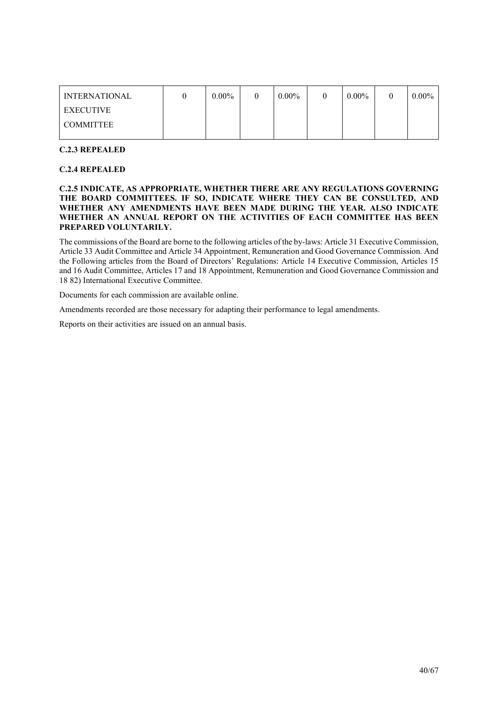| <b>INTERNATIONAL</b> | $0.00\%$ | $0.00\%$ | $0.00\%$ | $0.00\%$ |
|----------------------|----------|----------|----------|----------|
| <b>EXECUTIVE</b>     |          |          |          |          |
| <b>COMMITTEE</b>     |          |          |          |          |
|                      |          |          |          |          |

# C.2.3 REPEALED

# C.2.4 REPEALED

# C.2.5 INDICATE, AS APPROPRIATE, WHETHER THERE ARE ANY REGULATIONS GOVERNING THE BOARD COMMITTEES. IF SO, INDICATE WHERE THEY CAN BE CONSULTED, AND WHETHER ANY AMENDMENTS HAVE BEEN MADE DURING THE YEAR. ALSO INDICATE WHETHER AN ANNUAL REPORT ON THE ACTIVITIES OF EACH COMMITTEE HAS BEEN PREPARED VOLUNTARILY.

The commissions of the Board are borne to the following articles of the by-laws: Article 31 Executive Commission, Article 33 Audit Committee and Article 34 Appointment, Remuneration and Good Governance Commission. And the Following articles from the Board of Directors' Regulations: Article 14 Executive Commission, Articles 15 and 16 Audit Committee, Articles 17 and 18 Appointment, Remuneration and Good Governance Commission and 18 82) International Executive Committee.

Documents for each commission are available online.

Amendments recorded are those necessary for adapting their performance to legal amendments.

Reports on their activities are issued on an annual basis.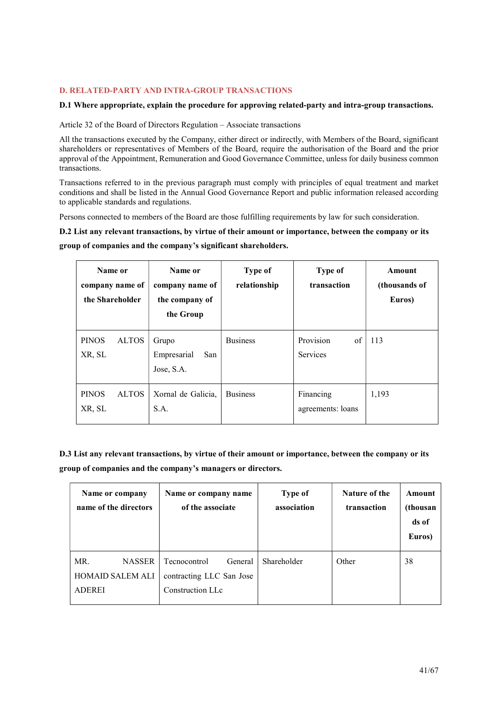# D. RELATED-PARTY AND INTRA-GROUP TRANSACTIONS

# D.1 Where appropriate, explain the procedure for approving related-party and intra-group transactions.

Article 32 of the Board of Directors Regulation – Associate transactions

All the transactions executed by the Company, either direct or indirectly, with Members of the Board, significant shareholders or representatives of Members of the Board, require the authorisation of the Board and the prior approval of the Appointment, Remuneration and Good Governance Committee, unless for daily business common transactions.

Transactions referred to in the previous paragraph must comply with principles of equal treatment and market conditions and shall be listed in the Annual Good Governance Report and public information released according to applicable standards and regulations.

Persons connected to members of the Board are those fulfilling requirements by law for such consideration.

D.2 List any relevant transactions, by virtue of their amount or importance, between the company or its

group of companies and the company's significant shareholders.

| Name or<br>company name of<br>the Shareholder | Name or<br>company name of<br>the company of<br>the Group | Type of<br>relationship | Type of<br>transaction         | Amount<br>(thousands of<br>Euros) |
|-----------------------------------------------|-----------------------------------------------------------|-------------------------|--------------------------------|-----------------------------------|
| <b>PINOS</b><br><b>ALTOS</b><br>XR, SL        | Grupo<br>Empresarial<br>San<br>Jose, S.A.                 | <b>Business</b>         | Provision<br>of<br>Services    | 113                               |
| <b>ALTOS</b><br><b>PINOS</b><br>XR, SL        | Xornal de Galicia,<br>S.A.                                | <b>Business</b>         | Financing<br>agreements: loans | 1,193                             |

D.3 List any relevant transactions, by virtue of their amount or importance, between the company or its group of companies and the company's managers or directors.

| Name or company<br>name of the directors | Name or company name<br>of the associate | <b>Type of</b><br>association | Nature of the<br>transaction | <b>Amount</b><br>(thousan<br>ds of<br>Euros) |
|------------------------------------------|------------------------------------------|-------------------------------|------------------------------|----------------------------------------------|
| MR.<br><b>NASSER</b>                     | Tecnocontrol<br>General                  | Shareholder                   | Other                        | 38                                           |
| <b>HOMAID SALEM ALI</b>                  | contracting LLC San Jose                 |                               |                              |                                              |
| <b>ADEREI</b>                            | Construction LLc                         |                               |                              |                                              |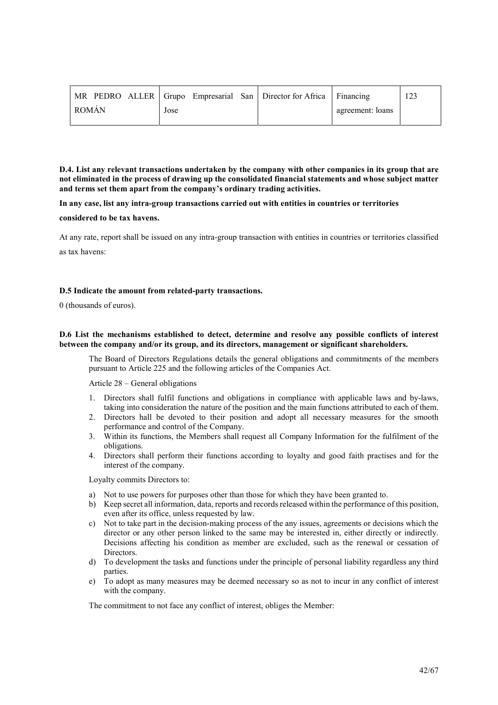| MR PEDRO ALLER   Grupo Empresarial San   Director for Africa   Financing |      |                  |  |
|--------------------------------------------------------------------------|------|------------------|--|
| <b>ROMÁN</b>                                                             | Jose | agreement: loans |  |

D.4. List any relevant transactions undertaken by the company with other companies in its group that are not eliminated in the process of drawing up the consolidated financial statements and whose subject matter and terms set them apart from the company's ordinary trading activities.

In any case, list any intra-group transactions carried out with entities in countries or territories

considered to be tax havens.

At any rate, report shall be issued on any intra-group transaction with entities in countries or territories classified as tax havens:

# D.5 Indicate the amount from related-party transactions.

0 (thousands of euros).

# D.6 List the mechanisms established to detect, determine and resolve any possible conflicts of interest between the company and/or its group, and its directors, management or significant shareholders.

The Board of Directors Regulations details the general obligations and commitments of the members pursuant to Article 225 and the following articles of the Companies Act.

Article 28 – General obligations

- 1. Directors shall fulfil functions and obligations in compliance with applicable laws and by-laws, taking into consideration the nature of the position and the main functions attributed to each of them.
- 2. Directors hall be devoted to their position and adopt all necessary measures for the smooth performance and control of the Company.
- 3. Within its functions, the Members shall request all Company Information for the fulfilment of the obligations.
- 4. Directors shall perform their functions according to loyalty and good faith practises and for the interest of the company.

Loyalty commits Directors to:

- a) Not to use powers for purposes other than those for which they have been granted to.
- b) Keep secret all information, data, reports and records released within the performance of this position, even after its office, unless requested by law.
- c) Not to take part in the decision-making process of the any issues, agreements or decisions which the director or any other person linked to the same may be interested in, either directly or indirectly. Decisions affecting his condition as member are excluded, such as the renewal or cessation of Directors.
- d) To development the tasks and functions under the principle of personal liability regardless any third parties.
- e) To adopt as many measures may be deemed necessary so as not to incur in any conflict of interest with the company.

The commitment to not face any conflict of interest, obliges the Member: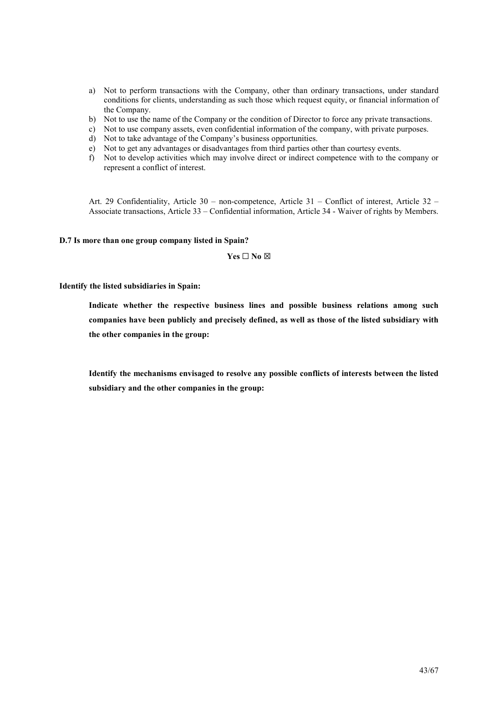- a) Not to perform transactions with the Company, other than ordinary transactions, under standard conditions for clients, understanding as such those which request equity, or financial information of the Company.
- b) Not to use the name of the Company or the condition of Director to force any private transactions.
- c) Not to use company assets, even confidential information of the company, with private purposes.
- d) Not to take advantage of the Company's business opportunities.
- e) Not to get any advantages or disadvantages from third parties other than courtesy events.
- f) Not to develop activities which may involve direct or indirect competence with to the company or represent a conflict of interest.

Art. 29 Confidentiality, Article 30 – non-competence, Article 31 – Conflict of interest, Article 32 – Associate transactions, Article 33 – Confidential information, Article 34 - Waiver of rights by Members.

#### D.7 Is more than one group company listed in Spain?

 $Yes \Box No \boxtimes$ 

Identify the listed subsidiaries in Spain:

Indicate whether the respective business lines and possible business relations among such companies have been publicly and precisely defined, as well as those of the listed subsidiary with the other companies in the group:

Identify the mechanisms envisaged to resolve any possible conflicts of interests between the listed subsidiary and the other companies in the group: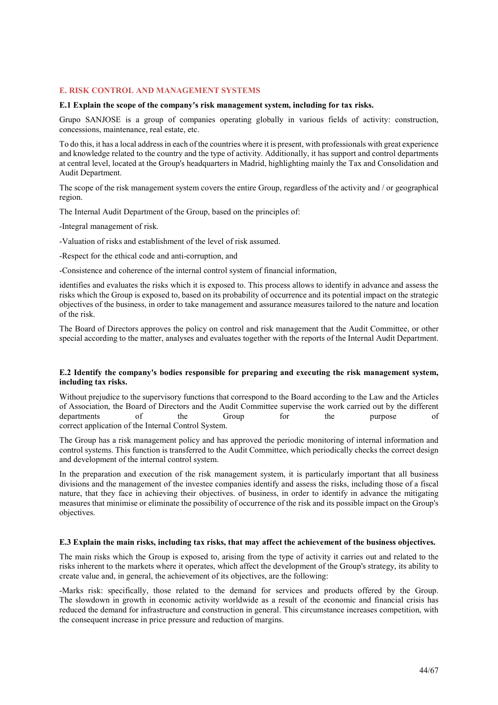# E. RISK CONTROL AND MANAGEMENT SYSTEMS

#### E.1 Explain the scope of the company's risk management system, including for tax risks.

Grupo SANJOSE is a group of companies operating globally in various fields of activity: construction, concessions, maintenance, real estate, etc.

To do this, it has a local address in each of the countries where it is present, with professionals with great experience and knowledge related to the country and the type of activity. Additionally, it has support and control departments at central level, located at the Group's headquarters in Madrid, highlighting mainly the Tax and Consolidation and Audit Department.

The scope of the risk management system covers the entire Group, regardless of the activity and / or geographical region.

The Internal Audit Department of the Group, based on the principles of:

-Integral management of risk.

-Valuation of risks and establishment of the level of risk assumed.

-Respect for the ethical code and anti-corruption, and

-Consistence and coherence of the internal control system of financial information,

identifies and evaluates the risks which it is exposed to. This process allows to identify in advance and assess the risks which the Group is exposed to, based on its probability of occurrence and its potential impact on the strategic objectives of the business, in order to take management and assurance measures tailored to the nature and location of the risk.

The Board of Directors approves the policy on control and risk management that the Audit Committee, or other special according to the matter, analyses and evaluates together with the reports of the Internal Audit Department.

#### E.2 Identify the company's bodies responsible for preparing and executing the risk management system, including tax risks.

Without prejudice to the supervisory functions that correspond to the Board according to the Law and the Articles of Association, the Board of Directors and the Audit Committee supervise the work carried out by the different departments of the Group for the purpose of correct application of the Internal Control System.

The Group has a risk management policy and has approved the periodic monitoring of internal information and control systems. This function is transferred to the Audit Committee, which periodically checks the correct design and development of the internal control system.

In the preparation and execution of the risk management system, it is particularly important that all business divisions and the management of the investee companies identify and assess the risks, including those of a fiscal nature, that they face in achieving their objectives. of business, in order to identify in advance the mitigating measures that minimise or eliminate the possibility of occurrence of the risk and its possible impact on the Group's objectives.

#### E.3 Explain the main risks, including tax risks, that may affect the achievement of the business objectives.

The main risks which the Group is exposed to, arising from the type of activity it carries out and related to the risks inherent to the markets where it operates, which affect the development of the Group's strategy, its ability to create value and, in general, the achievement of its objectives, are the following:

-Marks risk: specifically, those related to the demand for services and products offered by the Group. The slowdown in growth in economic activity worldwide as a result of the economic and financial crisis has reduced the demand for infrastructure and construction in general. This circumstance increases competition, with the consequent increase in price pressure and reduction of margins.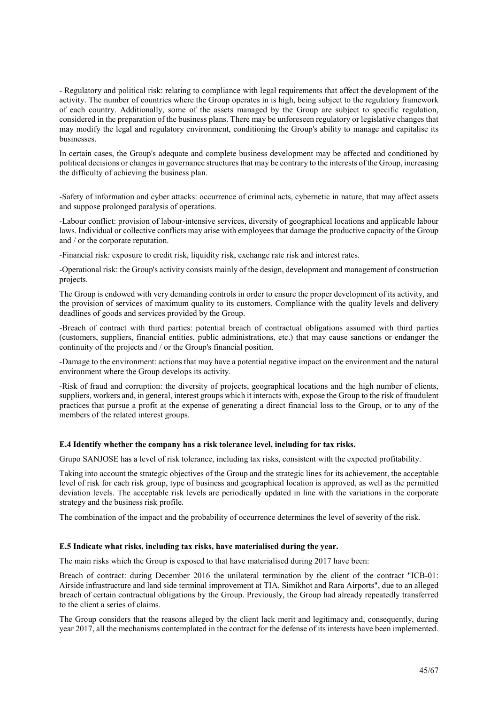- Regulatory and political risk: relating to compliance with legal requirements that affect the development of the activity. The number of countries where the Group operates in is high, being subject to the regulatory framework of each country. Additionally, some of the assets managed by the Group are subject to specific regulation, considered in the preparation of the business plans. There may be unforeseen regulatory or legislative changes that may modify the legal and regulatory environment, conditioning the Group's ability to manage and capitalise its businesses.

In certain cases, the Group's adequate and complete business development may be affected and conditioned by political decisions or changes in governance structures that may be contrary to the interests of the Group, increasing the difficulty of achieving the business plan.

-Safety of information and cyber attacks: occurrence of criminal acts, cybernetic in nature, that may affect assets and suppose prolonged paralysis of operations.

-Labour conflict: provision of labour-intensive services, diversity of geographical locations and applicable labour laws. Individual or collective conflicts may arise with employees that damage the productive capacity of the Group and / or the corporate reputation.

-Financial risk: exposure to credit risk, liquidity risk, exchange rate risk and interest rates.

-Operational risk: the Group's activity consists mainly of the design, development and management of construction projects.

The Group is endowed with very demanding controls in order to ensure the proper development of its activity, and the provision of services of maximum quality to its customers. Compliance with the quality levels and delivery deadlines of goods and services provided by the Group.

-Breach of contract with third parties: potential breach of contractual obligations assumed with third parties (customers, suppliers, financial entities, public administrations, etc.) that may cause sanctions or endanger the continuity of the projects and / or the Group's financial position.

-Damage to the environment: actions that may have a potential negative impact on the environment and the natural environment where the Group develops its activity.

-Risk of fraud and corruption: the diversity of projects, geographical locations and the high number of clients, suppliers, workers and, in general, interest groups which it interacts with, expose the Group to the risk of fraudulent practices that pursue a profit at the expense of generating a direct financial loss to the Group, or to any of the members of the related interest groups.

# E.4 Identify whether the company has a risk tolerance level, including for tax risks.

Grupo SANJOSE has a level of risk tolerance, including tax risks, consistent with the expected profitability.

Taking into account the strategic objectives of the Group and the strategic lines for its achievement, the acceptable level of risk for each risk group, type of business and geographical location is approved, as well as the permitted deviation levels. The acceptable risk levels are periodically updated in line with the variations in the corporate strategy and the business risk profile.

The combination of the impact and the probability of occurrence determines the level of severity of the risk.

#### E.5 Indicate what risks, including tax risks, have materialised during the year.

The main risks which the Group is exposed to that have materialised during 2017 have been:

Breach of contract: during December 2016 the unilateral termination by the client of the contract "ICB-01: Airside infrastructure and land side terminal improvement at TIA, Simikhot and Rara Airports", due to an alleged breach of certain contractual obligations by the Group. Previously, the Group had already repeatedly transferred to the client a series of claims.

The Group considers that the reasons alleged by the client lack merit and legitimacy and, consequently, during year 2017, all the mechanisms contemplated in the contract for the defense of its interests have been implemented.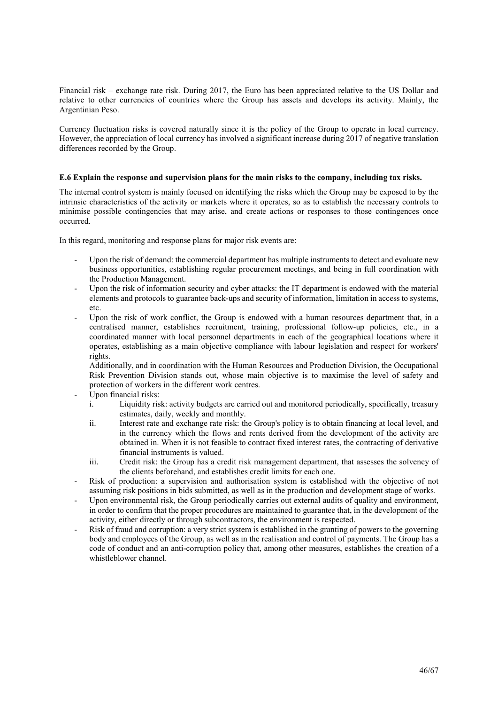Financial risk – exchange rate risk. During 2017, the Euro has been appreciated relative to the US Dollar and relative to other currencies of countries where the Group has assets and develops its activity. Mainly, the Argentinian Peso.

Currency fluctuation risks is covered naturally since it is the policy of the Group to operate in local currency. However, the appreciation of local currency has involved a significant increase during 2017 of negative translation differences recorded by the Group.

# E.6 Explain the response and supervision plans for the main risks to the company, including tax risks.

The internal control system is mainly focused on identifying the risks which the Group may be exposed to by the intrinsic characteristics of the activity or markets where it operates, so as to establish the necessary controls to minimise possible contingencies that may arise, and create actions or responses to those contingences once occurred.

In this regard, monitoring and response plans for major risk events are:

- Upon the risk of demand: the commercial department has multiple instruments to detect and evaluate new business opportunities, establishing regular procurement meetings, and being in full coordination with the Production Management.
- Upon the risk of information security and cyber attacks: the IT department is endowed with the material elements and protocols to guarantee back-ups and security of information, limitation in access to systems, etc.
- Upon the risk of work conflict, the Group is endowed with a human resources department that, in a centralised manner, establishes recruitment, training, professional follow-up policies, etc., in a coordinated manner with local personnel departments in each of the geographical locations where it operates, establishing as a main objective compliance with labour legislation and respect for workers' rights.

Additionally, and in coordination with the Human Resources and Production Division, the Occupational Risk Prevention Division stands out, whose main objective is to maximise the level of safety and protection of workers in the different work centres.

- Upon financial risks:
	- i. Liquidity risk: activity budgets are carried out and monitored periodically, specifically, treasury estimates, daily, weekly and monthly.
	- ii. Interest rate and exchange rate risk: the Group's policy is to obtain financing at local level, and in the currency which the flows and rents derived from the development of the activity are obtained in. When it is not feasible to contract fixed interest rates, the contracting of derivative financial instruments is valued.
	- iii. Credit risk: the Group has a credit risk management department, that assesses the solvency of the clients beforehand, and establishes credit limits for each one.
- Risk of production: a supervision and authorisation system is established with the objective of not assuming risk positions in bids submitted, as well as in the production and development stage of works.
- Upon environmental risk, the Group periodically carries out external audits of quality and environment, in order to confirm that the proper procedures are maintained to guarantee that, in the development of the activity, either directly or through subcontractors, the environment is respected.
- Risk of fraud and corruption: a very strict system is established in the granting of powers to the governing body and employees of the Group, as well as in the realisation and control of payments. The Group has a code of conduct and an anti-corruption policy that, among other measures, establishes the creation of a whistleblower channel.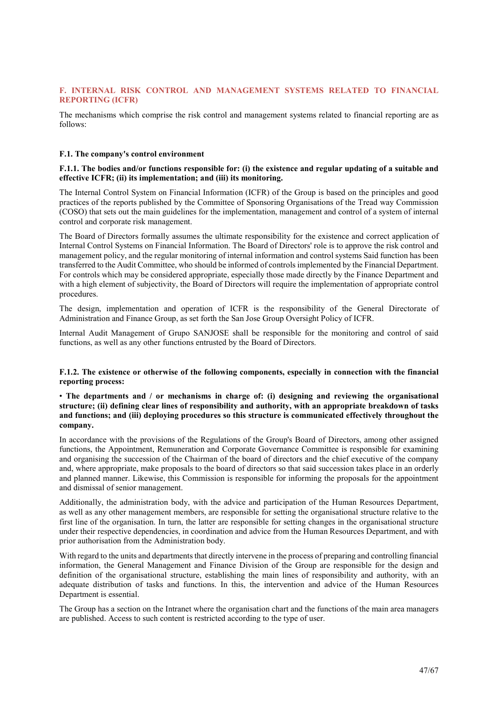# F. INTERNAL RISK CONTROL AND MANAGEMENT SYSTEMS RELATED TO FINANCIAL REPORTING (ICFR)

The mechanisms which comprise the risk control and management systems related to financial reporting are as follows:

#### F.1. The company's control environment

# F.1.1. The bodies and/or functions responsible for: (i) the existence and regular updating of a suitable and effective ICFR; (ii) its implementation; and (iii) its monitoring.

The Internal Control System on Financial Information (ICFR) of the Group is based on the principles and good practices of the reports published by the Committee of Sponsoring Organisations of the Tread way Commission (COSO) that sets out the main guidelines for the implementation, management and control of a system of internal control and corporate risk management.

The Board of Directors formally assumes the ultimate responsibility for the existence and correct application of Internal Control Systems on Financial Information. The Board of Directors' role is to approve the risk control and management policy, and the regular monitoring of internal information and control systems Said function has been transferred to the Audit Committee, who should be informed of controls implemented by the Financial Department. For controls which may be considered appropriate, especially those made directly by the Finance Department and with a high element of subjectivity, the Board of Directors will require the implementation of appropriate control procedures.

The design, implementation and operation of ICFR is the responsibility of the General Directorate of Administration and Finance Group, as set forth the San Jose Group Oversight Policy of ICFR.

Internal Audit Management of Grupo SANJOSE shall be responsible for the monitoring and control of said functions, as well as any other functions entrusted by the Board of Directors.

#### F.1.2. The existence or otherwise of the following components, especially in connection with the financial reporting process:

#### • The departments and / or mechanisms in charge of: (i) designing and reviewing the organisational structure; (ii) defining clear lines of responsibility and authority, with an appropriate breakdown of tasks and functions; and (iii) deploying procedures so this structure is communicated effectively throughout the company.

In accordance with the provisions of the Regulations of the Group's Board of Directors, among other assigned functions, the Appointment, Remuneration and Corporate Governance Committee is responsible for examining and organising the succession of the Chairman of the board of directors and the chief executive of the company and, where appropriate, make proposals to the board of directors so that said succession takes place in an orderly and planned manner. Likewise, this Commission is responsible for informing the proposals for the appointment and dismissal of senior management.

Additionally, the administration body, with the advice and participation of the Human Resources Department, as well as any other management members, are responsible for setting the organisational structure relative to the first line of the organisation. In turn, the latter are responsible for setting changes in the organisational structure under their respective dependencies, in coordination and advice from the Human Resources Department, and with prior authorisation from the Administration body.

With regard to the units and departments that directly intervene in the process of preparing and controlling financial information, the General Management and Finance Division of the Group are responsible for the design and definition of the organisational structure, establishing the main lines of responsibility and authority, with an adequate distribution of tasks and functions. In this, the intervention and advice of the Human Resources Department is essential.

The Group has a section on the Intranet where the organisation chart and the functions of the main area managers are published. Access to such content is restricted according to the type of user.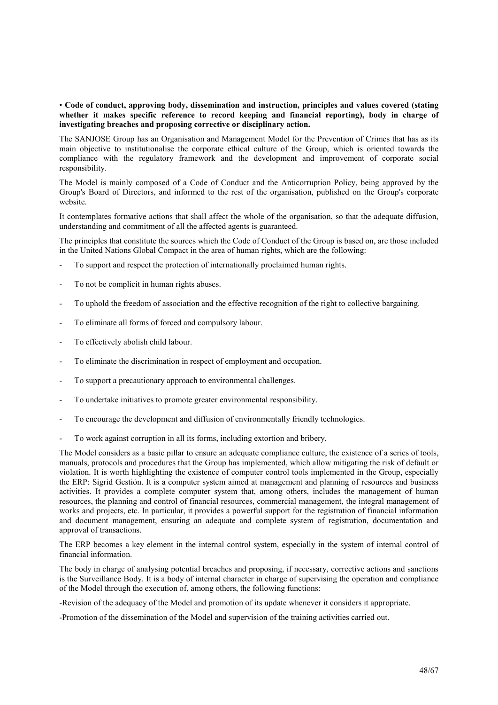# • Code of conduct, approving body, dissemination and instruction, principles and values covered (stating whether it makes specific reference to record keeping and financial reporting), body in charge of investigating breaches and proposing corrective or disciplinary action.

The SANJOSE Group has an Organisation and Management Model for the Prevention of Crimes that has as its main objective to institutionalise the corporate ethical culture of the Group, which is oriented towards the compliance with the regulatory framework and the development and improvement of corporate social responsibility.

The Model is mainly composed of a Code of Conduct and the Anticorruption Policy, being approved by the Group's Board of Directors, and informed to the rest of the organisation, published on the Group's corporate website.

It contemplates formative actions that shall affect the whole of the organisation, so that the adequate diffusion, understanding and commitment of all the affected agents is guaranteed.

The principles that constitute the sources which the Code of Conduct of the Group is based on, are those included in the United Nations Global Compact in the area of human rights, which are the following:

- To support and respect the protection of internationally proclaimed human rights.
- To not be complicit in human rights abuses.
- To uphold the freedom of association and the effective recognition of the right to collective bargaining.
- To eliminate all forms of forced and compulsory labour.
- To effectively abolish child labour.
- To eliminate the discrimination in respect of employment and occupation.
- To support a precautionary approach to environmental challenges.
- To undertake initiatives to promote greater environmental responsibility.
- To encourage the development and diffusion of environmentally friendly technologies.
- To work against corruption in all its forms, including extortion and bribery.

The Model considers as a basic pillar to ensure an adequate compliance culture, the existence of a series of tools, manuals, protocols and procedures that the Group has implemented, which allow mitigating the risk of default or violation. It is worth highlighting the existence of computer control tools implemented in the Group, especially the ERP: Sigrid Gestión. It is a computer system aimed at management and planning of resources and business activities. It provides a complete computer system that, among others, includes the management of human resources, the planning and control of financial resources, commercial management, the integral management of works and projects, etc. In particular, it provides a powerful support for the registration of financial information and document management, ensuring an adequate and complete system of registration, documentation and approval of transactions.

The ERP becomes a key element in the internal control system, especially in the system of internal control of financial information.

The body in charge of analysing potential breaches and proposing, if necessary, corrective actions and sanctions is the Surveillance Body. It is a body of internal character in charge of supervising the operation and compliance of the Model through the execution of, among others, the following functions:

-Revision of the adequacy of the Model and promotion of its update whenever it considers it appropriate.

-Promotion of the dissemination of the Model and supervision of the training activities carried out.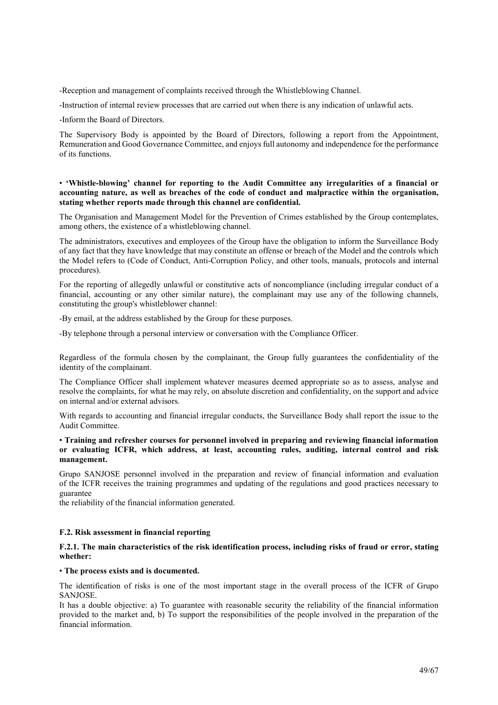-Reception and management of complaints received through the Whistleblowing Channel.

-Instruction of internal review processes that are carried out when there is any indication of unlawful acts.

-Inform the Board of Directors.

The Supervisory Body is appointed by the Board of Directors, following a report from the Appointment, Remuneration and Good Governance Committee, and enjoys full autonomy and independence for the performance of its functions.

# • 'Whistle-blowing' channel for reporting to the Audit Committee any irregularities of a financial or accounting nature, as well as breaches of the code of conduct and malpractice within the organisation, stating whether reports made through this channel are confidential.

The Organisation and Management Model for the Prevention of Crimes established by the Group contemplates, among others, the existence of a whistleblowing channel.

The administrators, executives and employees of the Group have the obligation to inform the Surveillance Body of any fact that they have knowledge that may constitute an offense or breach of the Model and the controls which the Model refers to (Code of Conduct, Anti-Corruption Policy, and other tools, manuals, protocols and internal procedures).

For the reporting of allegedly unlawful or constitutive acts of noncompliance (including irregular conduct of a financial, accounting or any other similar nature), the complainant may use any of the following channels, constituting the group's whistleblower channel:

-By email, at the address established by the Group for these purposes.

-By telephone through a personal interview or conversation with the Compliance Officer.

Regardless of the formula chosen by the complainant, the Group fully guarantees the confidentiality of the identity of the complainant.

The Compliance Officer shall implement whatever measures deemed appropriate so as to assess, analyse and resolve the complaints, for what he may rely, on absolute discretion and confidentiality, on the support and advice on internal and/or external advisors.

With regards to accounting and financial irregular conducts, the Surveillance Body shall report the issue to the Audit Committee.

# • Training and refresher courses for personnel involved in preparing and reviewing financial information or evaluating ICFR, which address, at least, accounting rules, auditing, internal control and risk management.

Grupo SANJOSE personnel involved in the preparation and review of financial information and evaluation of the ICFR receives the training programmes and updating of the regulations and good practices necessary to guarantee

the reliability of the financial information generated.

# F.2. Risk assessment in financial reporting

# F.2.1. The main characteristics of the risk identification process, including risks of fraud or error, stating whether:

#### • The process exists and is documented.

The identification of risks is one of the most important stage in the overall process of the ICFR of Grupo SANJOSE.

It has a double objective: a) To guarantee with reasonable security the reliability of the financial information provided to the market and, b) To support the responsibilities of the people involved in the preparation of the financial information.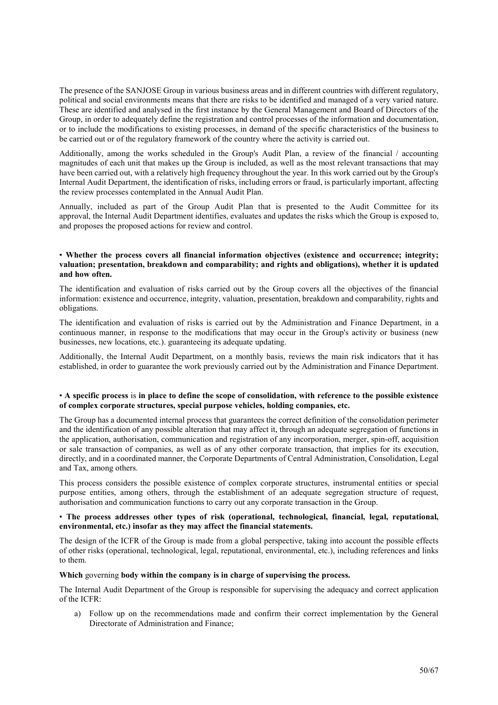The presence of the SANJOSE Group in various business areas and in different countries with different regulatory, political and social environments means that there are risks to be identified and managed of a very varied nature. These are identified and analysed in the first instance by the General Management and Board of Directors of the Group, in order to adequately define the registration and control processes of the information and documentation, or to include the modifications to existing processes, in demand of the specific characteristics of the business to be carried out or of the regulatory framework of the country where the activity is carried out.

Additionally, among the works scheduled in the Group's Audit Plan, a review of the financial / accounting magnitudes of each unit that makes up the Group is included, as well as the most relevant transactions that may have been carried out, with a relatively high frequency throughout the year. In this work carried out by the Group's Internal Audit Department, the identification of risks, including errors or fraud, is particularly important, affecting the review processes contemplated in the Annual Audit Plan.

Annually, included as part of the Group Audit Plan that is presented to the Audit Committee for its approval, the Internal Audit Department identifies, evaluates and updates the risks which the Group is exposed to, and proposes the proposed actions for review and control.

### • Whether the process covers all financial information objectives (existence and occurrence; integrity; valuation; presentation, breakdown and comparability; and rights and obligations), whether it is updated and how often.

The identification and evaluation of risks carried out by the Group covers all the objectives of the financial information: existence and occurrence, integrity, valuation, presentation, breakdown and comparability, rights and obligations.

The identification and evaluation of risks is carried out by the Administration and Finance Department, in a continuous manner, in response to the modifications that may occur in the Group's activity or business (new businesses, new locations, etc.). guaranteeing its adequate updating.

Additionally, the Internal Audit Department, on a monthly basis, reviews the main risk indicators that it has established, in order to guarantee the work previously carried out by the Administration and Finance Department.

#### • A specific process is in place to define the scope of consolidation, with reference to the possible existence of complex corporate structures, special purpose vehicles, holding companies, etc.

The Group has a documented internal process that guarantees the correct definition of the consolidation perimeter and the identification of any possible alteration that may affect it, through an adequate segregation of functions in the application, authorisation, communication and registration of any incorporation, merger, spin-off, acquisition or sale transaction of companies, as well as of any other corporate transaction, that implies for its execution, directly, and in a coordinated manner, the Corporate Departments of Central Administration, Consolidation, Legal and Tax, among others.

This process considers the possible existence of complex corporate structures, instrumental entities or special purpose entities, among others, through the establishment of an adequate segregation structure of request, authorisation and communication functions to carry out any corporate transaction in the Group.

#### • The process addresses other types of risk (operational, technological, financial, legal, reputational, environmental, etc.) insofar as they may affect the financial statements.

The design of the ICFR of the Group is made from a global perspective, taking into account the possible effects of other risks (operational, technological, legal, reputational, environmental, etc.), including references and links to them.

# Which governing body within the company is in charge of supervising the process.

The Internal Audit Department of the Group is responsible for supervising the adequacy and correct application of the ICFR:

a) Follow up on the recommendations made and confirm their correct implementation by the General Directorate of Administration and Finance;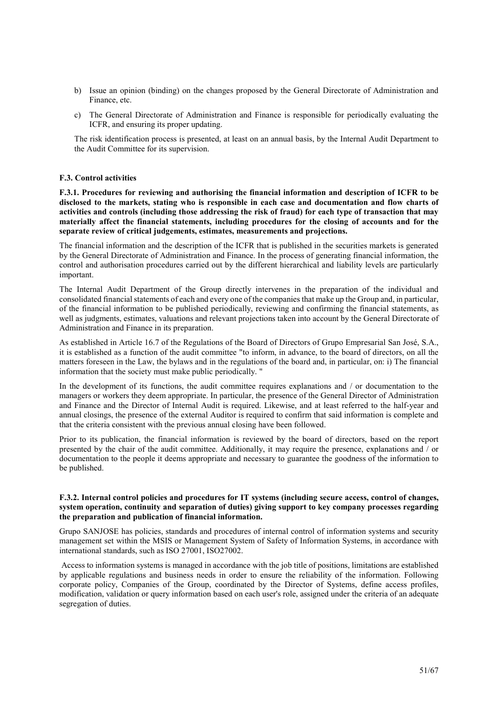- b) Issue an opinion (binding) on the changes proposed by the General Directorate of Administration and Finance, etc.
- c) The General Directorate of Administration and Finance is responsible for periodically evaluating the ICFR, and ensuring its proper updating.

The risk identification process is presented, at least on an annual basis, by the Internal Audit Department to the Audit Committee for its supervision.

# F.3. Control activities

F.3.1. Procedures for reviewing and authorising the financial information and description of ICFR to be disclosed to the markets, stating who is responsible in each case and documentation and flow charts of activities and controls (including those addressing the risk of fraud) for each type of transaction that may materially affect the financial statements, including procedures for the closing of accounts and for the separate review of critical judgements, estimates, measurements and projections.

The financial information and the description of the ICFR that is published in the securities markets is generated by the General Directorate of Administration and Finance. In the process of generating financial information, the control and authorisation procedures carried out by the different hierarchical and liability levels are particularly important.

The Internal Audit Department of the Group directly intervenes in the preparation of the individual and consolidated financial statements of each and every one of the companies that make up the Group and, in particular, of the financial information to be published periodically, reviewing and confirming the financial statements, as well as judgments, estimates, valuations and relevant projections taken into account by the General Directorate of Administration and Finance in its preparation.

As established in Article 16.7 of the Regulations of the Board of Directors of Grupo Empresarial San José, S.A., it is established as a function of the audit committee "to inform, in advance, to the board of directors, on all the matters foreseen in the Law, the bylaws and in the regulations of the board and, in particular, on: i) The financial information that the society must make public periodically. "

In the development of its functions, the audit committee requires explanations and / or documentation to the managers or workers they deem appropriate. In particular, the presence of the General Director of Administration and Finance and the Director of Internal Audit is required. Likewise, and at least referred to the half-year and annual closings, the presence of the external Auditor is required to confirm that said information is complete and that the criteria consistent with the previous annual closing have been followed.

Prior to its publication, the financial information is reviewed by the board of directors, based on the report presented by the chair of the audit committee. Additionally, it may require the presence, explanations and / or documentation to the people it deems appropriate and necessary to guarantee the goodness of the information to be published.

#### F.3.2. Internal control policies and procedures for IT systems (including secure access, control of changes, system operation, continuity and separation of duties) giving support to key company processes regarding the preparation and publication of financial information.

Grupo SANJOSE has policies, standards and procedures of internal control of information systems and security management set within the MSIS or Management System of Safety of Information Systems, in accordance with international standards, such as ISO 27001, ISO27002.

 Access to information systems is managed in accordance with the job title of positions, limitations are established by applicable regulations and business needs in order to ensure the reliability of the information. Following corporate policy, Companies of the Group, coordinated by the Director of Systems, define access profiles, modification, validation or query information based on each user's role, assigned under the criteria of an adequate segregation of duties.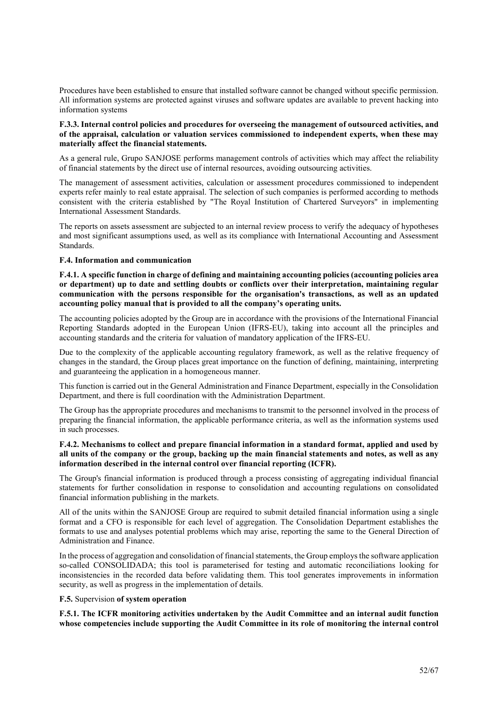Procedures have been established to ensure that installed software cannot be changed without specific permission. All information systems are protected against viruses and software updates are available to prevent hacking into information systems

#### F.3.3. Internal control policies and procedures for overseeing the management of outsourced activities, and of the appraisal, calculation or valuation services commissioned to independent experts, when these may materially affect the financial statements.

As a general rule, Grupo SANJOSE performs management controls of activities which may affect the reliability of financial statements by the direct use of internal resources, avoiding outsourcing activities.

The management of assessment activities, calculation or assessment procedures commissioned to independent experts refer mainly to real estate appraisal. The selection of such companies is performed according to methods consistent with the criteria established by "The Royal Institution of Chartered Surveyors" in implementing International Assessment Standards.

The reports on assets assessment are subjected to an internal review process to verify the adequacy of hypotheses and most significant assumptions used, as well as its compliance with International Accounting and Assessment Standards.

# F.4. Information and communication

F.4.1. A specific function in charge of defining and maintaining accounting policies (accounting policies area or department) up to date and settling doubts or conflicts over their interpretation, maintaining regular communication with the persons responsible for the organisation's transactions, as well as an updated accounting policy manual that is provided to all the company's operating units.

The accounting policies adopted by the Group are in accordance with the provisions of the International Financial Reporting Standards adopted in the European Union (IFRS-EU), taking into account all the principles and accounting standards and the criteria for valuation of mandatory application of the IFRS-EU.

Due to the complexity of the applicable accounting regulatory framework, as well as the relative frequency of changes in the standard, the Group places great importance on the function of defining, maintaining, interpreting and guaranteeing the application in a homogeneous manner.

This function is carried out in the General Administration and Finance Department, especially in the Consolidation Department, and there is full coordination with the Administration Department.

The Group has the appropriate procedures and mechanisms to transmit to the personnel involved in the process of preparing the financial information, the applicable performance criteria, as well as the information systems used in such processes.

# F.4.2. Mechanisms to collect and prepare financial information in a standard format, applied and used by all units of the company or the group, backing up the main financial statements and notes, as well as any information described in the internal control over financial reporting (ICFR).

The Group's financial information is produced through a process consisting of aggregating individual financial statements for further consolidation in response to consolidation and accounting regulations on consolidated financial information publishing in the markets.

All of the units within the SANJOSE Group are required to submit detailed financial information using a single format and a CFO is responsible for each level of aggregation. The Consolidation Department establishes the formats to use and analyses potential problems which may arise, reporting the same to the General Direction of Administration and Finance.

In the process of aggregation and consolidation of financial statements, the Group employs the software application so-called CONSOLIDADA; this tool is parameterised for testing and automatic reconciliations looking for inconsistencies in the recorded data before validating them. This tool generates improvements in information security, as well as progress in the implementation of details.

# F.5. Supervision of system operation

F.5.1. The ICFR monitoring activities undertaken by the Audit Committee and an internal audit function whose competencies include supporting the Audit Committee in its role of monitoring the internal control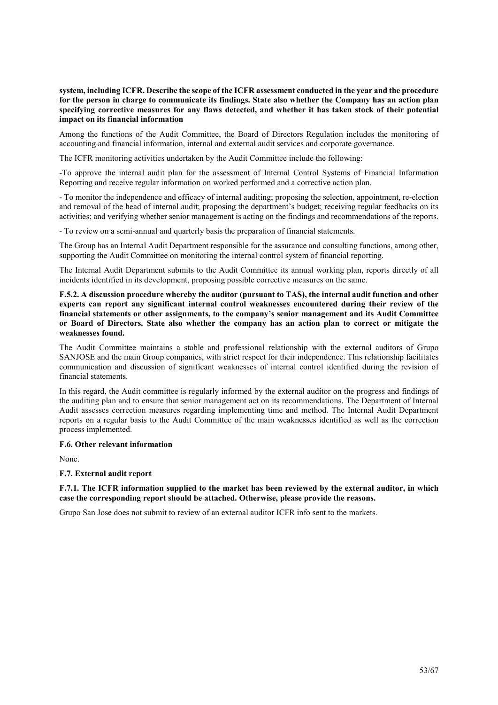system, including ICFR. Describe the scope of the ICFR assessment conducted in the year and the procedure for the person in charge to communicate its findings. State also whether the Company has an action plan specifying corrective measures for any flaws detected, and whether it has taken stock of their potential impact on its financial information

Among the functions of the Audit Committee, the Board of Directors Regulation includes the monitoring of accounting and financial information, internal and external audit services and corporate governance.

The ICFR monitoring activities undertaken by the Audit Committee include the following:

-To approve the internal audit plan for the assessment of Internal Control Systems of Financial Information Reporting and receive regular information on worked performed and a corrective action plan.

- To monitor the independence and efficacy of internal auditing; proposing the selection, appointment, re-election and removal of the head of internal audit; proposing the department's budget; receiving regular feedbacks on its activities; and verifying whether senior management is acting on the findings and recommendations of the reports.

- To review on a semi-annual and quarterly basis the preparation of financial statements.

The Group has an Internal Audit Department responsible for the assurance and consulting functions, among other, supporting the Audit Committee on monitoring the internal control system of financial reporting.

The Internal Audit Department submits to the Audit Committee its annual working plan, reports directly of all incidents identified in its development, proposing possible corrective measures on the same.

F.5.2. A discussion procedure whereby the auditor (pursuant to TAS), the internal audit function and other experts can report any significant internal control weaknesses encountered during their review of the financial statements or other assignments, to the company's senior management and its Audit Committee or Board of Directors. State also whether the company has an action plan to correct or mitigate the weaknesses found.

The Audit Committee maintains a stable and professional relationship with the external auditors of Grupo SANJOSE and the main Group companies, with strict respect for their independence. This relationship facilitates communication and discussion of significant weaknesses of internal control identified during the revision of financial statements.

In this regard, the Audit committee is regularly informed by the external auditor on the progress and findings of the auditing plan and to ensure that senior management act on its recommendations. The Department of Internal Audit assesses correction measures regarding implementing time and method. The Internal Audit Department reports on a regular basis to the Audit Committee of the main weaknesses identified as well as the correction process implemented.

# F.6. Other relevant information

None.

#### F.7. External audit report

F.7.1. The ICFR information supplied to the market has been reviewed by the external auditor, in which case the corresponding report should be attached. Otherwise, please provide the reasons.

Grupo San Jose does not submit to review of an external auditor ICFR info sent to the markets.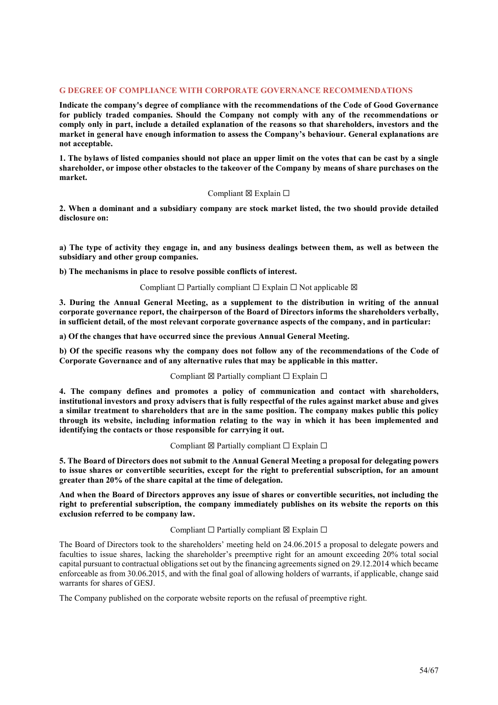### G DEGREE OF COMPLIANCE WITH CORPORATE GOVERNANCE RECOMMENDATIONS

Indicate the company's degree of compliance with the recommendations of the Code of Good Governance for publicly traded companies. Should the Company not comply with any of the recommendations or comply only in part, include a detailed explanation of the reasons so that shareholders, investors and the market in general have enough information to assess the Company's behaviour. General explanations are not acceptable.

1. The bylaws of listed companies should not place an upper limit on the votes that can be cast by a single shareholder, or impose other obstacles to the takeover of the Company by means of share purchases on the market.

#### Compliant ⊠ Explain □

2. When a dominant and a subsidiary company are stock market listed, the two should provide detailed disclosure on:

a) The type of activity they engage in, and any business dealings between them, as well as between the subsidiary and other group companies.

b) The mechanisms in place to resolve possible conflicts of interest.

#### Compliant  $\Box$  Partially compliant  $\Box$  Explain  $\Box$  Not applicable  $\boxtimes$

3. During the Annual General Meeting, as a supplement to the distribution in writing of the annual corporate governance report, the chairperson of the Board of Directors informs the shareholders verbally, in sufficient detail, of the most relevant corporate governance aspects of the company, and in particular:

a) Of the changes that have occurred since the previous Annual General Meeting.

b) Of the specific reasons why the company does not follow any of the recommendations of the Code of Corporate Governance and of any alternative rules that may be applicable in this matter.

# Compliant  $\boxtimes$  Partially compliant  $\Box$  Explain  $\Box$

4. The company defines and promotes a policy of communication and contact with shareholders, institutional investors and proxy advisers that is fully respectful of the rules against market abuse and gives a similar treatment to shareholders that are in the same position. The company makes public this policy through its website, including information relating to the way in which it has been implemented and identifying the contacts or those responsible for carrying it out.

# Compliant  $\boxtimes$  Partially compliant  $\Box$  Explain  $\Box$

5. The Board of Directors does not submit to the Annual General Meeting a proposal for delegating powers to issue shares or convertible securities, except for the right to preferential subscription, for an amount greater than 20% of the share capital at the time of delegation.

And when the Board of Directors approves any issue of shares or convertible securities, not including the right to preferential subscription, the company immediately publishes on its website the reports on this exclusion referred to be company law.

# Compliant  $□$  Partially compliant  $□$  Explain  $□$

The Board of Directors took to the shareholders' meeting held on 24.06.2015 a proposal to delegate powers and faculties to issue shares, lacking the shareholder's preemptive right for an amount exceeding 20% total social capital pursuant to contractual obligations set out by the financing agreements signed on 29.12.2014 which became enforceable as from 30.06.2015, and with the final goal of allowing holders of warrants, if applicable, change said warrants for shares of GESJ.

The Company published on the corporate website reports on the refusal of preemptive right.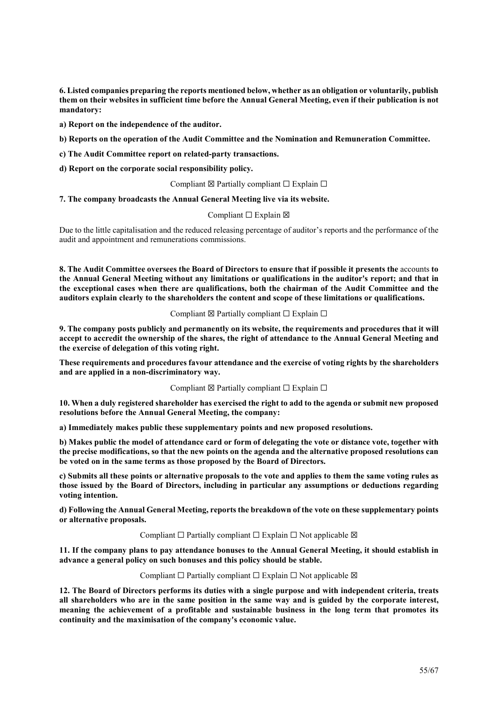6. Listed companies preparing the reports mentioned below, whether as an obligation or voluntarily, publish them on their websites in sufficient time before the Annual General Meeting, even if their publication is not mandatory:

a) Report on the independence of the auditor.

b) Reports on the operation of the Audit Committee and the Nomination and Remuneration Committee.

c) The Audit Committee report on related-party transactions.

d) Report on the corporate social responsibility policy.

Compliant  $\boxtimes$  Partially compliant  $\Box$  Explain  $\Box$ 

# 7. The company broadcasts the Annual General Meeting live via its website.

# Compliant □ Explain  $box$

Due to the little capitalisation and the reduced releasing percentage of auditor's reports and the performance of the audit and appointment and remunerations commissions.

8. The Audit Committee oversees the Board of Directors to ensure that if possible it presents the accounts to the Annual General Meeting without any limitations or qualifications in the auditor's report; and that in the exceptional cases when there are qualifications, both the chairman of the Audit Committee and the auditors explain clearly to the shareholders the content and scope of these limitations or qualifications.

# Compliant  $\boxtimes$  Partially compliant  $\Box$  Explain  $\Box$

9. The company posts publicly and permanently on its website, the requirements and procedures that it will accept to accredit the ownership of the shares, the right of attendance to the Annual General Meeting and the exercise of delegation of this voting right.

These requirements and procedures favour attendance and the exercise of voting rights by the shareholders and are applied in a non-discriminatory way.

# Compliant  $\boxtimes$  Partially compliant  $\Box$  Explain  $\Box$

10. When a duly registered shareholder has exercised the right to add to the agenda or submit new proposed resolutions before the Annual General Meeting, the company:

a) Immediately makes public these supplementary points and new proposed resolutions.

b) Makes public the model of attendance card or form of delegating the vote or distance vote, together with the precise modifications, so that the new points on the agenda and the alternative proposed resolutions can be voted on in the same terms as those proposed by the Board of Directors.

c) Submits all these points or alternative proposals to the vote and applies to them the same voting rules as those issued by the Board of Directors, including in particular any assumptions or deductions regarding voting intention.

d) Following the Annual General Meeting, reports the breakdown of the vote on these supplementary points or alternative proposals.

# Compliant  $□$  Partially compliant  $□$  Explain  $□$  Not applicable  $□$

11. If the company plans to pay attendance bonuses to the Annual General Meeting, it should establish in advance a general policy on such bonuses and this policy should be stable.

Compliant  $□$  Partially compliant  $□$  Explain  $□$  Not applicable  $□$ 

12. The Board of Directors performs its duties with a single purpose and with independent criteria, treats all shareholders who are in the same position in the same way and is guided by the corporate interest, meaning the achievement of a profitable and sustainable business in the long term that promotes its continuity and the maximisation of the company's economic value.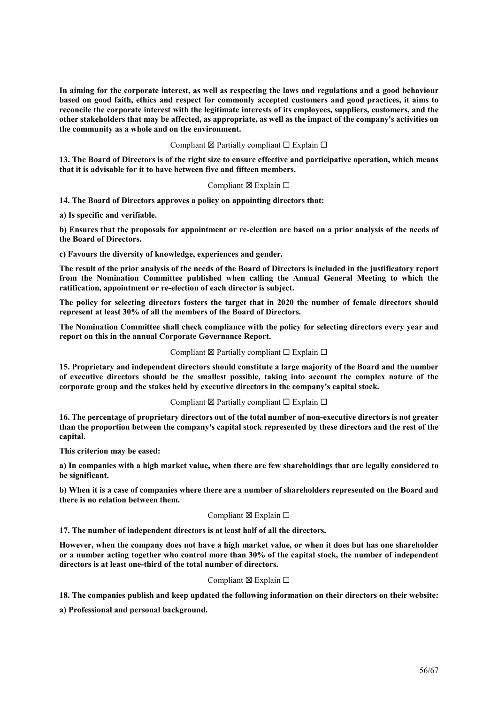In aiming for the corporate interest, as well as respecting the laws and regulations and a good behaviour based on good faith, ethics and respect for commonly accepted customers and good practices, it aims to reconcile the corporate interest with the legitimate interests of its employees, suppliers, customers, and the other stakeholders that may be affected, as appropriate, as well as the impact of the company's activities on the community as a whole and on the environment.

#### Compliant  $\boxtimes$  Partially compliant  $\Box$  Explain  $\Box$

13. The Board of Directors is of the right size to ensure effective and participative operation, which means that it is advisable for it to have between five and fifteen members.

#### Compliant  $\boxtimes$  Explain  $\square$

14. The Board of Directors approves a policy on appointing directors that:

a) Is specific and verifiable.

b) Ensures that the proposals for appointment or re-election are based on a prior analysis of the needs of the Board of Directors.

c) Favours the diversity of knowledge, experiences and gender.

The result of the prior analysis of the needs of the Board of Directors is included in the justificatory report from the Nomination Committee published when calling the Annual General Meeting to which the ratification, appointment or re-election of each director is subject.

The policy for selecting directors fosters the target that in 2020 the number of female directors should represent at least 30% of all the members of the Board of Directors.

The Nomination Committee shall check compliance with the policy for selecting directors every year and report on this in the annual Corporate Governance Report.

#### Compliant ⊠ Partially compliant  $□$  Explain  $□$

15. Proprietary and independent directors should constitute a large majority of the Board and the number of executive directors should be the smallest possible, taking into account the complex nature of the corporate group and the stakes held by executive directors in the company's capital stock.

#### Compliant  $\boxtimes$  Partially compliant  $\Box$  Explain  $\Box$

16. The percentage of proprietary directors out of the total number of non-executive directors is not greater than the proportion between the company's capital stock represented by these directors and the rest of the capital.

This criterion may be eased:

a) In companies with a high market value, when there are few shareholdings that are legally considered to be significant.

b) When it is a case of companies where there are a number of shareholders represented on the Board and there is no relation between them.

#### Compliant  $\boxtimes$  Explain  $\Box$

17. The number of independent directors is at least half of all the directors.

However, when the company does not have a high market value, or when it does but has one shareholder or a number acting together who control more than 30% of the capital stock, the number of independent directors is at least one-third of the total number of directors.

#### Compliant  $\boxtimes$  Explain  $\Box$

18. The companies publish and keep updated the following information on their directors on their website:

a) Professional and personal background.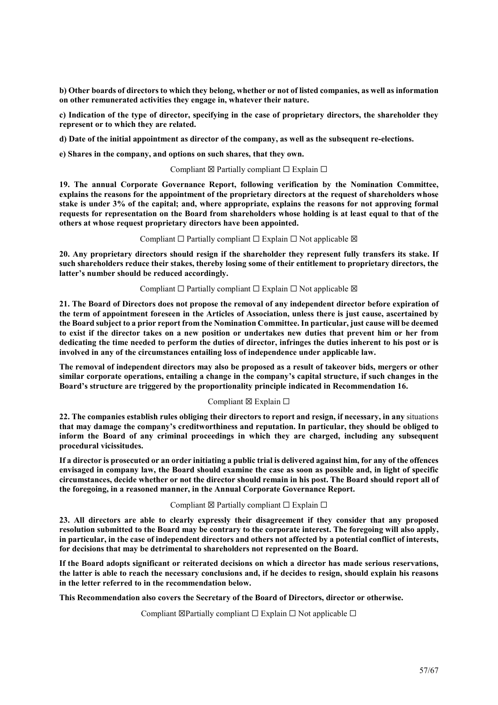b) Other boards of directors to which they belong, whether or not of listed companies, as well as information on other remunerated activities they engage in, whatever their nature.

c) Indication of the type of director, specifying in the case of proprietary directors, the shareholder they represent or to which they are related.

d) Date of the initial appointment as director of the company, as well as the subsequent re-elections.

e) Shares in the company, and options on such shares, that they own.

#### Compliant  $\boxtimes$  Partially compliant  $\Box$  Explain  $\Box$

19. The annual Corporate Governance Report, following verification by the Nomination Committee, explains the reasons for the appointment of the proprietary directors at the request of shareholders whose stake is under 3% of the capital; and, where appropriate, explains the reasons for not approving formal requests for representation on the Board from shareholders whose holding is at least equal to that of the others at whose request proprietary directors have been appointed.

#### Compliant  $\Box$  Partially compliant  $\Box$  Explain  $\Box$  Not applicable  $\boxtimes$

20. Any proprietary directors should resign if the shareholder they represent fully transfers its stake. If such shareholders reduce their stakes, thereby losing some of their entitlement to proprietary directors, the latter's number should be reduced accordingly.

# Compliant  $\Box$  Partially compliant  $\Box$  Explain  $\Box$  Not applicable  $\boxtimes$

21. The Board of Directors does not propose the removal of any independent director before expiration of the term of appointment foreseen in the Articles of Association, unless there is just cause, ascertained by the Board subject to a prior report from the Nomination Committee. In particular, just cause will be deemed to exist if the director takes on a new position or undertakes new duties that prevent him or her from dedicating the time needed to perform the duties of director, infringes the duties inherent to his post or is involved in any of the circumstances entailing loss of independence under applicable law.

The removal of independent directors may also be proposed as a result of takeover bids, mergers or other similar corporate operations, entailing a change in the company's capital structure, if such changes in the Board's structure are triggered by the proportionality principle indicated in Recommendation 16.

# Compliant  $\boxtimes$  Explain  $\Box$

22. The companies establish rules obliging their directors to report and resign, if necessary, in any situations that may damage the company's creditworthiness and reputation. In particular, they should be obliged to inform the Board of any criminal proceedings in which they are charged, including any subsequent procedural vicissitudes.

If a director is prosecuted or an order initiating a public trial is delivered against him, for any of the offences envisaged in company law, the Board should examine the case as soon as possible and, in light of specific circumstances, decide whether or not the director should remain in his post. The Board should report all of the foregoing, in a reasoned manner, in the Annual Corporate Governance Report.

# Compliant  $\boxtimes$  Partially compliant  $\Box$  Explain  $\Box$

23. All directors are able to clearly expressly their disagreement if they consider that any proposed resolution submitted to the Board may be contrary to the corporate interest. The foregoing will also apply, in particular, in the case of independent directors and others not affected by a potential conflict of interests, for decisions that may be detrimental to shareholders not represented on the Board.

If the Board adopts significant or reiterated decisions on which a director has made serious reservations, the latter is able to reach the necessary conclusions and, if he decides to resign, should explain his reasons in the letter referred to in the recommendation below.

This Recommendation also covers the Secretary of the Board of Directors, director or otherwise.

Compliant  $\boxtimes$  Partially compliant  $\Box$  Explain  $\Box$  Not applicable  $\Box$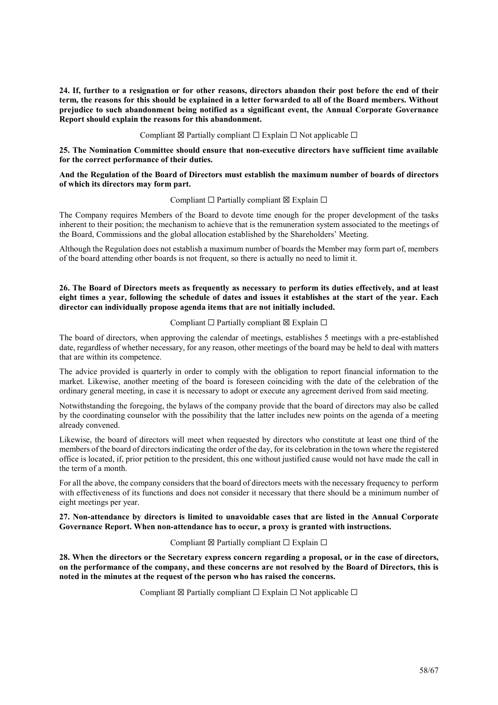24. If, further to a resignation or for other reasons, directors abandon their post before the end of their term, the reasons for this should be explained in a letter forwarded to all of the Board members. Without prejudice to such abandonment being notified as a significant event, the Annual Corporate Governance Report should explain the reasons for this abandonment.

Compliant  $\boxtimes$  Partially compliant  $\Box$  Explain  $\Box$  Not applicable  $\Box$ 

25. The Nomination Committee should ensure that non-executive directors have sufficient time available for the correct performance of their duties.

# And the Regulation of the Board of Directors must establish the maximum number of boards of directors of which its directors may form part.

#### Compliant  $□$  Partially compliant  $□$  Explain  $□$

The Company requires Members of the Board to devote time enough for the proper development of the tasks inherent to their position; the mechanism to achieve that is the remuneration system associated to the meetings of the Board, Commissions and the global allocation established by the Shareholders' Meeting.

Although the Regulation does not establish a maximum number of boards the Member may form part of, members of the board attending other boards is not frequent, so there is actually no need to limit it.

# 26. The Board of Directors meets as frequently as necessary to perform its duties effectively, and at least eight times a year, following the schedule of dates and issues it establishes at the start of the year. Each director can individually propose agenda items that are not initially included.

#### Compliant  $□$  Partially compliant  $□$  Explain  $□$

The board of directors, when approving the calendar of meetings, establishes 5 meetings with a pre-established date, regardless of whether necessary, for any reason, other meetings of the board may be held to deal with matters that are within its competence.

The advice provided is quarterly in order to comply with the obligation to report financial information to the market. Likewise, another meeting of the board is foreseen coinciding with the date of the celebration of the ordinary general meeting, in case it is necessary to adopt or execute any agreement derived from said meeting.

Notwithstanding the foregoing, the bylaws of the company provide that the board of directors may also be called by the coordinating counselor with the possibility that the latter includes new points on the agenda of a meeting already convened.

Likewise, the board of directors will meet when requested by directors who constitute at least one third of the members of the board of directors indicating the order of the day, for its celebration in the town where the registered office is located, if, prior petition to the president, this one without justified cause would not have made the call in the term of a month.

For all the above, the company considers that the board of directors meets with the necessary frequency to perform with effectiveness of its functions and does not consider it necessary that there should be a minimum number of eight meetings per year.

# 27. Non-attendance by directors is limited to unavoidable cases that are listed in the Annual Corporate Governance Report. When non-attendance has to occur, a proxy is granted with instructions.

Compliant  $\boxtimes$  Partially compliant  $\Box$  Explain  $\Box$ 

28. When the directors or the Secretary express concern regarding a proposal, or in the case of directors, on the performance of the company, and these concerns are not resolved by the Board of Directors, this is noted in the minutes at the request of the person who has raised the concerns.

Compliant  $\boxtimes$  Partially compliant  $\Box$  Explain  $\Box$  Not applicable  $\Box$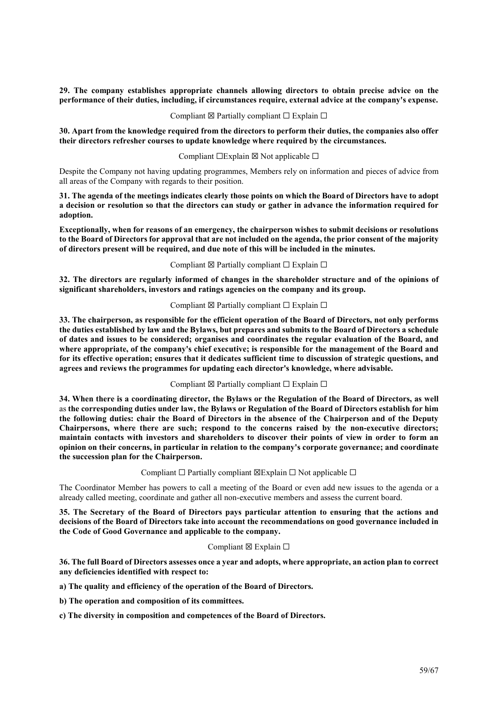29. The company establishes appropriate channels allowing directors to obtain precise advice on the performance of their duties, including, if circumstances require, external advice at the company's expense.

#### Compliant  $\boxtimes$  Partially compliant  $\Box$  Explain  $\Box$

30. Apart from the knowledge required from the directors to perform their duties, the companies also offer their directors refresher courses to update knowledge where required by the circumstances.

#### Compliant  $□Explain \boxtimes Not applicable □$

Despite the Company not having updating programmes, Members rely on information and pieces of advice from all areas of the Company with regards to their position.

31. The agenda of the meetings indicates clearly those points on which the Board of Directors have to adopt a decision or resolution so that the directors can study or gather in advance the information required for adoption.

Exceptionally, when for reasons of an emergency, the chairperson wishes to submit decisions or resolutions to the Board of Directors for approval that are not included on the agenda, the prior consent of the majority of directors present will be required, and due note of this will be included in the minutes.

#### Compliant  $\boxtimes$  Partially compliant  $\Box$  Explain  $\Box$

32. The directors are regularly informed of changes in the shareholder structure and of the opinions of significant shareholders, investors and ratings agencies on the company and its group.

#### Compliant  $\boxtimes$  Partially compliant  $\Box$  Explain  $\Box$

33. The chairperson, as responsible for the efficient operation of the Board of Directors, not only performs the duties established by law and the Bylaws, but prepares and submits to the Board of Directors a schedule of dates and issues to be considered; organises and coordinates the regular evaluation of the Board, and where appropriate, of the company's chief executive; is responsible for the management of the Board and for its effective operation; ensures that it dedicates sufficient time to discussion of strategic questions, and agrees and reviews the programmes for updating each director's knowledge, where advisable.

#### Compliant  $\boxtimes$  Partially compliant  $\Box$  Explain  $\Box$

34. When there is a coordinating director, the Bylaws or the Regulation of the Board of Directors, as well as the corresponding duties under law, the Bylaws or Regulation of the Board of Directors establish for him the following duties: chair the Board of Directors in the absence of the Chairperson and of the Deputy Chairpersons, where there are such; respond to the concerns raised by the non-executive directors; maintain contacts with investors and shareholders to discover their points of view in order to form an opinion on their concerns, in particular in relation to the company's corporate governance; and coordinate the succession plan for the Chairperson.

# Compliant  $\Box$  Partially compliant  $\boxtimes$ Explain  $\Box$  Not applicable  $\Box$

The Coordinator Member has powers to call a meeting of the Board or even add new issues to the agenda or a already called meeting, coordinate and gather all non-executive members and assess the current board.

35. The Secretary of the Board of Directors pays particular attention to ensuring that the actions and decisions of the Board of Directors take into account the recommendations on good governance included in the Code of Good Governance and applicable to the company.

#### Compliant  $\boxtimes$  Explain  $\Box$

36. The full Board of Directors assesses once a year and adopts, where appropriate, an action plan to correct any deficiencies identified with respect to:

a) The quality and efficiency of the operation of the Board of Directors.

b) The operation and composition of its committees.

c) The diversity in composition and competences of the Board of Directors.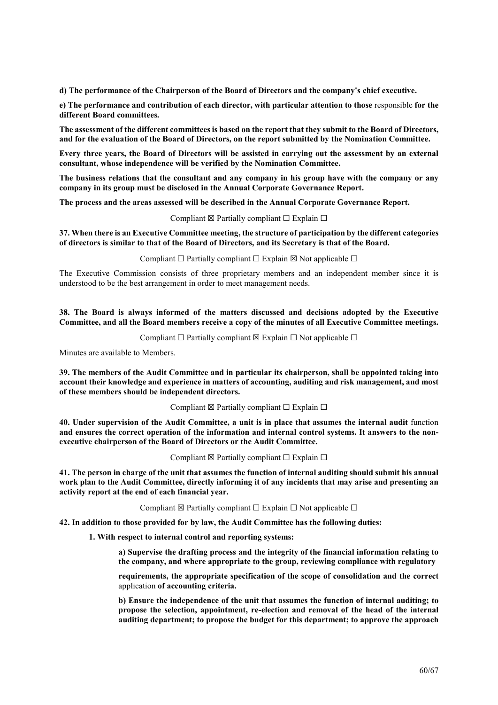d) The performance of the Chairperson of the Board of Directors and the company's chief executive.

e) The performance and contribution of each director, with particular attention to those responsible for the different Board committees.

The assessment of the different committees is based on the report that they submit to the Board of Directors, and for the evaluation of the Board of Directors, on the report submitted by the Nomination Committee.

Every three years, the Board of Directors will be assisted in carrying out the assessment by an external consultant, whose independence will be verified by the Nomination Committee.

The business relations that the consultant and any company in his group have with the company or any company in its group must be disclosed in the Annual Corporate Governance Report.

The process and the areas assessed will be described in the Annual Corporate Governance Report.

Compliant  $\boxtimes$  Partially compliant  $\Box$  Explain  $\Box$ 

37. When there is an Executive Committee meeting, the structure of participation by the different categories of directors is similar to that of the Board of Directors, and its Secretary is that of the Board.

Compliant  $\Box$  Partially compliant  $\Box$  Explain  $\boxtimes$  Not applicable  $\Box$ 

The Executive Commission consists of three proprietary members and an independent member since it is understood to be the best arrangement in order to meet management needs.

38. The Board is always informed of the matters discussed and decisions adopted by the Executive Committee, and all the Board members receive a copy of the minutes of all Executive Committee meetings.

Compliant  $\Box$  Partially compliant  $\boxtimes$  Explain  $\Box$  Not applicable  $\Box$ 

Minutes are available to Members.

39. The members of the Audit Committee and in particular its chairperson, shall be appointed taking into account their knowledge and experience in matters of accounting, auditing and risk management, and most of these members should be independent directors.

Compliant  $\boxtimes$  Partially compliant  $\Box$  Explain  $\Box$ 

40. Under supervision of the Audit Committee, a unit is in place that assumes the internal audit function and ensures the correct operation of the information and internal control systems. It answers to the nonexecutive chairperson of the Board of Directors or the Audit Committee.

Compliant  $\boxtimes$  Partially compliant  $\Box$  Explain  $\Box$ 

41. The person in charge of the unit that assumes the function of internal auditing should submit his annual work plan to the Audit Committee, directly informing it of any incidents that may arise and presenting an activity report at the end of each financial year.

Compliant  $\boxtimes$  Partially compliant  $\Box$  Explain  $\Box$  Not applicable  $\Box$ 

42. In addition to those provided for by law, the Audit Committee has the following duties:

1. With respect to internal control and reporting systems:

a) Supervise the drafting process and the integrity of the financial information relating to the company, and where appropriate to the group, reviewing compliance with regulatory

requirements, the appropriate specification of the scope of consolidation and the correct application of accounting criteria.

b) Ensure the independence of the unit that assumes the function of internal auditing; to propose the selection, appointment, re-election and removal of the head of the internal auditing department; to propose the budget for this department; to approve the approach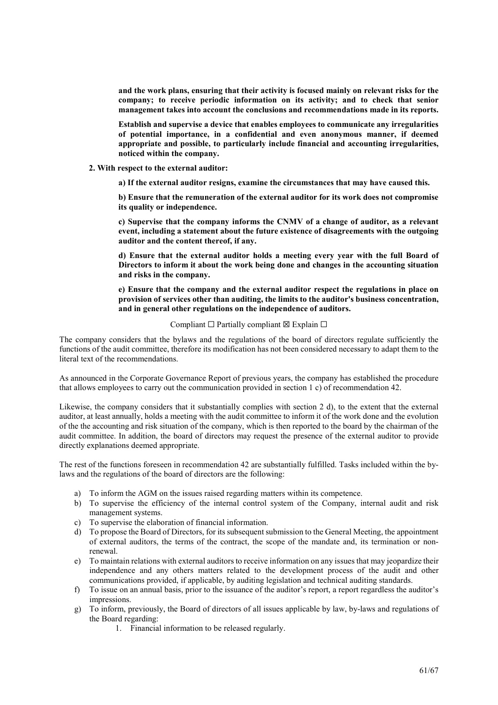and the work plans, ensuring that their activity is focused mainly on relevant risks for the company; to receive periodic information on its activity; and to check that senior management takes into account the conclusions and recommendations made in its reports.

Establish and supervise a device that enables employees to communicate any irregularities of potential importance, in a confidential and even anonymous manner, if deemed appropriate and possible, to particularly include financial and accounting irregularities, noticed within the company.

2. With respect to the external auditor:

a) If the external auditor resigns, examine the circumstances that may have caused this.

b) Ensure that the remuneration of the external auditor for its work does not compromise its quality or independence.

c) Supervise that the company informs the CNMV of a change of auditor, as a relevant event, including a statement about the future existence of disagreements with the outgoing auditor and the content thereof, if any.

d) Ensure that the external auditor holds a meeting every year with the full Board of Directors to inform it about the work being done and changes in the accounting situation and risks in the company.

e) Ensure that the company and the external auditor respect the regulations in place on provision of services other than auditing, the limits to the auditor's business concentration, and in general other regulations on the independence of auditors.

#### Compliant  $□$  Partially compliant  $□$  Explain  $□$

The company considers that the bylaws and the regulations of the board of directors regulate sufficiently the functions of the audit committee, therefore its modification has not been considered necessary to adapt them to the literal text of the recommendations.

As announced in the Corporate Governance Report of previous years, the company has established the procedure that allows employees to carry out the communication provided in section 1 c) of recommendation 42.

Likewise, the company considers that it substantially complies with section 2 d), to the extent that the external auditor, at least annually, holds a meeting with the audit committee to inform it of the work done and the evolution of the the accounting and risk situation of the company, which is then reported to the board by the chairman of the audit committee. In addition, the board of directors may request the presence of the external auditor to provide directly explanations deemed appropriate.

The rest of the functions foreseen in recommendation 42 are substantially fulfilled. Tasks included within the bylaws and the regulations of the board of directors are the following:

- a) To inform the AGM on the issues raised regarding matters within its competence.
- b) To supervise the efficiency of the internal control system of the Company, internal audit and risk management systems.
- c) To supervise the elaboration of financial information.
- d) To propose the Board of Directors, for its subsequent submission to the General Meeting, the appointment of external auditors, the terms of the contract, the scope of the mandate and, its termination or nonrenewal.
- e) To maintain relations with external auditors to receive information on any issues that may jeopardize their independence and any others matters related to the development process of the audit and other communications provided, if applicable, by auditing legislation and technical auditing standards.
- f) To issue on an annual basis, prior to the issuance of the auditor's report, a report regardless the auditor's impressions.
- g) To inform, previously, the Board of directors of all issues applicable by law, by-laws and regulations of the Board regarding:
	- 1. Financial information to be released regularly.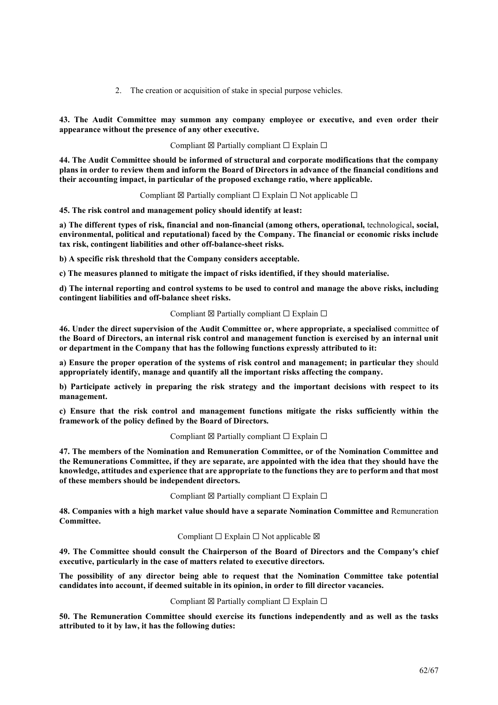2. The creation or acquisition of stake in special purpose vehicles.

43. The Audit Committee may summon any company employee or executive, and even order their appearance without the presence of any other executive.

Compliant  $\boxtimes$  Partially compliant  $\Box$  Explain  $\Box$ 

44. The Audit Committee should be informed of structural and corporate modifications that the company plans in order to review them and inform the Board of Directors in advance of the financial conditions and their accounting impact, in particular of the proposed exchange ratio, where applicable.

Compliant  $\boxtimes$  Partially compliant  $\square$  Explain  $\square$  Not applicable  $\square$ 

45. The risk control and management policy should identify at least:

a) The different types of risk, financial and non-financial (among others, operational, technological, social, environmental, political and reputational) faced by the Company. The financial or economic risks include tax risk, contingent liabilities and other off-balance-sheet risks.

b) A specific risk threshold that the Company considers acceptable.

c) The measures planned to mitigate the impact of risks identified, if they should materialise.

d) The internal reporting and control systems to be used to control and manage the above risks, including contingent liabilities and off-balance sheet risks.

#### Compliant  $\boxtimes$  Partially compliant  $\Box$  Explain  $\Box$

46. Under the direct supervision of the Audit Committee or, where appropriate, a specialised committee of the Board of Directors, an internal risk control and management function is exercised by an internal unit or department in the Company that has the following functions expressly attributed to it:

a) Ensure the proper operation of the systems of risk control and management; in particular they should appropriately identify, manage and quantify all the important risks affecting the company.

b) Participate actively in preparing the risk strategy and the important decisions with respect to its management.

c) Ensure that the risk control and management functions mitigate the risks sufficiently within the framework of the policy defined by the Board of Directors.

#### Compliant  $\boxtimes$  Partially compliant  $\Box$  Explain  $\Box$

47. The members of the Nomination and Remuneration Committee, or of the Nomination Committee and the Remunerations Committee, if they are separate, are appointed with the idea that they should have the knowledge, attitudes and experience that are appropriate to the functions they are to perform and that most of these members should be independent directors.

Compliant  $\boxtimes$  Partially compliant  $\Box$  Explain  $\Box$ 

48. Companies with a high market value should have a separate Nomination Committee and Remuneration Committee.

# Compliant  $□$  Explain  $□$  Not applicable  $□$

49. The Committee should consult the Chairperson of the Board of Directors and the Company's chief executive, particularly in the case of matters related to executive directors.

The possibility of any director being able to request that the Nomination Committee take potential candidates into account, if deemed suitable in its opinion, in order to fill director vacancies.

### Compliant  $\boxtimes$  Partially compliant  $\Box$  Explain  $\Box$

50. The Remuneration Committee should exercise its functions independently and as well as the tasks attributed to it by law, it has the following duties: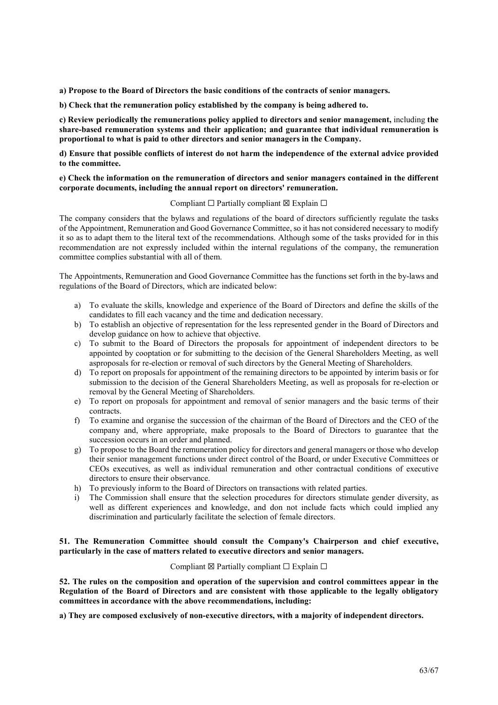a) Propose to the Board of Directors the basic conditions of the contracts of senior managers.

b) Check that the remuneration policy established by the company is being adhered to.

c) Review periodically the remunerations policy applied to directors and senior management, including the share-based remuneration systems and their application; and guarantee that individual remuneration is proportional to what is paid to other directors and senior managers in the Company.

d) Ensure that possible conflicts of interest do not harm the independence of the external advice provided to the committee.

#### e) Check the information on the remuneration of directors and senior managers contained in the different corporate documents, including the annual report on directors' remuneration.

#### Compliant  $\Box$  Partially compliant  $\boxtimes$  Explain  $\Box$

The company considers that the bylaws and regulations of the board of directors sufficiently regulate the tasks of the Appointment, Remuneration and Good Governance Committee, so it has not considered necessary to modify it so as to adapt them to the literal text of the recommendations. Although some of the tasks provided for in this recommendation are not expressly included within the internal regulations of the company, the remuneration committee complies substantial with all of them.

The Appointments, Remuneration and Good Governance Committee has the functions set forth in the by-laws and regulations of the Board of Directors, which are indicated below:

- a) To evaluate the skills, knowledge and experience of the Board of Directors and define the skills of the candidates to fill each vacancy and the time and dedication necessary.
- b) To establish an objective of representation for the less represented gender in the Board of Directors and develop guidance on how to achieve that objective.
- c) To submit to the Board of Directors the proposals for appointment of independent directors to be appointed by cooptation or for submitting to the decision of the General Shareholders Meeting, as well asproposals for re-election or removal of such directors by the General Meeting of Shareholders.
- d) To report on proposals for appointment of the remaining directors to be appointed by interim basis or for submission to the decision of the General Shareholders Meeting, as well as proposals for re-election or removal by the General Meeting of Shareholders.
- e) To report on proposals for appointment and removal of senior managers and the basic terms of their contracts.
- f) To examine and organise the succession of the chairman of the Board of Directors and the CEO of the company and, where appropriate, make proposals to the Board of Directors to guarantee that the succession occurs in an order and planned.
- g) To propose to the Board the remuneration policy for directors and general managers or those who develop their senior management functions under direct control of the Board, or under Executive Committees or CEOs executives, as well as individual remuneration and other contractual conditions of executive directors to ensure their observance.
- h) To previously inform to the Board of Directors on transactions with related parties.
- i) The Commission shall ensure that the selection procedures for directors stimulate gender diversity, as well as different experiences and knowledge, and don not include facts which could implied any discrimination and particularly facilitate the selection of female directors.

#### 51. The Remuneration Committee should consult the Company's Chairperson and chief executive, particularly in the case of matters related to executive directors and senior managers.

#### Compliant  $\boxtimes$  Partially compliant  $\Box$  Explain  $\Box$

52. The rules on the composition and operation of the supervision and control committees appear in the Regulation of the Board of Directors and are consistent with those applicable to the legally obligatory committees in accordance with the above recommendations, including:

a) They are composed exclusively of non-executive directors, with a majority of independent directors.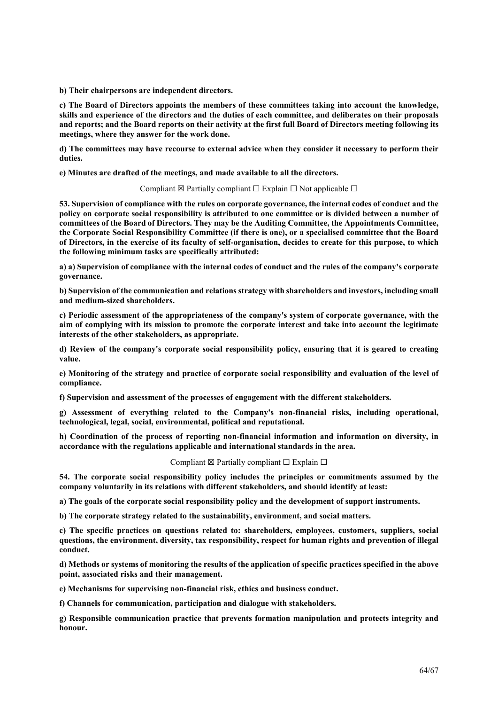b) Their chairpersons are independent directors.

c) The Board of Directors appoints the members of these committees taking into account the knowledge, skills and experience of the directors and the duties of each committee, and deliberates on their proposals and reports; and the Board reports on their activity at the first full Board of Directors meeting following its meetings, where they answer for the work done.

d) The committees may have recourse to external advice when they consider it necessary to perform their duties.

e) Minutes are drafted of the meetings, and made available to all the directors.

Compliant  $\boxtimes$  Partially compliant  $\Box$  Explain  $\Box$  Not applicable  $\Box$ 

53. Supervision of compliance with the rules on corporate governance, the internal codes of conduct and the policy on corporate social responsibility is attributed to one committee or is divided between a number of committees of the Board of Directors. They may be the Auditing Committee, the Appointments Committee, the Corporate Social Responsibility Committee (if there is one), or a specialised committee that the Board of Directors, in the exercise of its faculty of self-organisation, decides to create for this purpose, to which the following minimum tasks are specifically attributed:

a) a) Supervision of compliance with the internal codes of conduct and the rules of the company's corporate governance.

b) Supervision of the communication and relations strategy with shareholders and investors, including small and medium-sized shareholders.

c) Periodic assessment of the appropriateness of the company's system of corporate governance, with the aim of complying with its mission to promote the corporate interest and take into account the legitimate interests of the other stakeholders, as appropriate.

d) Review of the company's corporate social responsibility policy, ensuring that it is geared to creating value.

e) Monitoring of the strategy and practice of corporate social responsibility and evaluation of the level of compliance.

f) Supervision and assessment of the processes of engagement with the different stakeholders.

g) Assessment of everything related to the Company's non-financial risks, including operational, technological, legal, social, environmental, political and reputational.

h) Coordination of the process of reporting non-financial information and information on diversity, in accordance with the regulations applicable and international standards in the area.

Compliant  $\boxtimes$  Partially compliant  $\Box$  Explain  $\Box$ 

54. The corporate social responsibility policy includes the principles or commitments assumed by the company voluntarily in its relations with different stakeholders, and should identify at least:

a) The goals of the corporate social responsibility policy and the development of support instruments.

b) The corporate strategy related to the sustainability, environment, and social matters.

c) The specific practices on questions related to: shareholders, employees, customers, suppliers, social questions, the environment, diversity, tax responsibility, respect for human rights and prevention of illegal conduct.

d) Methods or systems of monitoring the results of the application of specific practices specified in the above point, associated risks and their management.

e) Mechanisms for supervising non-financial risk, ethics and business conduct.

f) Channels for communication, participation and dialogue with stakeholders.

g) Responsible communication practice that prevents formation manipulation and protects integrity and honour.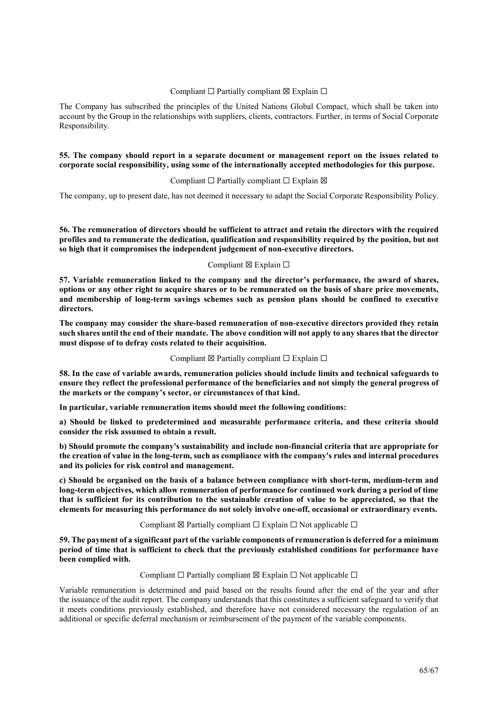# Compliant  $□$  Partially compliant  $□$  Explain  $□$

The Company has subscribed the principles of the United Nations Global Compact, which shall be taken into account by the Group in the relationships with suppliers, clients, contractors. Further, in terms of Social Corporate Responsibility.

# 55. The company should report in a separate document or management report on the issues related to corporate social responsibility, using some of the internationally accepted methodologies for this purpose.

# Compliant  $□$  Partially compliant  $□$  Explain  $□$

The company, up to present date, has not deemed it necessary to adapt the Social Corporate Responsibility Policy.

56. The remuneration of directors should be sufficient to attract and retain the directors with the required profiles and to remunerate the dedication, qualification and responsibility required by the position, but not so high that it compromises the independent judgement of non-executive directors.

# Compliant  $\boxtimes$  Explain  $\Box$

57. Variable remuneration linked to the company and the director's performance, the award of shares, options or any other right to acquire shares or to be remunerated on the basis of share price movements, and membership of long-term savings schemes such as pension plans should be confined to executive directors.

The company may consider the share-based remuneration of non-executive directors provided they retain such shares until the end of their mandate. The above condition will not apply to any shares that the director must dispose of to defray costs related to their acquisition.

# Compliant  $\boxtimes$  Partially compliant  $\Box$  Explain  $\Box$

58. In the case of variable awards, remuneration policies should include limits and technical safeguards to ensure they reflect the professional performance of the beneficiaries and not simply the general progress of the markets or the company's sector, or circumstances of that kind.

In particular, variable remuneration items should meet the following conditions:

a) Should be linked to predetermined and measurable performance criteria, and these criteria should consider the risk assumed to obtain a result.

b) Should promote the company's sustainability and include non-financial criteria that are appropriate for the creation of value in the long-term, such as compliance with the company's rules and internal procedures and its policies for risk control and management.

c) Should be organised on the basis of a balance between compliance with short-term, medium-term and long-term objectives, which allow remuneration of performance for continued work during a period of time that is sufficient for its contribution to the sustainable creation of value to be appreciated, so that the elements for measuring this performance do not solely involve one-off, occasional or extraordinary events.

# Compliant  $\boxtimes$  Partially compliant  $\square$  Explain  $\square$  Not applicable  $\square$

59. The payment of a significant part of the variable components of remuneration is deferred for a minimum period of time that is sufficient to check that the previously established conditions for performance have been complied with.

# Compliant  $\Box$  Partially compliant  $\boxtimes$  Explain  $\Box$  Not applicable  $\Box$

Variable remuneration is determined and paid based on the results found after the end of the year and after the issuance of the audit report. The company understands that this constitutes a sufficient safeguard to verify that it meets conditions previously established, and therefore have not considered necessary the regulation of an additional or specific deferral mechanism or reimbursement of the payment of the variable components.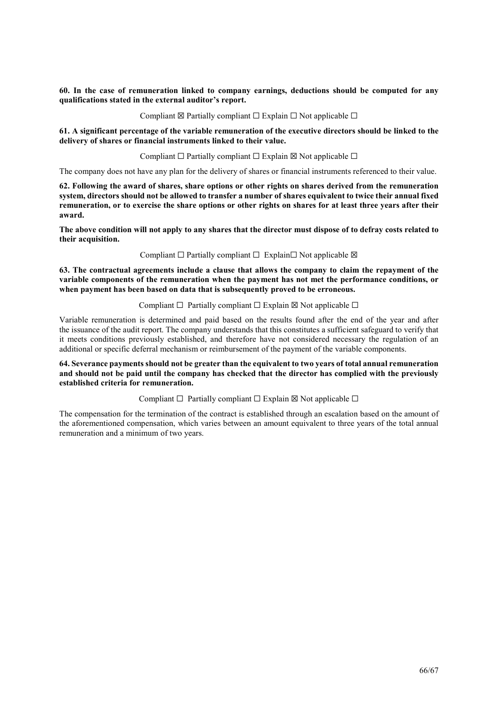60. In the case of remuneration linked to company earnings, deductions should be computed for any qualifications stated in the external auditor's report.

Compliant  $\boxtimes$  Partially compliant  $\Box$  Explain  $\Box$  Not applicable  $\Box$ 

61. A significant percentage of the variable remuneration of the executive directors should be linked to the delivery of shares or financial instruments linked to their value.

Compliant  $\Box$  Partially compliant  $\Box$  Explain  $\boxtimes$  Not applicable  $\Box$ 

The company does not have any plan for the delivery of shares or financial instruments referenced to their value.

62. Following the award of shares, share options or other rights on shares derived from the remuneration system, directors should not be allowed to transfer a number of shares equivalent to twice their annual fixed remuneration, or to exercise the share options or other rights on shares for at least three years after their award.

The above condition will not apply to any shares that the director must dispose of to defray costs related to their acquisition.

Compliant  $□$  Partially compliant  $□$  Explain $□$  Not applicable  $□$ 

63. The contractual agreements include a clause that allows the company to claim the repayment of the variable components of the remuneration when the payment has not met the performance conditions, or when payment has been based on data that is subsequently proved to be erroneous.

Compliant  $□$  Partially compliant  $□$  Explain  $\boxtimes$  Not applicable  $□$ 

Variable remuneration is determined and paid based on the results found after the end of the year and after the issuance of the audit report. The company understands that this constitutes a sufficient safeguard to verify that it meets conditions previously established, and therefore have not considered necessary the regulation of an additional or specific deferral mechanism or reimbursement of the payment of the variable components.

64. Severance payments should not be greater than the equivalent to two years of total annual remuneration and should not be paid until the company has checked that the director has complied with the previously established criteria for remuneration.

Compliant  $\Box$  Partially compliant  $\Box$  Explain  $\boxtimes$  Not applicable  $\Box$ 

The compensation for the termination of the contract is established through an escalation based on the amount of the aforementioned compensation, which varies between an amount equivalent to three years of the total annual remuneration and a minimum of two years.